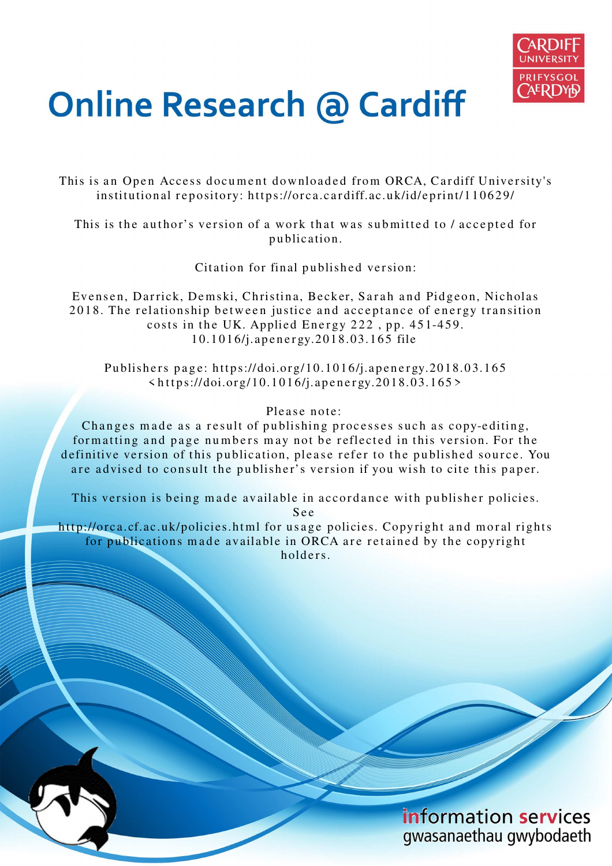

# **Online Research @ Cardiff**

This is an Open Access document downloaded from ORCA, Cardiff University's institutional repository: https://orca.cardiff.ac.uk/id/eprint/110629/

This is the author's version of a work that was submitted to / accepted for p u blication.

Citation for final published version:

Evensen, Darrick, Demski, Christina, Becker, Sarah and Pidgeon, Nicholas 2018. The relationship between justice and acceptance of energy transition costs in the UK. Applied Energy  $222$ , pp.  $451-459$ . 1 0.1 0 1 6/j.ap e n e r gy.201 8.03.16 5 file

Publishers page: https://doi.org/10.1016/j.apenergy.2018.03.165  $\langle$ https://doi.org/10.1016/j.apenergy.2018.03.165>

#### Please note:

Changes made as a result of publishing processes such as copy-editing, formatting and page numbers may not be reflected in this version. For the definitive version of this publication, please refer to the published source. You are advised to consult the publisher's version if you wish to cite this paper.

This version is being made available in accordance with publisher policies. S e e

http://orca.cf.ac.uk/policies.html for usage policies. Copyright and moral rights for publications made available in ORCA are retained by the copyright holders

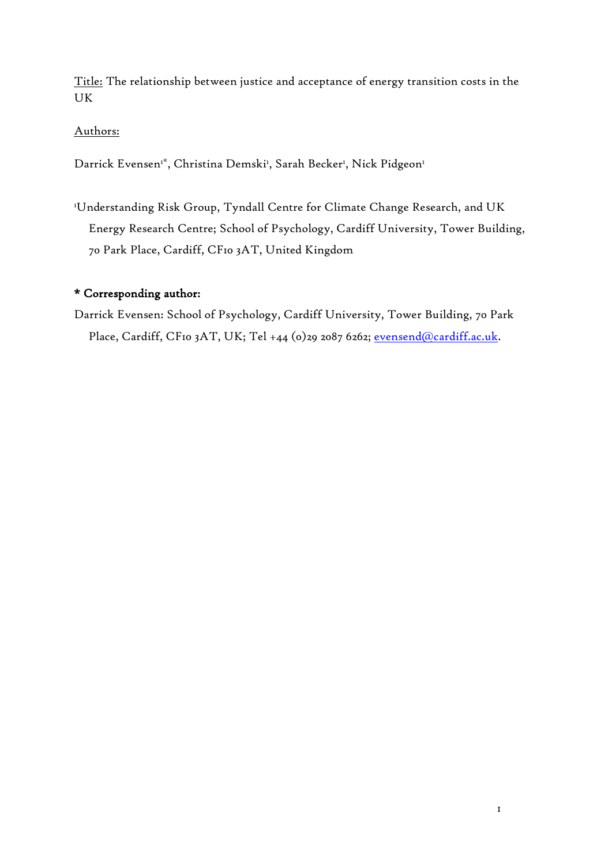Title: The relationship between justice and acceptance of energy transition costs in the UK

#### Authors:

Darrick Evensen<sup>1\*</sup>, Christina Demski<sup>1</sup>, Sarah Becker<sup>1</sup>, Nick Pidgeon<sup>1</sup>

<sup>1</sup>Understanding Risk Group, Tyndall Centre for Climate Change Research, and UK Energy Research Centre; School of Psychology, Cardiff University, Tower Building, 70 Park Place, Cardiff, CF10 3AT, United Kingdom

## \* Corresponding author:

Darrick Evensen: School of Psychology, Cardiff University, Tower Building, 70 Park Place, Cardiff, CF10 3AT, UK; Tel +44 (0)29 2087 6262; [evensend@cardiff.ac.uk.](mailto:evensend@cardiff.ac.uk)

1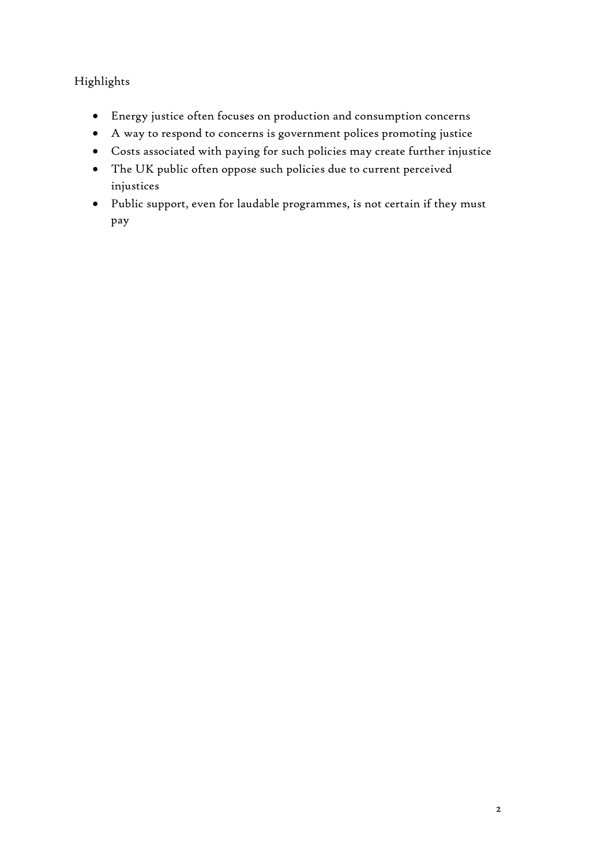## Highlights

- Energy justice often focuses on production and consumption concerns
- A way to respond to concerns is government polices promoting justice
- Costs associated with paying for such policies may create further injustice
- The UK public often oppose such policies due to current perceived injustices
- Public support, even for laudable programmes, is not certain if they must pay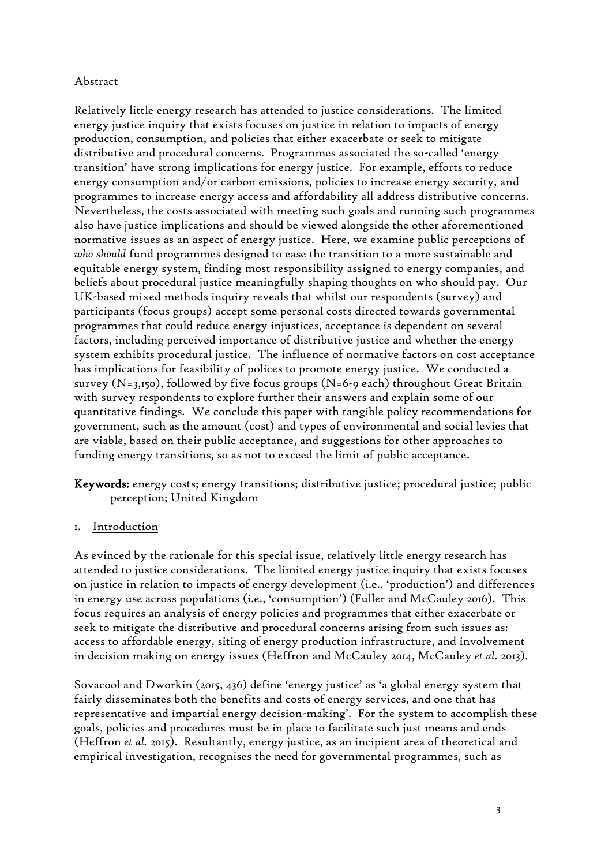#### Abstract

Relatively little energy research has attended to justice considerations. The limited energy justice inquiry that exists focuses on justice in relation to impacts of energy production, consumption, and policies that either exacerbate or seek to mitigate distributive and procedural concerns. Programmes associated the so-called 'energy transition' have strong implications for energy justice. For example, efforts to reduce energy consumption and/or carbon emissions, policies to increase energy security, and programmes to increase energy access and affordability all address distributive concerns. Nevertheless, the costs associated with meeting such goals and running such programmes also have justice implications and should be viewed alongside the other aforementioned normative issues as an aspect of energy justice. Here, we examine public perceptions of *who should* fund programmes designed to ease the transition to a more sustainable and equitable energy system, finding most responsibility assigned to energy companies, and beliefs about procedural justice meaningfully shaping thoughts on who should pay. Our UK-based mixed methods inquiry reveals that whilst our respondents (survey) and participants (focus groups) accept some personal costs directed towards governmental programmes that could reduce energy injustices, acceptance is dependent on several factors, including perceived importance of distributive justice and whether the energy system exhibits procedural justice. The influence of normative factors on cost acceptance has implications for feasibility of polices to promote energy justice. We conducted a survey (N=3,150), followed by five focus groups (N=6-9 each) throughout Great Britain with survey respondents to explore further their answers and explain some of our quantitative findings. We conclude this paper with tangible policy recommendations for government, such as the amount (cost) and types of environmental and social levies that are viable, based on their public acceptance, and suggestions for other approaches to funding energy transitions, so as not to exceed the limit of public acceptance.

#### Keywords: energy costs; energy transitions; distributive justice; procedural justice; public perception; United Kingdom

#### 1. Introduction

As evinced by the rationale for this special issue, relatively little energy research has attended to justice considerations. The limited energy justice inquiry that exists focuses on justice in relation to impacts of energy development (i.e., 'production') and differences in energy use across populations (i.e., 'consumption') (Fuller and McCauley 2016). This focus requires an analysis of energy policies and programmes that either exacerbate or seek to mitigate the distributive and procedural concerns arising from such issues as: access to affordable energy, siting of energy production infrastructure, and involvement in decision making on energy issues (Heffron and McCauley 2014, McCauley *et al.* 2013).

Sovacool and Dworkin (2015, 436) define 'energy justice' as 'a global energy system that fairly disseminates both the benefits and costs of energy services, and one that has representative and impartial energy decision-making'. For the system to accomplish these goals, policies and procedures must be in place to facilitate such just means and ends (Heffron *et al.* 2015). Resultantly, energy justice, as an incipient area of theoretical and empirical investigation, recognises the need for governmental programmes, such as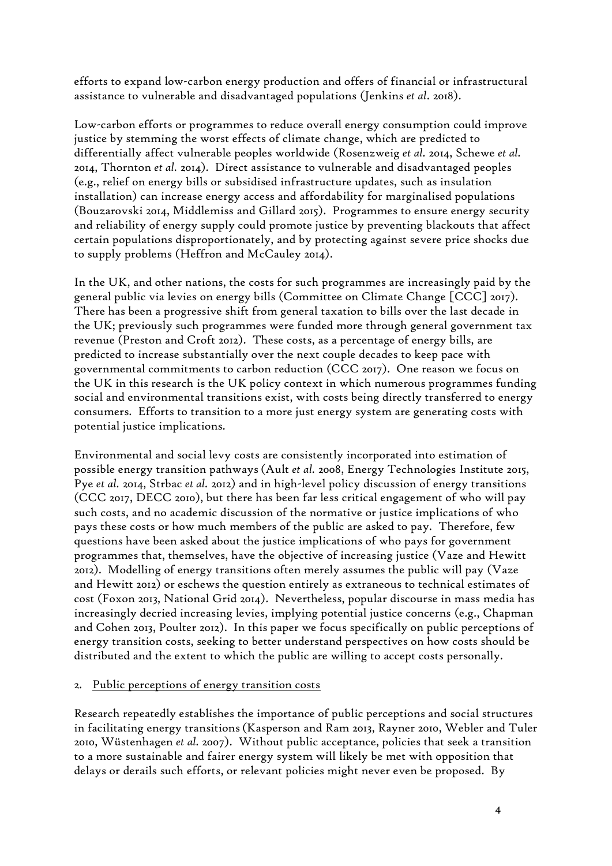efforts to expand low-carbon energy production and offers of financial or infrastructural assistance to vulnerable and disadvantaged populations (Jenkins *et al*. 2018).

Low-carbon efforts or programmes to reduce overall energy consumption could improve justice by stemming the worst effects of climate change, which are predicted to differentially affect vulnerable peoples worldwide (Rosenzweig *et al.* 2014, Schewe *et al.*  2014, Thornton *et al.* 2014). Direct assistance to vulnerable and disadvantaged peoples (e.g., relief on energy bills or subsidised infrastructure updates, such as insulation installation) can increase energy access and affordability for marginalised populations (Bouzarovski 2014, Middlemiss and Gillard 2015). Programmes to ensure energy security and reliability of energy supply could promote justice by preventing blackouts that affect certain populations disproportionately, and by protecting against severe price shocks due to supply problems (Heffron and McCauley 2014).

In the UK, and other nations, the costs for such programmes are increasingly paid by the general public via levies on energy bills (Committee on Climate Change [CCC] 2017). There has been a progressive shift from general taxation to bills over the last decade in the UK; previously such programmes were funded more through general government tax revenue (Preston and Croft 2012). These costs, as a percentage of energy bills, are predicted to increase substantially over the next couple decades to keep pace with governmental commitments to carbon reduction (CCC 2017). One reason we focus on the UK in this research is the UK policy context in which numerous programmes funding social and environmental transitions exist, with costs being directly transferred to energy consumers. Efforts to transition to a more just energy system are generating costs with potential justice implications.

Environmental and social levy costs are consistently incorporated into estimation of possible energy transition pathways(Ault *et al.* 2008, Energy Technologies Institute 2015, Pye *et al.* 2014, Strbac *et al.* 2012) and in high-level policy discussion of energy transitions (CCC 2017, DECC 2010), but there has been far less critical engagement of who will pay such costs, and no academic discussion of the normative or justice implications of who pays these costs or how much members of the public are asked to pay. Therefore, few questions have been asked about the justice implications of who pays for government programmes that, themselves, have the objective of increasing justice (Vaze and Hewitt 2012). Modelling of energy transitions often merely assumes the public will pay (Vaze and Hewitt 2012) or eschews the question entirely as extraneous to technical estimates of cost (Foxon 2013, National Grid 2014). Nevertheless, popular discourse in mass media has increasingly decried increasing levies, implying potential justice concerns (e.g., Chapman and Cohen 2013, Poulter 2012). In this paper we focus specifically on public perceptions of energy transition costs, seeking to better understand perspectives on how costs should be distributed and the extent to which the public are willing to accept costs personally.

#### 2. Public perceptions of energy transition costs

Research repeatedly establishes the importance of public perceptions and social structures in facilitating energy transitions(Kasperson and Ram 2013, Rayner 2010, Webler and Tuler 2010, Wüstenhagen *et al.* 2007). Without public acceptance, policies that seek a transition to a more sustainable and fairer energy system will likely be met with opposition that delays or derails such efforts, or relevant policies might never even be proposed. By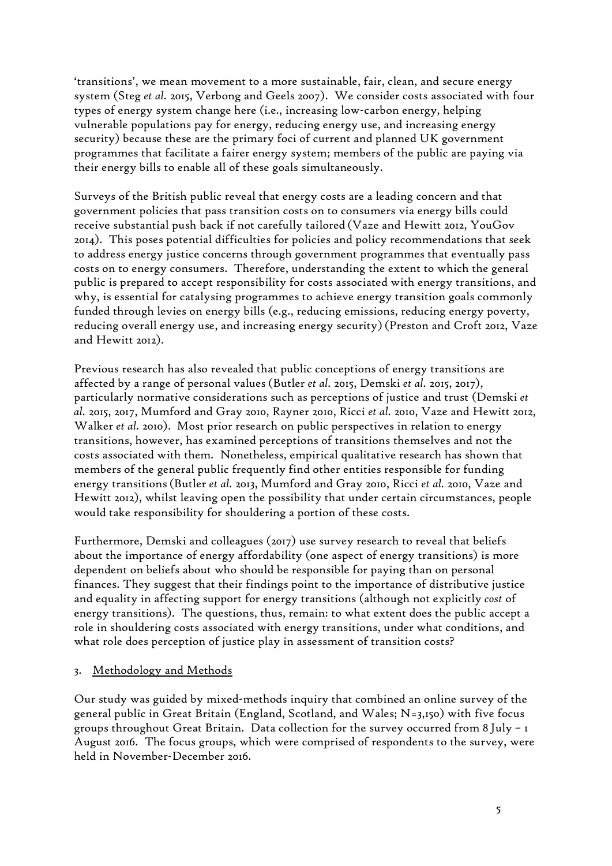'transitions', we mean movement to a more sustainable, fair, clean, and secure energy system (Steg *et al.* 2015, Verbong and Geels 2007). We consider costs associated with four types of energy system change here (i.e., increasing low-carbon energy, helping vulnerable populations pay for energy, reducing energy use, and increasing energy security) because these are the primary foci of current and planned UK government programmes that facilitate a fairer energy system; members of the public are paying via their energy bills to enable all of these goals simultaneously.

Surveys of the British public reveal that energy costs are a leading concern and that government policies that pass transition costs on to consumers via energy bills could receive substantial push back if not carefully tailored (Vaze and Hewitt 2012, YouGov 2014). This poses potential difficulties for policies and policy recommendations that seek to address energy justice concerns through government programmes that eventually pass costs on to energy consumers. Therefore, understanding the extent to which the general public is prepared to accept responsibility for costs associated with energy transitions, and why, is essential for catalysing programmes to achieve energy transition goals commonly funded through levies on energy bills (e.g., reducing emissions, reducing energy poverty, reducing overall energy use, and increasing energy security)(Preston and Croft 2012, Vaze and Hewitt 2012).

Previous research has also revealed that public conceptions of energy transitions are affected by a range of personal values(Butler *et al.* 2015, Demski *et al.* 2015, 2017), particularly normative considerations such as perceptions of justice and trust (Demski *et al.* 2015, 2017, Mumford and Gray 2010, Rayner 2010, Ricci *et al.* 2010, Vaze and Hewitt 2012, Walker *et al.* 2010). Most prior research on public perspectives in relation to energy transitions, however, has examined perceptions of transitions themselves and not the costs associated with them. Nonetheless, empirical qualitative research has shown that members of the general public frequently find other entities responsible for funding energy transitions(Butler *et al.* 2013, Mumford and Gray 2010, Ricci *et al.* 2010, Vaze and Hewitt 2012), whilst leaving open the possibility that under certain circumstances, people would take responsibility for shouldering a portion of these costs.

Furthermore, Demski and colleagues (2017) use survey research to reveal that beliefs about the importance of energy affordability (one aspect of energy transitions) is more dependent on beliefs about who should be responsible for paying than on personal finances. They suggest that their findings point to the importance of distributive justice and equality in affecting support for energy transitions (although not explicitly *cost* of energy transitions). The questions, thus, remain: to what extent does the public accept a role in shouldering costs associated with energy transitions, under what conditions, and what role does perception of justice play in assessment of transition costs?

#### 3. Methodology and Methods

Our study was guided by mixed-methods inquiry that combined an online survey of the general public in Great Britain (England, Scotland, and Wales; N=3,150) with five focus groups throughout Great Britain. Data collection for the survey occurred from 8 July – 1 August 2016. The focus groups, which were comprised of respondents to the survey, were held in November-December 2016.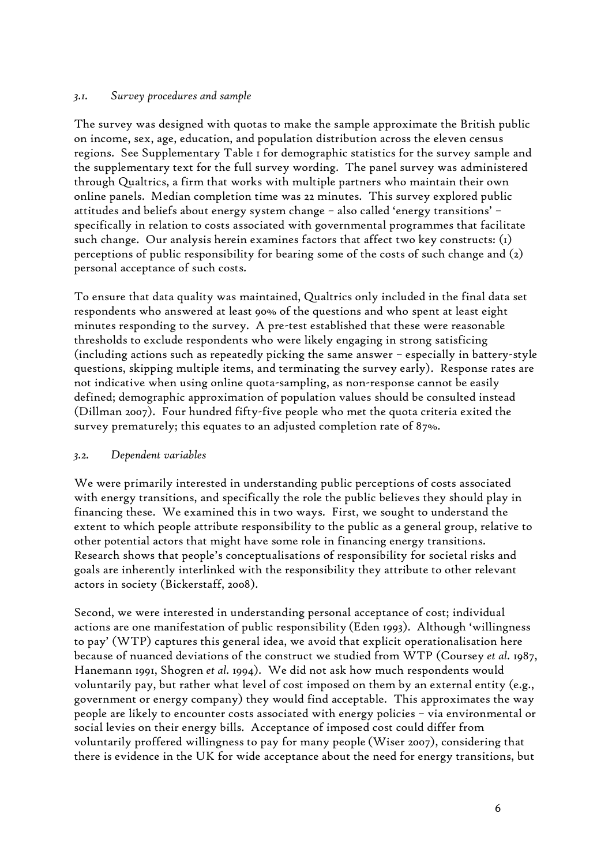#### *3.1. Survey procedures and sample*

The survey was designed with quotas to make the sample approximate the British public on income, sex, age, education, and population distribution across the eleven census regions. See Supplementary Table 1 for demographic statistics for the survey sample and the supplementary text for the full survey wording. The panel survey was administered through Qualtrics, a firm that works with multiple partners who maintain their own online panels. Median completion time was 22 minutes. This survey explored public attitudes and beliefs about energy system change – also called 'energy transitions' – specifically in relation to costs associated with governmental programmes that facilitate such change. Our analysis herein examines factors that affect two key constructs: (1) perceptions of public responsibility for bearing some of the costs of such change and (2) personal acceptance of such costs.

To ensure that data quality was maintained, Qualtrics only included in the final data set respondents who answered at least 90% of the questions and who spent at least eight minutes responding to the survey. A pre-test established that these were reasonable thresholds to exclude respondents who were likely engaging in strong satisficing (including actions such as repeatedly picking the same answer – especially in battery-style questions, skipping multiple items, and terminating the survey early). Response rates are not indicative when using online quota-sampling, as non-response cannot be easily defined; demographic approximation of population values should be consulted instead (Dillman 2007). Four hundred fifty-five people who met the quota criteria exited the survey prematurely; this equates to an adjusted completion rate of 87%.

#### *3.2. Dependent variables*

We were primarily interested in understanding public perceptions of costs associated with energy transitions, and specifically the role the public believes they should play in financing these. We examined this in two ways. First, we sought to understand the extent to which people attribute responsibility to the public as a general group, relative to other potential actors that might have some role in financing energy transitions. Research shows that people's conceptualisations of responsibility for societal risks and goals are inherently interlinked with the responsibility they attribute to other relevant actors in society (Bickerstaff, 2008).

Second, we were interested in understanding personal acceptance of cost; individual actions are one manifestation of public responsibility (Eden 1993). Although 'willingness to pay' (WTP) captures this general idea, we avoid that explicit operationalisation here because of nuanced deviations of the construct we studied from WTP (Coursey *et al.* 1987, Hanemann 1991, Shogren *et al.* 1994). We did not ask how much respondents would voluntarily pay, but rather what level of cost imposed on them by an external entity (e.g., government or energy company) they would find acceptable. This approximates the way people are likely to encounter costs associated with energy policies – via environmental or social levies on their energy bills. Acceptance of imposed cost could differ from voluntarily proffered willingness to pay for many people (Wiser 2007), considering that there is evidence in the UK for wide acceptance about the need for energy transitions, but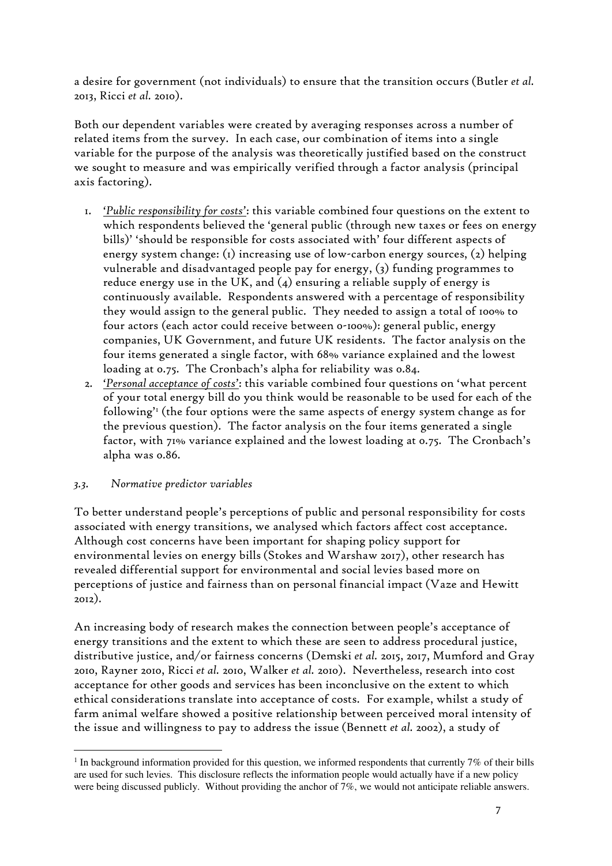a desire for government (not individuals) to ensure that the transition occurs(Butler *et al.*  2013, Ricci *et al.* 2010).

Both our dependent variables were created by averaging responses across a number of related items from the survey. In each case, our combination of items into a single variable for the purpose of the analysis was theoretically justified based on the construct we sought to measure and was empirically verified through a factor analysis (principal axis factoring).

- 1. *'Public responsibility for costs'*: this variable combined four questions on the extent to which respondents believed the 'general public (through new taxes or fees on energy bills)' 'should be responsible for costs associated with' four different aspects of energy system change: (1) increasing use of low-carbon energy sources, (2) helping vulnerable and disadvantaged people pay for energy, (3) funding programmes to reduce energy use in the UK, and  $(4)$  ensuring a reliable supply of energy is continuously available. Respondents answered with a percentage of responsibility they would assign to the general public. They needed to assign a total of 100% to four actors (each actor could receive between 0-100%): general public, energy companies, UK Government, and future UK residents. The factor analysis on the four items generated a single factor, with 68% variance explained and the lowest loading at 0.75. The Cronbach's alpha for reliability was 0.84.
- 2. *'Personal acceptance of costs'*: this variable combined four questions on 'what percent of your total energy bill do you think would be reasonable to be used for each of the following'<sup>1</sup> (the four options were the same aspects of energy system change as for the previous question). The factor analysis on the four items generated a single factor, with 71% variance explained and the lowest loading at 0.75. The Cronbach's alpha was 0.86.

#### *3.3. Normative predictor variables*

To better understand people's perceptions of public and personal responsibility for costs associated with energy transitions, we analysed which factors affect cost acceptance. Although cost concerns have been important for shaping policy support for environmental levies on energy bills(Stokes and Warshaw 2017), other research has revealed differential support for environmental and social levies based more on perceptions of justice and fairness than on personal financial impact (Vaze and Hewitt 2012).

An increasing body of research makes the connection between people's acceptance of energy transitions and the extent to which these are seen to address procedural justice, distributive justice, and/or fairness concerns (Demski *et al.* 2015, 2017, Mumford and Gray 2010, Rayner 2010, Ricci *et al.* 2010, Walker *et al.* 2010). Nevertheless, research into cost acceptance for other goods and services has been inconclusive on the extent to which ethical considerations translate into acceptance of costs. For example, whilst a study of farm animal welfare showed a positive relationship between perceived moral intensity of the issue and willingness to pay to address the issue (Bennett *et al.* 2002), a study of

<sup>-</sup><sup>1</sup> In background information provided for this question, we informed respondents that currently 7% of their bills are used for such levies. This disclosure reflects the information people would actually have if a new policy were being discussed publicly. Without providing the anchor of 7%, we would not anticipate reliable answers.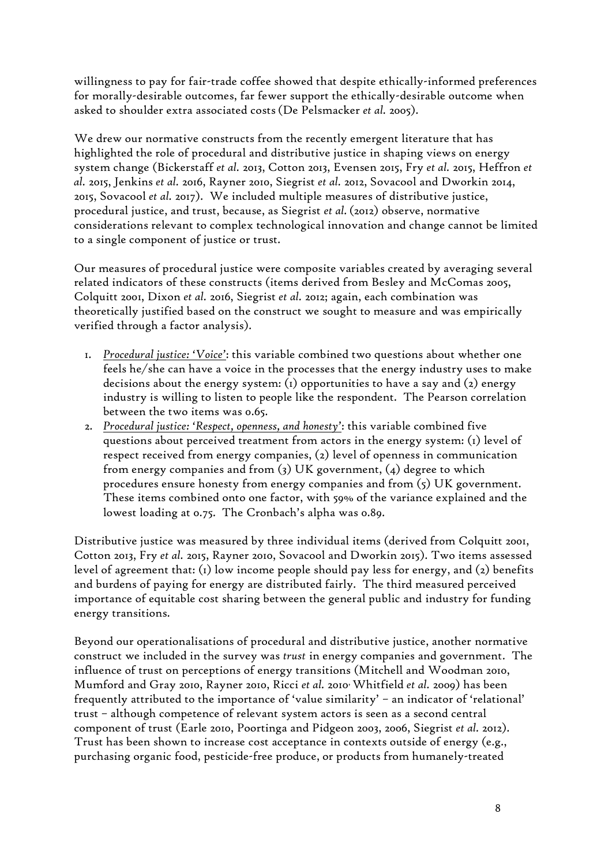willingness to pay for fair-trade coffee showed that despite ethically-informed preferences for morally-desirable outcomes, far fewer support the ethically-desirable outcome when asked to shoulder extra associated costs(De Pelsmacker *et al.* 2005).

We drew our normative constructs from the recently emergent literature that has highlighted the role of procedural and distributive justice in shaping views on energy system change (Bickerstaff *et al.* 2013, Cotton 2013, Evensen 2015, Fry *et al.* 2015, Heffron *et al.* 2015, Jenkins *et al.* 2016, Rayner 2010, Siegrist *et al.* 2012, Sovacool and Dworkin 2014, 2015, Sovacool *et al.* 2017). We included multiple measures of distributive justice, procedural justice, and trust, because, as Siegrist *et al.*(2012) observe, normative considerations relevant to complex technological innovation and change cannot be limited to a single component of justice or trust.

Our measures of procedural justice were composite variables created by averaging several related indicators of these constructs (items derived from Besley and McComas 2005, Colquitt 2001, Dixon *et al.* 2016, Siegrist *et al.* 2012; again, each combination was theoretically justified based on the construct we sought to measure and was empirically verified through a factor analysis).

- 1. *Procedural justice: 'Voice'*: this variable combined two questions about whether one feels he/she can have a voice in the processes that the energy industry uses to make decisions about the energy system: (1) opportunities to have a say and  $(2)$  energy industry is willing to listen to people like the respondent. The Pearson correlation between the two items was 0.65.
- 2. *Procedural justice: 'Respect, openness, and honesty'*: this variable combined five questions about perceived treatment from actors in the energy system: (1) level of respect received from energy companies, (2) level of openness in communication from energy companies and from  $(3)$  UK government,  $(4)$  degree to which procedures ensure honesty from energy companies and from (5) UK government. These items combined onto one factor, with 59% of the variance explained and the lowest loading at 0.75. The Cronbach's alpha was 0.89.

Distributive justice was measured by three individual items (derived from Colquitt 2001, Cotton 2013, Fry *et al.* 2015, Rayner 2010, Sovacool and Dworkin 2015). Two items assessed level of agreement that: (1) low income people should pay less for energy, and (2) benefits and burdens of paying for energy are distributed fairly. The third measured perceived importance of equitable cost sharing between the general public and industry for funding energy transitions.

Beyond our operationalisations of procedural and distributive justice, another normative construct we included in the survey was *trust* in energy companies and government. The influence of trust on perceptions of energy transitions (Mitchell and Woodman 2010, Mumford and Gray 2010, Rayner 2010, Ricci *et al.* 2010, Whitfield *et al.* 2009) has been frequently attributed to the importance of 'value similarity' – an indicator of 'relational' trust – although competence of relevant system actors is seen as a second central component of trust (Earle 2010, Poortinga and Pidgeon 2003, 2006, Siegrist *et al.* 2012). Trust has been shown to increase cost acceptance in contexts outside of energy (e.g., purchasing organic food, pesticide-free produce, or products from humanely-treated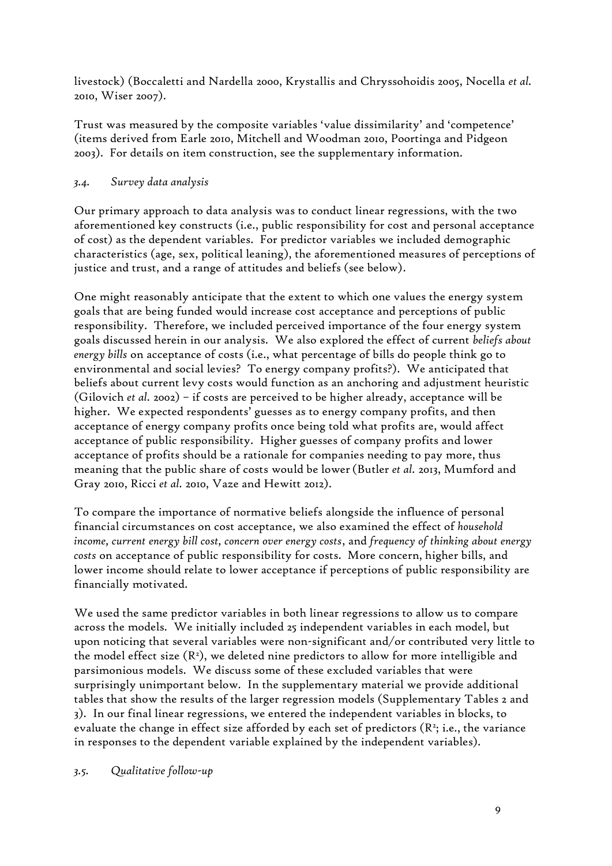livestock) (Boccaletti and Nardella 2000, Krystallis and Chryssohoidis 2005, Nocella *et al.*  2010, Wiser 2007).

Trust was measured by the composite variables 'value dissimilarity' and 'competence' (items derived from Earle 2010, Mitchell and Woodman 2010, Poortinga and Pidgeon 2003). For details on item construction, see the supplementary information.

#### *3.4. Survey data analysis*

Our primary approach to data analysis was to conduct linear regressions, with the two aforementioned key constructs (i.e., public responsibility for cost and personal acceptance of cost) as the dependent variables. For predictor variables we included demographic characteristics (age, sex, political leaning), the aforementioned measures of perceptions of justice and trust, and a range of attitudes and beliefs (see below).

One might reasonably anticipate that the extent to which one values the energy system goals that are being funded would increase cost acceptance and perceptions of public responsibility. Therefore, we included perceived importance of the four energy system goals discussed herein in our analysis. We also explored the effect of current *beliefs about energy bills* on acceptance of costs (i.e., what percentage of bills do people think go to environmental and social levies? To energy company profits?). We anticipated that beliefs about current levy costs would function as an anchoring and adjustment heuristic (Gilovich *et al.* 2002) – if costs are perceived to be higher already, acceptance will be higher. We expected respondents' guesses as to energy company profits, and then acceptance of energy company profits once being told what profits are, would affect acceptance of public responsibility. Higher guesses of company profits and lower acceptance of profits should be a rationale for companies needing to pay more, thus meaning that the public share of costs would be lower(Butler *et al.* 2013, Mumford and Gray 2010, Ricci *et al.* 2010, Vaze and Hewitt 2012).

To compare the importance of normative beliefs alongside the influence of personal financial circumstances on cost acceptance, we also examined the effect of *household income, current energy bill cost, concern over energy costs*, and *frequency of thinking about energy costs* on acceptance of public responsibility for costs. More concern, higher bills, and lower income should relate to lower acceptance if perceptions of public responsibility are financially motivated.

We used the same predictor variables in both linear regressions to allow us to compare across the models. We initially included 25 independent variables in each model, but upon noticing that several variables were non-significant and/or contributed very little to the model effect size  $(R^2)$ , we deleted nine predictors to allow for more intelligible and parsimonious models. We discuss some of these excluded variables that were surprisingly unimportant below. In the supplementary material we provide additional tables that show the results of the larger regression models (Supplementary Tables 2 and 3). In our final linear regressions, we entered the independent variables in blocks, to evaluate the change in effect size afforded by each set of predictors ( $\mathbb{R}^2$ ; i.e., the variance in responses to the dependent variable explained by the independent variables).

#### *3.5. Qualitative follow-up*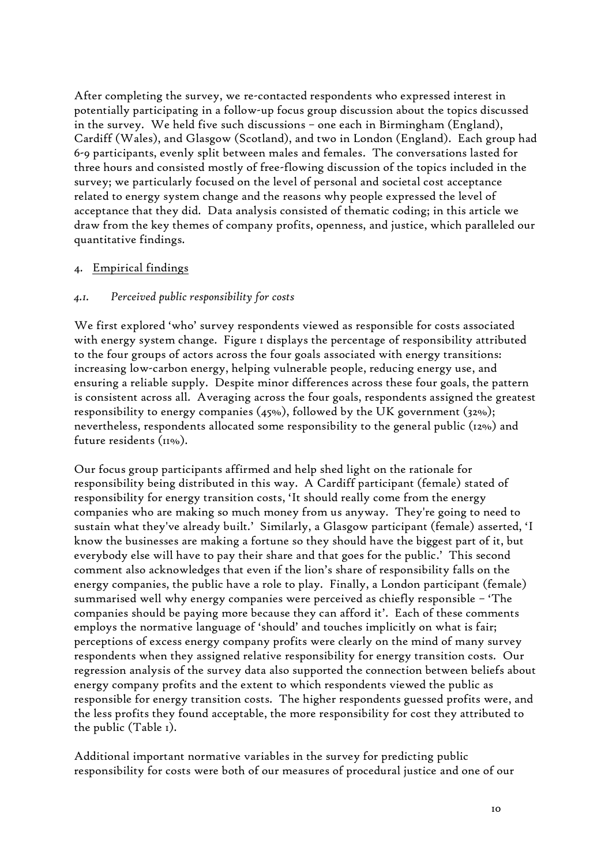After completing the survey, we re-contacted respondents who expressed interest in potentially participating in a follow-up focus group discussion about the topics discussed in the survey. We held five such discussions – one each in Birmingham (England), Cardiff (Wales), and Glasgow (Scotland), and two in London (England). Each group had 6-9 participants, evenly split between males and females. The conversations lasted for three hours and consisted mostly of free-flowing discussion of the topics included in the survey; we particularly focused on the level of personal and societal cost acceptance related to energy system change and the reasons why people expressed the level of acceptance that they did. Data analysis consisted of thematic coding; in this article we draw from the key themes of company profits, openness, and justice, which paralleled our quantitative findings.

#### 4. Empirical findings

#### *4.1. Perceived public responsibility for costs*

We first explored 'who' survey respondents viewed as responsible for costs associated with energy system change. Figure 1 displays the percentage of responsibility attributed to the four groups of actors across the four goals associated with energy transitions: increasing low-carbon energy, helping vulnerable people, reducing energy use, and ensuring a reliable supply. Despite minor differences across these four goals, the pattern is consistent across all. Averaging across the four goals, respondents assigned the greatest responsibility to energy companies (45%), followed by the UK government (32%); nevertheless, respondents allocated some responsibility to the general public (12%) and future residents (11%).

Our focus group participants affirmed and help shed light on the rationale for responsibility being distributed in this way. A Cardiff participant (female) stated of responsibility for energy transition costs, 'It should really come from the energy companies who are making so much money from us anyway. They're going to need to sustain what they've already built.' Similarly, a Glasgow participant (female) asserted, 'I know the businesses are making a fortune so they should have the biggest part of it, but everybody else will have to pay their share and that goes for the public.' This second comment also acknowledges that even if the lion's share of responsibility falls on the energy companies, the public have a role to play. Finally, a London participant (female) summarised well why energy companies were perceived as chiefly responsible – 'The companies should be paying more because they can afford it'. Each of these comments employs the normative language of 'should' and touches implicitly on what is fair; perceptions of excess energy company profits were clearly on the mind of many survey respondents when they assigned relative responsibility for energy transition costs. Our regression analysis of the survey data also supported the connection between beliefs about energy company profits and the extent to which respondents viewed the public as responsible for energy transition costs. The higher respondents guessed profits were, and the less profits they found acceptable, the more responsibility for cost they attributed to the public (Table 1).

Additional important normative variables in the survey for predicting public responsibility for costs were both of our measures of procedural justice and one of our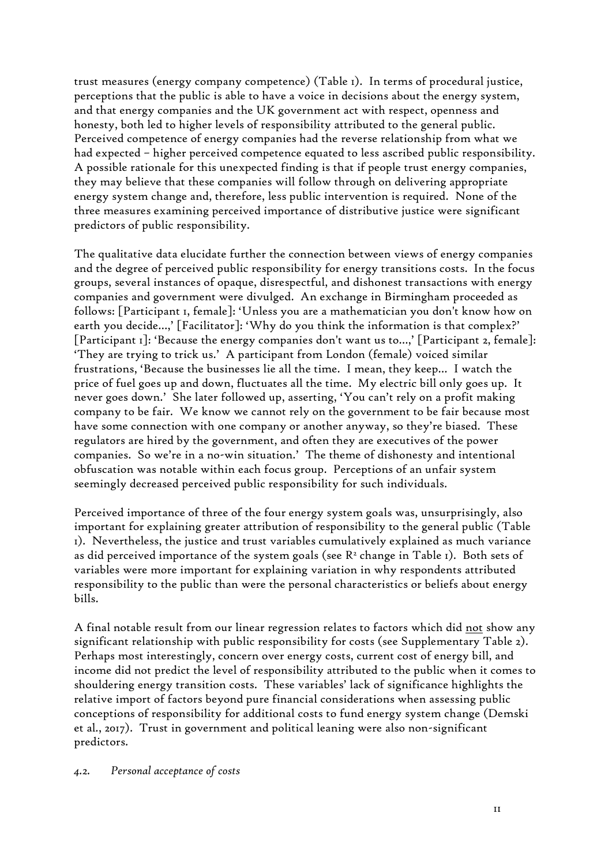trust measures (energy company competence) (Table 1). In terms of procedural justice, perceptions that the public is able to have a voice in decisions about the energy system, and that energy companies and the UK government act with respect, openness and honesty, both led to higher levels of responsibility attributed to the general public. Perceived competence of energy companies had the reverse relationship from what we had expected – higher perceived competence equated to less ascribed public responsibility. A possible rationale for this unexpected finding is that if people trust energy companies, they may believe that these companies will follow through on delivering appropriate energy system change and, therefore, less public intervention is required. None of the three measures examining perceived importance of distributive justice were significant predictors of public responsibility.

The qualitative data elucidate further the connection between views of energy companies and the degree of perceived public responsibility for energy transitions costs. In the focus groups, several instances of opaque, disrespectful, and dishonest transactions with energy companies and government were divulged. An exchange in Birmingham proceeded as follows: [Participant 1, female]: 'Unless you are a mathematician you don't know how on earth you decide...,' [Facilitator]: 'Why do you think the information is that complex?' [Participant 1]: 'Because the energy companies don't want us to…,' [Participant 2, female]: 'They are trying to trick us.' A participant from London (female) voiced similar frustrations, 'Because the businesses lie all the time. I mean, they keep… I watch the price of fuel goes up and down, fluctuates all the time. My electric bill only goes up. It never goes down.' She later followed up, asserting, 'You can't rely on a profit making company to be fair. We know we cannot rely on the government to be fair because most have some connection with one company or another anyway, so they're biased. These regulators are hired by the government, and often they are executives of the power companies. So we're in a no-win situation.' The theme of dishonesty and intentional obfuscation was notable within each focus group. Perceptions of an unfair system seemingly decreased perceived public responsibility for such individuals.

Perceived importance of three of the four energy system goals was, unsurprisingly, also important for explaining greater attribution of responsibility to the general public (Table 1). Nevertheless, the justice and trust variables cumulatively explained as much variance as did perceived importance of the system goals (see  $\mathbb{R}^2$  change in Table 1). Both sets of variables were more important for explaining variation in why respondents attributed responsibility to the public than were the personal characteristics or beliefs about energy bills.

A final notable result from our linear regression relates to factors which did not show any significant relationship with public responsibility for costs (see Supplementary Table 2). Perhaps most interestingly, concern over energy costs, current cost of energy bill, and income did not predict the level of responsibility attributed to the public when it comes to shouldering energy transition costs. These variables' lack of significance highlights the relative import of factors beyond pure financial considerations when assessing public conceptions of responsibility for additional costs to fund energy system change (Demski et al., 2017). Trust in government and political leaning were also non-significant predictors.

#### *4.2. Personal acceptance of costs*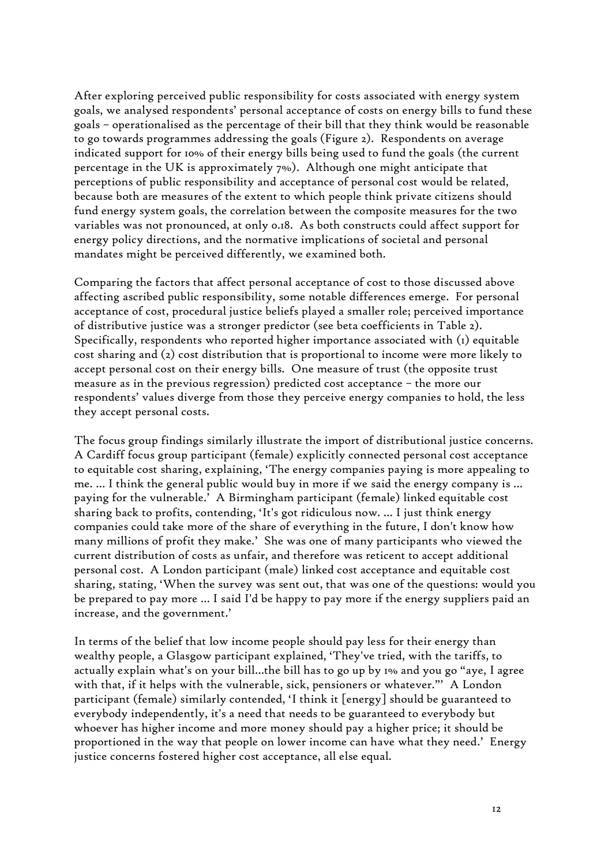After exploring perceived public responsibility for costs associated with energy system goals, we analysed respondents' personal acceptance of costs on energy bills to fund these goals – operationalised as the percentage of their bill that they think would be reasonable to go towards programmes addressing the goals (Figure 2). Respondents on average indicated support for 10% of their energy bills being used to fund the goals (the current percentage in the UK is approximately 7%). Although one might anticipate that perceptions of public responsibility and acceptance of personal cost would be related, because both are measures of the extent to which people think private citizens should fund energy system goals, the correlation between the composite measures for the two variables was not pronounced, at only 0.18. As both constructs could affect support for energy policy directions, and the normative implications of societal and personal mandates might be perceived differently, we examined both.

Comparing the factors that affect personal acceptance of cost to those discussed above affecting ascribed public responsibility, some notable differences emerge. For personal acceptance of cost, procedural justice beliefs played a smaller role; perceived importance of distributive justice was a stronger predictor (see beta coefficients in Table 2). Specifically, respondents who reported higher importance associated with (1) equitable cost sharing and (2) cost distribution that is proportional to income were more likely to accept personal cost on their energy bills. One measure of trust (the opposite trust measure as in the previous regression) predicted cost acceptance – the more our respondents' values diverge from those they perceive energy companies to hold, the less they accept personal costs.

The focus group findings similarly illustrate the import of distributional justice concerns. A Cardiff focus group participant (female) explicitly connected personal cost acceptance to equitable cost sharing, explaining, 'The energy companies paying is more appealing to me. … I think the general public would buy in more if we said the energy company is … paying for the vulnerable.' A Birmingham participant (female) linked equitable cost sharing back to profits, contending, 'It's got ridiculous now. … I just think energy companies could take more of the share of everything in the future, I don't know how many millions of profit they make.' She was one of many participants who viewed the current distribution of costs as unfair, and therefore was reticent to accept additional personal cost. A London participant (male) linked cost acceptance and equitable cost sharing, stating, 'When the survey was sent out, that was one of the questions: would you be prepared to pay more … I said I'd be happy to pay more if the energy suppliers paid an increase, and the government.'

In terms of the belief that low income people should pay less for their energy than wealthy people, a Glasgow participant explained, 'They've tried, with the tariffs, to actually explain what's on your bill…the bill has to go up by 1% and you go "aye, I agree with that, if it helps with the vulnerable, sick, pensioners or whatever."' A London participant (female) similarly contended, 'I think it [energy] should be guaranteed to everybody independently, it's a need that needs to be guaranteed to everybody but whoever has higher income and more money should pay a higher price; it should be proportioned in the way that people on lower income can have what they need.' Energy justice concerns fostered higher cost acceptance, all else equal.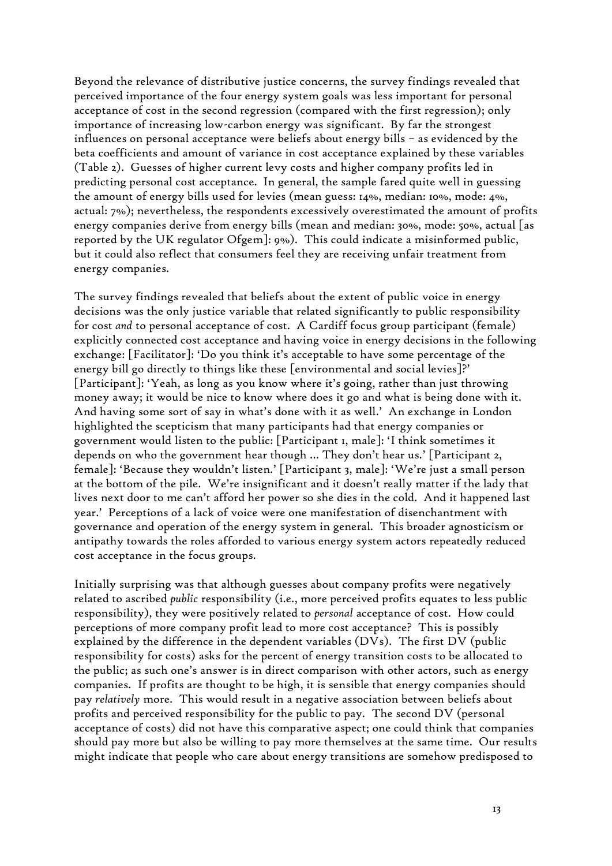Beyond the relevance of distributive justice concerns, the survey findings revealed that perceived importance of the four energy system goals was less important for personal acceptance of cost in the second regression (compared with the first regression); only importance of increasing low-carbon energy was significant. By far the strongest influences on personal acceptance were beliefs about energy bills – as evidenced by the beta coefficients and amount of variance in cost acceptance explained by these variables (Table 2). Guesses of higher current levy costs and higher company profits led in predicting personal cost acceptance. In general, the sample fared quite well in guessing the amount of energy bills used for levies (mean guess: 14%, median: 10%, mode: 4%, actual: 7%); nevertheless, the respondents excessively overestimated the amount of profits energy companies derive from energy bills (mean and median: 30%, mode: 50%, actual [as reported by the UK regulator Ofgem]: 9%). This could indicate a misinformed public, but it could also reflect that consumers feel they are receiving unfair treatment from energy companies.

The survey findings revealed that beliefs about the extent of public voice in energy decisions was the only justice variable that related significantly to public responsibility for cost *and* to personal acceptance of cost. A Cardiff focus group participant (female) explicitly connected cost acceptance and having voice in energy decisions in the following exchange: [Facilitator]: 'Do you think it's acceptable to have some percentage of the energy bill go directly to things like these [environmental and social levies]?' [Participant]: 'Yeah, as long as you know where it's going, rather than just throwing money away; it would be nice to know where does it go and what is being done with it. And having some sort of say in what's done with it as well.' An exchange in London highlighted the scepticism that many participants had that energy companies or government would listen to the public: [Participant 1, male]: 'I think sometimes it depends on who the government hear though … They don't hear us.' [Participant 2, female]: 'Because they wouldn't listen.' [Participant 3, male]: 'We're just a small person at the bottom of the pile. We're insignificant and it doesn't really matter if the lady that lives next door to me can't afford her power so she dies in the cold. And it happened last year.' Perceptions of a lack of voice were one manifestation of disenchantment with governance and operation of the energy system in general. This broader agnosticism or antipathy towards the roles afforded to various energy system actors repeatedly reduced cost acceptance in the focus groups.

Initially surprising was that although guesses about company profits were negatively related to ascribed *public* responsibility (i.e., more perceived profits equates to less public responsibility), they were positively related to *personal* acceptance of cost. How could perceptions of more company profit lead to more cost acceptance? This is possibly explained by the difference in the dependent variables (DVs). The first DV (public responsibility for costs) asks for the percent of energy transition costs to be allocated to the public; as such one's answer is in direct comparison with other actors, such as energy companies. If profits are thought to be high, it is sensible that energy companies should pay *relatively* more. This would result in a negative association between beliefs about profits and perceived responsibility for the public to pay. The second DV (personal acceptance of costs) did not have this comparative aspect; one could think that companies should pay more but also be willing to pay more themselves at the same time. Our results might indicate that people who care about energy transitions are somehow predisposed to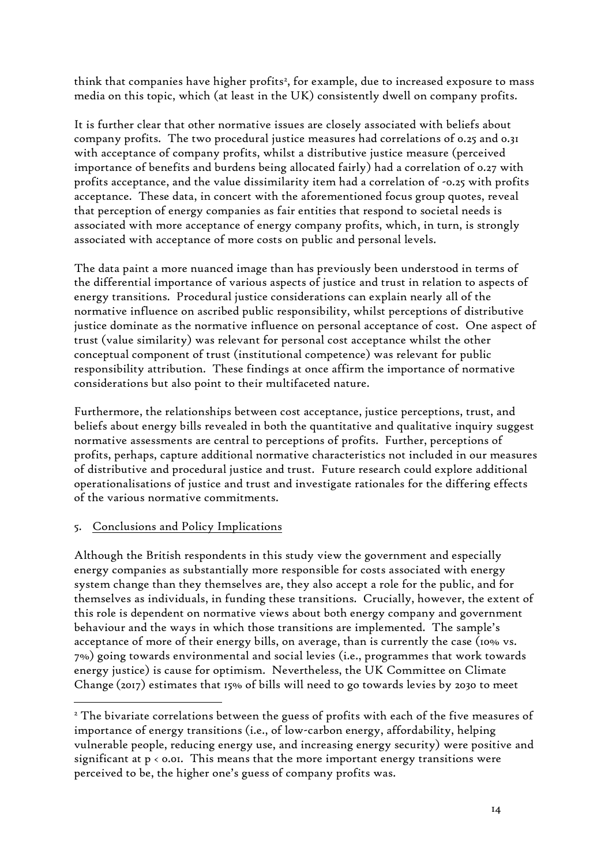think that companies have higher profits<sup>2</sup>, for example, due to increased exposure to mass media on this topic, which (at least in the UK) consistently dwell on company profits.

It is further clear that other normative issues are closely associated with beliefs about company profits. The two procedural justice measures had correlations of 0.25 and 0.31 with acceptance of company profits, whilst a distributive justice measure (perceived importance of benefits and burdens being allocated fairly) had a correlation of 0.27 with profits acceptance, and the value dissimilarity item had a correlation of -0.25 with profits acceptance. These data, in concert with the aforementioned focus group quotes, reveal that perception of energy companies as fair entities that respond to societal needs is associated with more acceptance of energy company profits, which, in turn, is strongly associated with acceptance of more costs on public and personal levels.

The data paint a more nuanced image than has previously been understood in terms of the differential importance of various aspects of justice and trust in relation to aspects of energy transitions. Procedural justice considerations can explain nearly all of the normative influence on ascribed public responsibility, whilst perceptions of distributive justice dominate as the normative influence on personal acceptance of cost. One aspect of trust (value similarity) was relevant for personal cost acceptance whilst the other conceptual component of trust (institutional competence) was relevant for public responsibility attribution. These findings at once affirm the importance of normative considerations but also point to their multifaceted nature.

Furthermore, the relationships between cost acceptance, justice perceptions, trust, and beliefs about energy bills revealed in both the quantitative and qualitative inquiry suggest normative assessments are central to perceptions of profits. Further, perceptions of profits, perhaps, capture additional normative characteristics not included in our measures of distributive and procedural justice and trust. Future research could explore additional operationalisations of justice and trust and investigate rationales for the differing effects of the various normative commitments.

#### 5. Conclusions and Policy Implications

-

Although the British respondents in this study view the government and especially energy companies as substantially more responsible for costs associated with energy system change than they themselves are, they also accept a role for the public, and for themselves as individuals, in funding these transitions. Crucially, however, the extent of this role is dependent on normative views about both energy company and government behaviour and the ways in which those transitions are implemented. The sample's acceptance of more of their energy bills, on average, than is currently the case (10% vs. 7%) going towards environmental and social levies (i.e., programmes that work towards energy justice) is cause for optimism. Nevertheless, the UK Committee on Climate Change (2017) estimates that 15% of bills will need to go towards levies by 2030 to meet

<sup>&</sup>lt;sup>2</sup> The bivariate correlations between the guess of profits with each of the five measures of importance of energy transitions (i.e., of low-carbon energy, affordability, helping vulnerable people, reducing energy use, and increasing energy security) were positive and significant at  $p < 0.01$ . This means that the more important energy transitions were perceived to be, the higher one's guess of company profits was.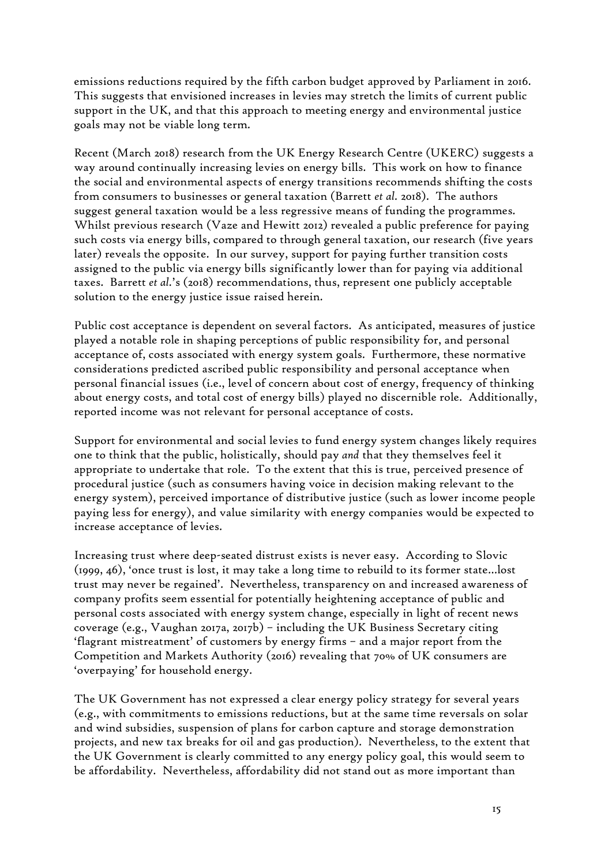emissions reductions required by the fifth carbon budget approved by Parliament in 2016. This suggests that envisioned increases in levies may stretch the limits of current public support in the UK, and that this approach to meeting energy and environmental justice goals may not be viable long term.

Recent (March 2018) research from the UK Energy Research Centre (UKERC) suggests a way around continually increasing levies on energy bills. This work on how to finance the social and environmental aspects of energy transitions recommends shifting the costs from consumers to businesses or general taxation (Barrett *et al.* 2018). The authors suggest general taxation would be a less regressive means of funding the programmes. Whilst previous research (Vaze and Hewitt 2012) revealed a public preference for paying such costs via energy bills, compared to through general taxation, our research (five years later) reveals the opposite. In our survey, support for paying further transition costs assigned to the public via energy bills significantly lower than for paying via additional taxes. Barrett *et al.*'s (2018) recommendations, thus, represent one publicly acceptable solution to the energy justice issue raised herein.

Public cost acceptance is dependent on several factors. As anticipated, measures of justice played a notable role in shaping perceptions of public responsibility for, and personal acceptance of, costs associated with energy system goals. Furthermore, these normative considerations predicted ascribed public responsibility and personal acceptance when personal financial issues (i.e., level of concern about cost of energy, frequency of thinking about energy costs, and total cost of energy bills) played no discernible role. Additionally, reported income was not relevant for personal acceptance of costs.

Support for environmental and social levies to fund energy system changes likely requires one to think that the public, holistically, should pay *and* that they themselves feel it appropriate to undertake that role. To the extent that this is true, perceived presence of procedural justice (such as consumers having voice in decision making relevant to the energy system), perceived importance of distributive justice (such as lower income people paying less for energy), and value similarity with energy companies would be expected to increase acceptance of levies.

Increasing trust where deep-seated distrust exists is never easy. According to Slovic (1999, 46), 'once trust is lost, it may take a long time to rebuild to its former state…lost trust may never be regained'. Nevertheless, transparency on and increased awareness of company profits seem essential for potentially heightening acceptance of public and personal costs associated with energy system change, especially in light of recent news coverage (e.g., Vaughan 2017a, 2017b) – including the UK Business Secretary citing 'flagrant mistreatment' of customers by energy firms – and a major report from the Competition and Markets Authority (2016) revealing that 70% of UK consumers are 'overpaying' for household energy.

The UK Government has not expressed a clear energy policy strategy for several years (e.g., with commitments to emissions reductions, but at the same time reversals on solar and wind subsidies, suspension of plans for carbon capture and storage demonstration projects, and new tax breaks for oil and gas production). Nevertheless, to the extent that the UK Government is clearly committed to any energy policy goal, this would seem to be affordability. Nevertheless, affordability did not stand out as more important than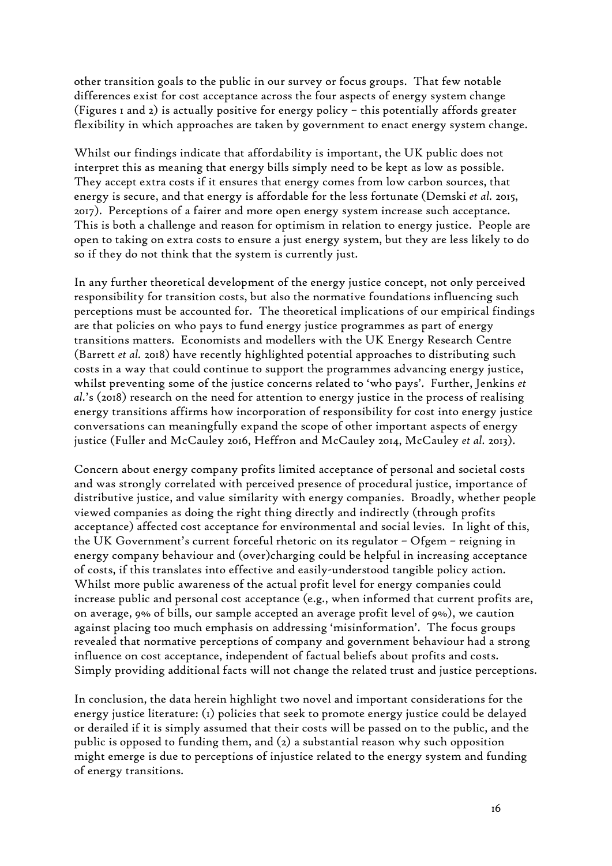other transition goals to the public in our survey or focus groups. That few notable differences exist for cost acceptance across the four aspects of energy system change (Figures 1 and 2) is actually positive for energy policy – this potentially affords greater flexibility in which approaches are taken by government to enact energy system change.

Whilst our findings indicate that affordability is important, the UK public does not interpret this as meaning that energy bills simply need to be kept as low as possible. They accept extra costs if it ensures that energy comes from low carbon sources, that energy is secure, and that energy is affordable for the less fortunate (Demski *et al.* 2015, 2017). Perceptions of a fairer and more open energy system increase such acceptance. This is both a challenge and reason for optimism in relation to energy justice. People are open to taking on extra costs to ensure a just energy system, but they are less likely to do so if they do not think that the system is currently just.

In any further theoretical development of the energy justice concept, not only perceived responsibility for transition costs, but also the normative foundations influencing such perceptions must be accounted for. The theoretical implications of our empirical findings are that policies on who pays to fund energy justice programmes as part of energy transitions matters. Economists and modellers with the UK Energy Research Centre (Barrett *et al.* 2018) have recently highlighted potential approaches to distributing such costs in a way that could continue to support the programmes advancing energy justice, whilst preventing some of the justice concerns related to 'who pays'. Further, Jenkins *et al.*'s (2018) research on the need for attention to energy justice in the process of realising energy transitions affirms how incorporation of responsibility for cost into energy justice conversations can meaningfully expand the scope of other important aspects of energy justice (Fuller and McCauley 2016, Heffron and McCauley 2014, McCauley *et al.* 2013).

Concern about energy company profits limited acceptance of personal and societal costs and was strongly correlated with perceived presence of procedural justice, importance of distributive justice, and value similarity with energy companies. Broadly, whether people viewed companies as doing the right thing directly and indirectly (through profits acceptance) affected cost acceptance for environmental and social levies. In light of this, the UK Government's current forceful rhetoric on its regulator – Ofgem – reigning in energy company behaviour and (over)charging could be helpful in increasing acceptance of costs, if this translates into effective and easily-understood tangible policy action. Whilst more public awareness of the actual profit level for energy companies could increase public and personal cost acceptance (e.g., when informed that current profits are, on average, 9% of bills, our sample accepted an average profit level of 9%), we caution against placing too much emphasis on addressing 'misinformation'. The focus groups revealed that normative perceptions of company and government behaviour had a strong influence on cost acceptance, independent of factual beliefs about profits and costs. Simply providing additional facts will not change the related trust and justice perceptions.

In conclusion, the data herein highlight two novel and important considerations for the energy justice literature: (1) policies that seek to promote energy justice could be delayed or derailed if it is simply assumed that their costs will be passed on to the public, and the public is opposed to funding them, and (2) a substantial reason why such opposition might emerge is due to perceptions of injustice related to the energy system and funding of energy transitions.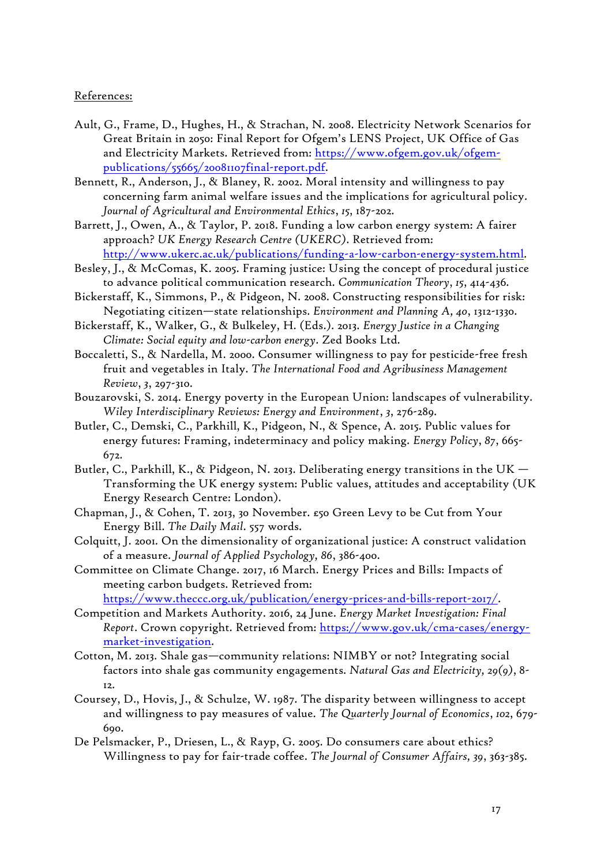#### References:

- Ault, G., Frame, D., Hughes, H., & Strachan, N. 2008. Electricity Network Scenarios for Great Britain in 2050: Final Report for Ofgem's LENS Project, UK Office of Gas and Electricity Markets. Retrieved from: [https://www.ofgem.gov.uk/ofgem](https://www.ofgem.gov.uk/ofgem-publications/55665/20081107final-report.pdf)[publications/55665/20081107final-report.pdf.](https://www.ofgem.gov.uk/ofgem-publications/55665/20081107final-report.pdf)
- Bennett, R., Anderson, J., & Blaney, R. 2002. Moral intensity and willingness to pay concerning farm animal welfare issues and the implications for agricultural policy. *Journal of Agricultural and Environmental Ethics*, *15*, 187-202.
- Barrett, J., Owen, A., & Taylor, P. 2018. Funding a low carbon energy system: A fairer approach? *UK Energy Research Centre (UKERC)*. Retrieved from: [http://www.ukerc.ac.uk/publications/funding-a-low-carbon-energy-system.html.](http://www.ukerc.ac.uk/publications/funding-a-low-carbon-energy-system.html)
- Besley, J., & McComas, K. 2005. Framing justice: Using the concept of procedural justice to advance political communication research. *Communication Theory*, *15*, 414-436.
- Bickerstaff, K., Simmons, P., & Pidgeon, N. 2008. Constructing responsibilities for risk: Negotiating citizen—state relationships. *Environment and Planning A, 40*, 1312-1330.
- Bickerstaff, K., Walker, G., & Bulkeley, H. (Eds.). 2013. *Energy Justice in a Changing Climate: Social equity and low-carbon energy*. Zed Books Ltd.
- Boccaletti, S., & Nardella, M. 2000. Consumer willingness to pay for pesticide-free fresh fruit and vegetables in Italy. *The International Food and Agribusiness Management Review*, *3*, 297-310.
- Bouzarovski, S. 2014. Energy poverty in the European Union: landscapes of vulnerability. *Wiley Interdisciplinary Reviews: Energy and Environment*, *3*, 276-289.
- Butler, C., Demski, C., Parkhill, K., Pidgeon, N., & Spence, A. 2015. Public values for energy futures: Framing, indeterminacy and policy making. *Energy Policy*, *87*, 665- 672.
- Butler, C., Parkhill, K., & Pidgeon, N. 2013. Deliberating energy transitions in the UK  $-$ Transforming the UK energy system: Public values, attitudes and acceptability (UK Energy Research Centre: London).
- Chapman, J., & Cohen, T. 2013, 30 November. £50 Green Levy to be Cut from Your Energy Bill. *The Daily Mail*. 557 words.
- Colquitt, J. 2001. On the dimensionality of organizational justice: A construct validation of a measure. *Journal of Applied Psychology, 86*, 386-400.
- Committee on Climate Change. 2017, 16 March. Energy Prices and Bills: Impacts of meeting carbon budgets. Retrieved from:

[https://www.theccc.org.uk/publication/energy-prices-and-bills-report-2017/.](https://www.theccc.org.uk/publication/energy-prices-and-bills-report-2017/)

- Competition and Markets Authority. 2016, 24 June. *Energy Market Investigation: Final Report*. Crown copyright. Retrieved from: [https://www.gov.uk/cma-cases/energy](https://www.gov.uk/cma-cases/energy-market-investigation)[market-investigation.](https://www.gov.uk/cma-cases/energy-market-investigation)
- Cotton, M. 2013. Shale gas—community relations: NIMBY or not? Integrating social factors into shale gas community engagements. *Natural Gas and Electricity, 29(9)*, 8- 12.
- Coursey, D., Hovis, J., & Schulze, W. 1987. The disparity between willingness to accept and willingness to pay measures of value. *The Quarterly Journal of Economics*, *102*, 679- 690.
- De Pelsmacker, P., Driesen, L., & Rayp, G. 2005. Do consumers care about ethics? Willingness to pay for fair-trade coffee. *The Journal of Consumer Affairs, 39*, 363-385.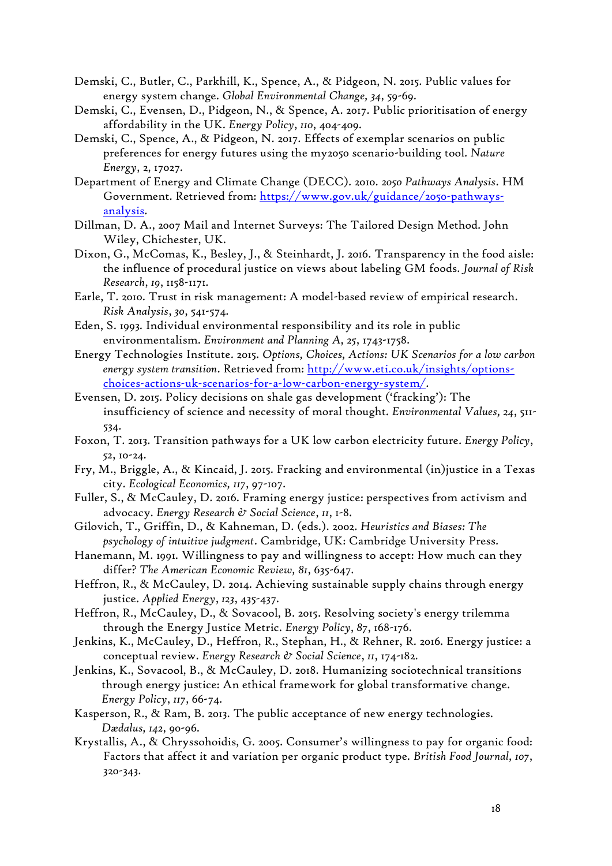- Demski, C., Butler, C., Parkhill, K., Spence, A., & Pidgeon, N. 2015. Public values for energy system change. *Global Environmental Change, 34*, 59-69.
- Demski, C., Evensen, D., Pidgeon, N., & Spence, A. 2017. Public prioritisation of energy affordability in the UK. *Energy Policy*, *110*, 404-409.
- Demski, C., Spence, A., & Pidgeon, N. 2017. Effects of exemplar scenarios on public preferences for energy futures using the my2050 scenario-building tool. *Nature Energy*, 2, 17027.
- Department of Energy and Climate Change (DECC). 2010. *2050 Pathways Analysis*. HM Government. Retrieved from: [https://www.gov.uk/guidance/2050-pathways](https://www.gov.uk/guidance/2050-pathways-analysis)[analysis.](https://www.gov.uk/guidance/2050-pathways-analysis)
- Dillman, D. A., 2007 Mail and Internet Surveys: The Tailored Design Method. John Wiley, Chichester, UK.
- Dixon, G., McComas, K., Besley, J., & Steinhardt, J. 2016. Transparency in the food aisle: the influence of procedural justice on views about labeling GM foods. *Journal of Risk Research*, *19*, 1158-1171.
- Earle, T. 2010. Trust in risk management: A model-based review of empirical research. *Risk Analysis*, *30*, 541-574.
- Eden, S. 1993. Individual environmental responsibility and its role in public environmentalism. *Environment and Planning A, 25*, 1743-1758.
- Energy Technologies Institute. 2015. *Options, Choices, Actions: UK Scenarios for a low carbon energy system transition*. Retrieved from: [http://www.eti.co.uk/insights/options](http://www.eti.co.uk/insights/options-choices-actions-uk-scenarios-for-a-low-carbon-energy-system/)[choices-actions-uk-scenarios-for-a-low-carbon-energy-system/.](http://www.eti.co.uk/insights/options-choices-actions-uk-scenarios-for-a-low-carbon-energy-system/)
- Evensen, D. 2015. Policy decisions on shale gas development ('fracking'): The insufficiency of science and necessity of moral thought. *Environmental Values, 24*, 511- 534.
- Foxon, T. 2013. Transition pathways for a UK low carbon electricity future. *Energy Policy*, *52*, 10-24.
- Fry, M., Briggle, A., & Kincaid, J. 2015. Fracking and environmental (in)justice in a Texas city. *Ecological Economics, 117*, 97-107.
- Fuller, S., & McCauley, D. 2016. Framing energy justice: perspectives from activism and advocacy. *Energy Research & Social Science*, *11*, 1-8.
- Gilovich, T., Griffin, D., & Kahneman, D. (eds.). 2002. *Heuristics and Biases: The psychology of intuitive judgment*. Cambridge, UK: Cambridge University Press.
- Hanemann, M. 1991. Willingness to pay and willingness to accept: How much can they differ? *The American Economic Review, 81*, 635-647.
- Heffron, R., & McCauley, D. 2014. Achieving sustainable supply chains through energy justice. *Applied Energy*, *123*, 435-437.
- Heffron, R., McCauley, D., & Sovacool, B. 2015. Resolving society's energy trilemma through the Energy Justice Metric. *Energy Policy*, *87*, 168-176.
- Jenkins, K., McCauley, D., Heffron, R., Stephan, H., & Rehner, R. 2016. Energy justice: a conceptual review. *Energy Research & Social Science*, *11*, 174-182.
- Jenkins, K., Sovacool, B., & McCauley, D. 2018. Humanizing sociotechnical transitions through energy justice: An ethical framework for global transformative change. *Energy Policy*, *117*, 66-74.
- Kasperson, R., & Ram, B. 2013. The public acceptance of new energy technologies. *Dædalus, 142*, 90-96.
- Krystallis, A., & Chryssohoidis, G. 2005. Consumer's willingness to pay for organic food: Factors that affect it and variation per organic product type. *British Food Journal, 107*, 320-343.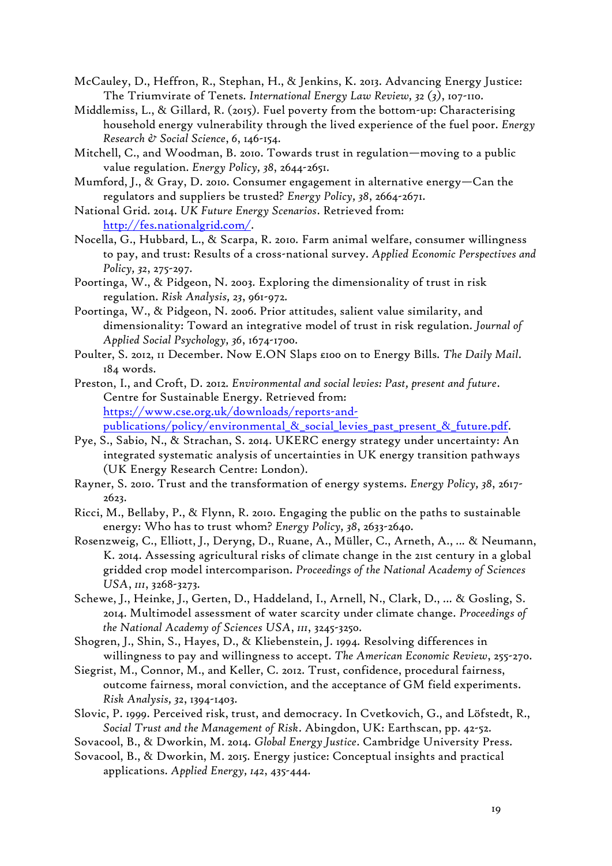- McCauley, D., Heffron, R., Stephan, H., & Jenkins, K. 2013. Advancing Energy Justice: The Triumvirate of Tenets. *International Energy Law Review, 32 (3)*, 107-110.
- Middlemiss, L., & Gillard, R. (2015). Fuel poverty from the bottom-up: Characterising household energy vulnerability through the lived experience of the fuel poor. *Energy Research & Social Science*, *6*, 146-154.
- Mitchell, C., and Woodman, B. 2010. Towards trust in regulation—moving to a public value regulation. *Energy Policy, 38*, 2644-2651.
- Mumford, J., & Gray, D. 2010. Consumer engagement in alternative energy—Can the regulators and suppliers be trusted? *Energy Policy, 38*, 2664-2671.
- National Grid. 2014. *UK Future Energy Scenarios*. Retrieved from: [http://fes.nationalgrid.com/.](http://fes.nationalgrid.com/)
- Nocella, G., Hubbard, L., & Scarpa, R. 2010. Farm animal welfare, consumer willingness to pay, and trust: Results of a cross-national survey. *Applied Economic Perspectives and Policy, 32*, 275-297.
- Poortinga, W., & Pidgeon, N. 2003. Exploring the dimensionality of trust in risk regulation. *Risk Analysis, 23*, 961-972.
- Poortinga, W., & Pidgeon, N. 2006. Prior attitudes, salient value similarity, and dimensionality: Toward an integrative model of trust in risk regulation. *Journal of Applied Social Psychology, 36*, 1674-1700.
- Poulter, S. 2012, 11 December. Now E.ON Slaps £100 on to Energy Bills. *The Daily Mail*. 184 words.
- Preston, I., and Croft, D. 2012. *Environmental and social levies: Past, present and future*. Centre for Sustainable Energy. Retrieved from: [https://www.cse.org.uk/downloads/reports-and](https://www.cse.org.uk/downloads/reports-and-publications/policy/environmental_&_social_levies_past_present_&_future.pdf)[publications/policy/environmental\\_&\\_social\\_levies\\_past\\_present\\_&\\_future.pdf.](https://www.cse.org.uk/downloads/reports-and-publications/policy/environmental_&_social_levies_past_present_&_future.pdf)
- Pye, S., Sabio, N., & Strachan, S. 2014. UKERC energy strategy under uncertainty: An integrated systematic analysis of uncertainties in UK energy transition pathways (UK Energy Research Centre: London).
- Rayner, S. 2010. Trust and the transformation of energy systems. *Energy Policy, 38*, 2617- 2623.
- Ricci, M., Bellaby, P., & Flynn, R. 2010. Engaging the public on the paths to sustainable energy: Who has to trust whom? *Energy Policy, 38*, 2633-2640.
- Rosenzweig, C., Elliott, J., Deryng, D., Ruane, A., Müller, C., Arneth, A., ... & Neumann, K. 2014. Assessing agricultural risks of climate change in the 21st century in a global gridded crop model intercomparison. *Proceedings of the National Academy of Sciences USA*, *111*, 3268-3273.
- Schewe, J., Heinke, J., Gerten, D., Haddeland, I., Arnell, N., Clark, D., ... & Gosling, S. 2014. Multimodel assessment of water scarcity under climate change. *Proceedings of the National Academy of Sciences USA*, *111*, 3245-3250.
- Shogren, J., Shin, S., Hayes, D., & Kliebenstein, J. 1994. Resolving differences in willingness to pay and willingness to accept. *The American Economic Review*, 255-270.
- Siegrist, M., Connor, M., and Keller, C. 2012. Trust, confidence, procedural fairness, outcome fairness, moral conviction, and the acceptance of GM field experiments. *Risk Analysis, 32*, 1394-1403.
- Slovic, P. 1999. Perceived risk, trust, and democracy. In Cvetkovich, G., and Löfstedt, R., *Social Trust and the Management of Risk*. Abingdon, UK: Earthscan, pp. 42-52.
- Sovacool, B., & Dworkin, M. 2014. *Global Energy Justice*. Cambridge University Press.
- Sovacool, B., & Dworkin, M. 2015. Energy justice: Conceptual insights and practical applications. *Applied Energy, 142*, 435-444.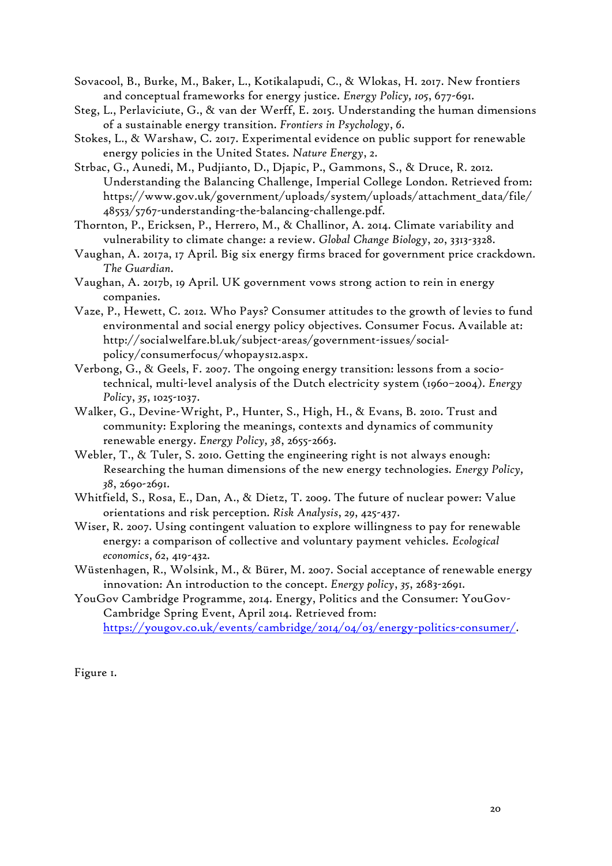- Sovacool, B., Burke, M., Baker, L., Kotikalapudi, C., & Wlokas, H. 2017. New frontiers and conceptual frameworks for energy justice. *Energy Policy, 105*, 677-691.
- Steg, L., Perlaviciute, G., & van der Werff, E. 2015. Understanding the human dimensions of a sustainable energy transition. *Frontiers in Psychology*, *6*.
- Stokes, L., & Warshaw, C. 2017. Experimental evidence on public support for renewable energy policies in the United States. *Nature Energy*, *2*.
- Strbac, G., Aunedi, M., Pudjianto, D., Djapic, P., Gammons, S., & Druce, R. 2012. Understanding the Balancing Challenge, Imperial College London. Retrieved from: https://www.gov.uk/government/uploads/system/uploads/attachment\_data/file/ 48553/5767-understanding-the-balancing-challenge.pdf.
- Thornton, P., Ericksen, P., Herrero, M., & Challinor, A. 2014. Climate variability and vulnerability to climate change: a review. *Global Change Biology*, *20*, 3313-3328.
- Vaughan, A. 2017a, 17 April. Big six energy firms braced for government price crackdown. *The Guardian*.
- Vaughan, A. 2017b, 19 April. UK government vows strong action to rein in energy companies.
- Vaze, P., Hewett, C. 2012. Who Pays? Consumer attitudes to the growth of levies to fund environmental and social energy policy objectives. Consumer Focus. Available at: http://socialwelfare.bl.uk/subject-areas/government-issues/socialpolicy/consumerfocus/whopays12.aspx.
- Verbong, G., & Geels, F. 2007. The ongoing energy transition: lessons from a sociotechnical, multi-level analysis of the Dutch electricity system (1960–2004). *Energy Policy*, *35*, 1025-1037.
- Walker, G., Devine-Wright, P., Hunter, S., High, H., & Evans, B. 2010. Trust and community: Exploring the meanings, contexts and dynamics of community renewable energy. *Energy Policy, 38*, 2655-2663.
- Webler, T., & Tuler, S. 2010. Getting the engineering right is not always enough: Researching the human dimensions of the new energy technologies. *Energy Policy, 38*, 2690-2691.
- Whitfield, S., Rosa, E., Dan, A., & Dietz, T. 2009. The future of nuclear power: Value orientations and risk perception. *Risk Analysis*, *29*, 425-437.
- Wiser, R. 2007. Using contingent valuation to explore willingness to pay for renewable energy: a comparison of collective and voluntary payment vehicles. *Ecological economics*, *62*, 419-432.
- Wüstenhagen, R., Wolsink, M., & Bürer, M. 2007. Social acceptance of renewable energy innovation: An introduction to the concept. *Energy policy*, *35*, 2683-2691.

YouGov Cambridge Programme, 2014. Energy, Politics and the Consumer: YouGov-Cambridge Spring Event, April 2014. Retrieved from: [https://yougov.co.uk/events/cambridge/2014/04/03/energy-politics-consumer/.](https://yougov.co.uk/events/cambridge/2014/04/03/energy-politics-consumer/)

Figure 1.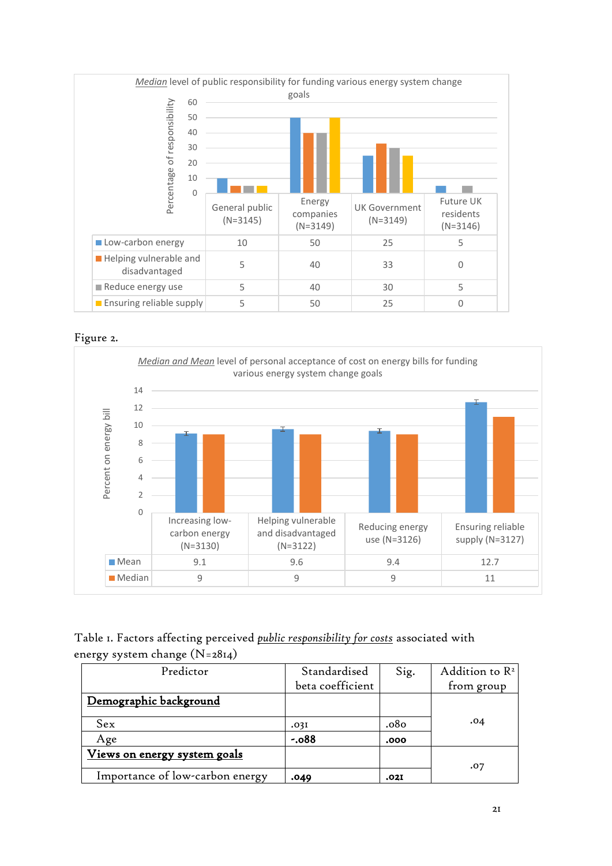





| Table 1. Factors affecting perceived <i>public responsibility for costs</i> associated with |  |  |
|---------------------------------------------------------------------------------------------|--|--|
| energy system change (N=2814)                                                               |  |  |

| Predictor                       | Standardised     | Sig. | Addition to R <sup>2</sup> |
|---------------------------------|------------------|------|----------------------------|
|                                 | beta coefficient |      | from group                 |
| Demographic background          |                  |      |                            |
|                                 |                  |      |                            |
| Sex                             | .03I             | .080 | .04                        |
| Age                             | $-.088$          | .000 |                            |
| Views on energy system goals    |                  |      |                            |
|                                 |                  |      | .07                        |
| Importance of low-carbon energy | .049             | .021 |                            |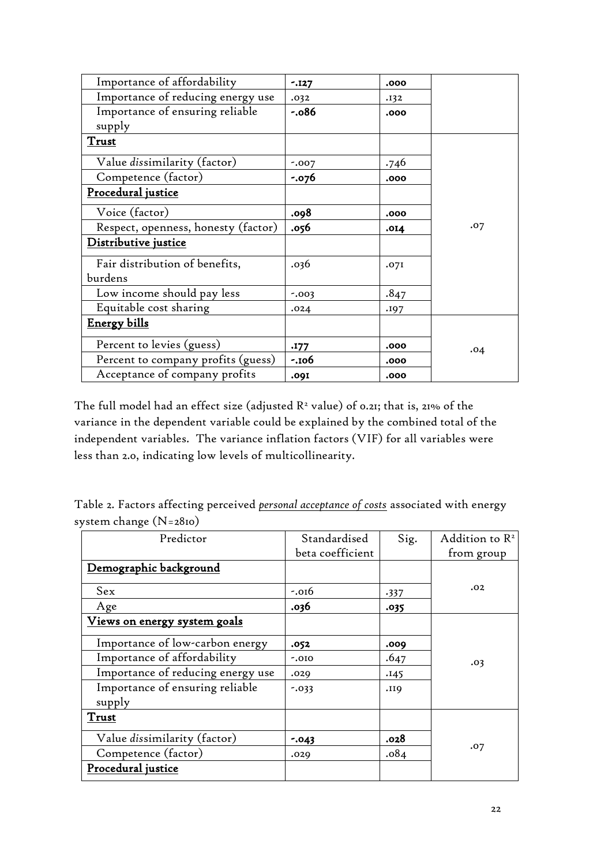| Importance of affordability         | $-127$   | .000 |     |
|-------------------------------------|----------|------|-----|
| Importance of reducing energy use   | .032     | .132 |     |
| Importance of ensuring reliable     | $-.086$  | .000 |     |
| supply                              |          |      |     |
| Trust                               |          |      |     |
| Value dissimilarity (factor)        | $-0.007$ | .746 |     |
| Competence (factor)                 | $-0.076$ | .000 |     |
| Procedural justice                  |          |      |     |
| Voice (factor)                      | 890.     | .000 |     |
| Respect, openness, honesty (factor) | .056     | .014 | .07 |
| Distributive justice                |          |      |     |
| Fair distribution of benefits,      | .036     | .07I |     |
| burdens                             |          |      |     |
| Low income should pay less          | $-0.003$ | .847 |     |
| Equitable cost sharing              | .024     | .197 |     |
| <b>Energy bills</b>                 |          |      |     |
| Percent to levies (guess)           | .177     | .000 | .04 |
| Percent to company profits (guess)  | -.106    | .000 |     |
| Acceptance of company profits       | .091     | .000 |     |

The full model had an effect size (adjusted  $\mathbb{R}^2$  value) of 0.21; that is, 21% of the variance in the dependent variable could be explained by the combined total of the independent variables. The variance inflation factors (VIF) for all variables were less than 2.0, indicating low levels of multicollinearity.

Table 2. Factors affecting perceived *personal acceptance of costs* associated with energy system change (N=2810)

| Predictor                                 | Standardised     | Sig.   | Addition to R <sup>2</sup> |
|-------------------------------------------|------------------|--------|----------------------------|
|                                           | beta coefficient |        | from group                 |
| Demographic background                    |                  |        |                            |
| Sex                                       | $-.016$          | $-337$ | .02                        |
| Age                                       | .036             | .035   |                            |
| <u>Views on energy system goals</u>       |                  |        |                            |
| Importance of low-carbon energy           | .052             | ,009   |                            |
| Importance of affordability               | $-.010$          | .647   | .03                        |
| Importance of reducing energy use         | .029             | .145   |                            |
| Importance of ensuring reliable<br>supply | $-0.033$         | ,II9   |                            |
| Trust                                     |                  |        |                            |
| Value dissimilarity (factor)              | $-0.043$         | .028   |                            |
| Competence (factor)                       | .029             | .084   | .07                        |
| Procedural justice                        |                  |        |                            |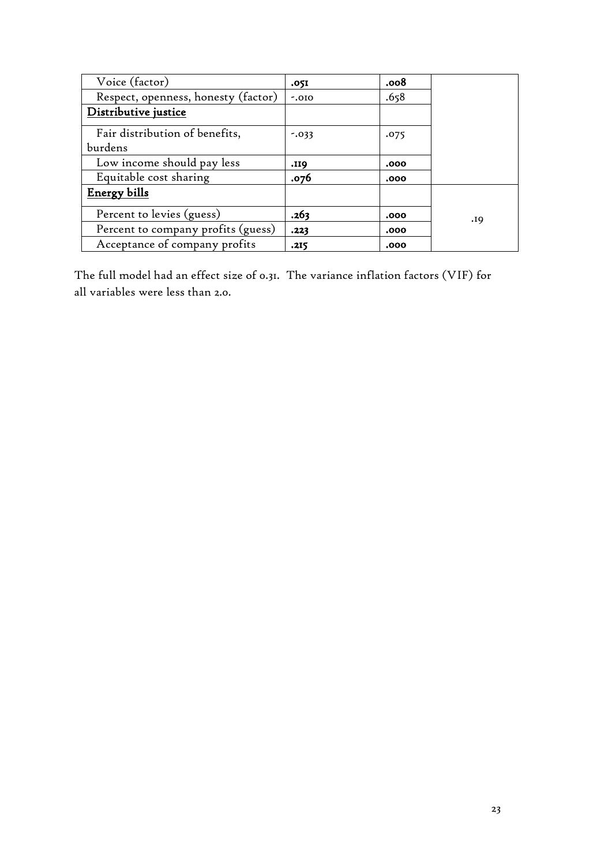| Voice (factor)                      | .051        | .008 |     |
|-------------------------------------|-------------|------|-----|
| Respect, openness, honesty (factor) | $-.010$     | .658 |     |
| Distributive justice                |             |      |     |
| Fair distribution of benefits,      | $-0.033$    | .075 |     |
| burdens                             |             |      |     |
| Low income should pay less          | <b>.IIQ</b> | .000 |     |
| Equitable cost sharing              | .076        | .000 |     |
| <b>Energy bills</b>                 |             |      |     |
| Percent to levies (guess)           | .263        | .000 | .19 |
| Percent to company profits (guess)  | .223        | .000 |     |
| Acceptance of company profits       | .215        | .000 |     |

The full model had an effect size of 0.31. The variance inflation factors (VIF) for all variables were less than 2.0.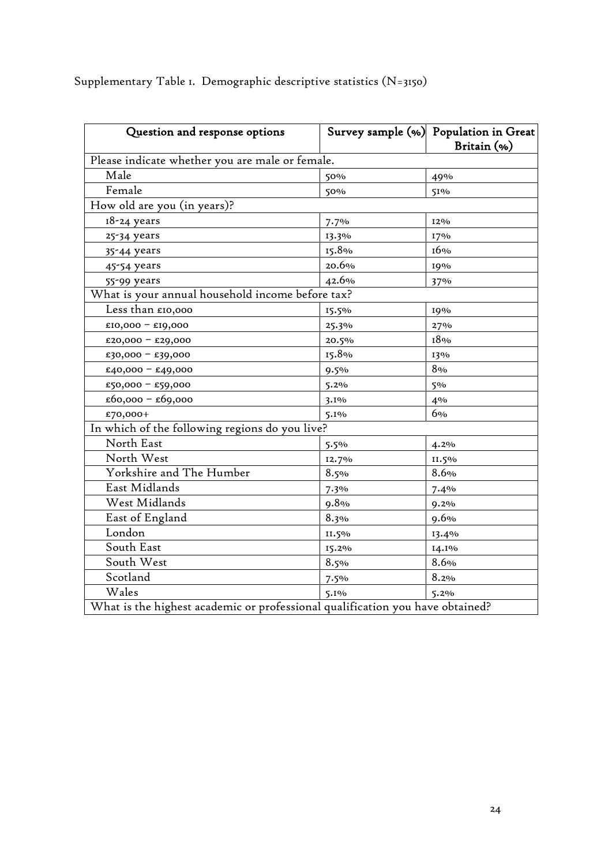| Supplementary Table 1. Demographic descriptive statistics (N=3150) |  |  |  |
|--------------------------------------------------------------------|--|--|--|
|                                                                    |  |  |  |

| Question and response options                                                 |         | Survey sample (%) Population in Great<br>Britain $(\% )$ |
|-------------------------------------------------------------------------------|---------|----------------------------------------------------------|
| Please indicate whether you are male or female.                               |         |                                                          |
| Male                                                                          | 50%     | 49%                                                      |
| Female                                                                        | 50%     | 51%                                                      |
| How old are you (in years)?                                                   |         |                                                          |
| 18-24 years                                                                   | 7.7%    | $12\%$                                                   |
| 25-34 years                                                                   | 13.3%   | 17%                                                      |
| 35-44 years                                                                   | 15.8%   | 16%                                                      |
| 45-54 years                                                                   | 20.6%   | 19%                                                      |
| 55-99 years                                                                   | 42.6%   | 37%                                                      |
| What is your annual household income before tax?                              |         |                                                          |
| Less than £10,000                                                             | 15.5%   | 19%                                                      |
| £10,000 - £19,000                                                             | 25.3%   | 27%                                                      |
| £20,000 - £29,000                                                             | 20.5%   | 18%                                                      |
| £30,000 - £39,000                                                             | 15.8%   | 13%                                                      |
| $£40,000 - £49,000$                                                           | 9.5%    | 8%                                                       |
| ε50,000 - ε59,000                                                             | 5.2%    | 5%                                                       |
| $\epsilon$ 60,000 - $\epsilon$ 69,000                                         | $3.1\%$ | 4%                                                       |
| £70,000+                                                                      | $5.1\%$ | 6%                                                       |
| In which of the following regions do you live?                                |         |                                                          |
| North East                                                                    | $5.5\%$ | 4.2%                                                     |
| North West                                                                    | 12.7%   | II.5%                                                    |
| Yorkshire and The Humber                                                      | 8.5%    | 8.6%                                                     |
| East Midlands                                                                 | 7.3%    | 7.4%                                                     |
| West Midlands                                                                 | 9.8%    | 9.2%                                                     |
| East of England                                                               | 8.3%    | 9.6%                                                     |
| London                                                                        | II.5%   | 13.4%                                                    |
| South East                                                                    | 15.2%   | 14.1%                                                    |
| South West                                                                    | 8.5%    | 8.6%                                                     |
| Scotland                                                                      | 7.5%    | 8.2%                                                     |
| Wales                                                                         | $5.1\%$ | 5.2%                                                     |
| What is the highest academic or professional qualification you have obtained? |         |                                                          |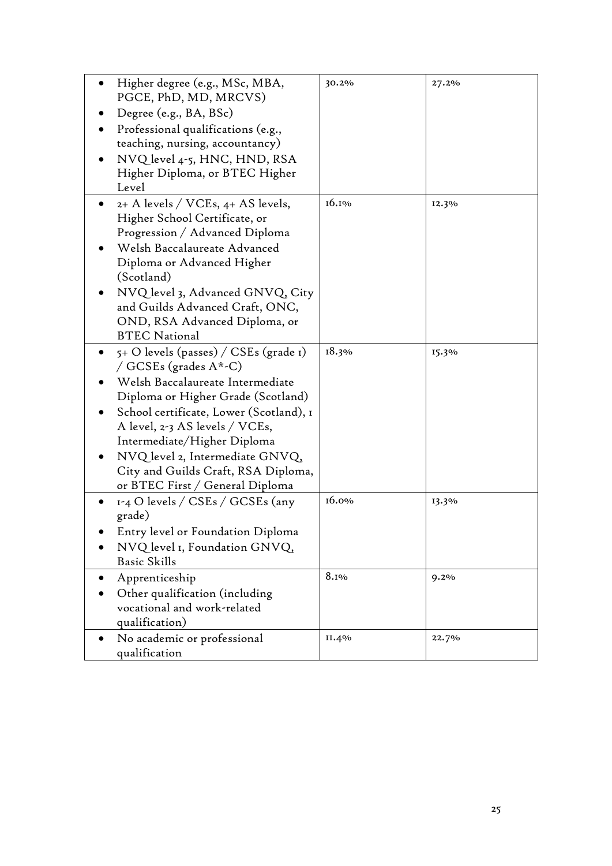| ٠         | Higher degree (e.g., MSc, MBA,<br>PGCE, PhD, MD, MRCVS) | 30.2%    | 27.2% |
|-----------|---------------------------------------------------------|----------|-------|
|           | Degree (e.g., BA, BSc)                                  |          |       |
|           | Professional qualifications (e.g.,                      |          |       |
|           | teaching, nursing, accountancy)                         |          |       |
|           | NVQ level 4-5, HNC, HND, RSA                            |          |       |
|           | Higher Diploma, or BTEC Higher                          |          |       |
|           | Level                                                   |          |       |
|           | $2+$ A levels / VCEs, $4+$ AS levels,                   | 16.1%    | 12.3% |
|           | Higher School Certificate, or                           |          |       |
|           | Progression / Advanced Diploma                          |          |       |
|           | Welsh Baccalaureate Advanced                            |          |       |
|           | Diploma or Advanced Higher                              |          |       |
|           | (Scotland)                                              |          |       |
|           | NVQ level 3, Advanced GNVQ, City                        |          |       |
|           | and Guilds Advanced Craft, ONC,                         |          |       |
|           | OND, RSA Advanced Diploma, or                           |          |       |
|           | <b>BTEC National</b>                                    |          |       |
|           | 5+ O levels (passes) / CSEs (grade 1)                   | 18.3%    | 15.3% |
|           | / GCSEs (grades A*-C)                                   |          |       |
|           | Welsh Baccalaureate Intermediate                        |          |       |
|           | Diploma or Higher Grade (Scotland)                      |          |       |
|           | School certificate, Lower (Scotland), I                 |          |       |
|           | A level, 2-3 AS levels / VCEs,                          |          |       |
|           | Intermediate/Higher Diploma                             |          |       |
|           | NVQ level 2, Intermediate GNVQ,                         |          |       |
|           | City and Guilds Craft, RSA Diploma,                     |          |       |
|           | or BTEC First / General Diploma                         |          |       |
|           | 1-4 O levels / CSEs / GCSEs (any                        | $16.0\%$ | 13.3% |
|           | grade)                                                  |          |       |
|           | Entry level or Foundation Diploma                       |          |       |
|           | NVQ level I, Foundation GNVQ,                           |          |       |
|           | <b>Basic Skills</b>                                     |          |       |
|           | Apprenticeship                                          | 8.1%     | 9.2%  |
|           | Other qualification (including                          |          |       |
|           | vocational and work-related                             |          |       |
|           | qualification)                                          |          |       |
| $\bullet$ | No academic or professional                             | II.4%    | 22.7% |
|           | qualification                                           |          |       |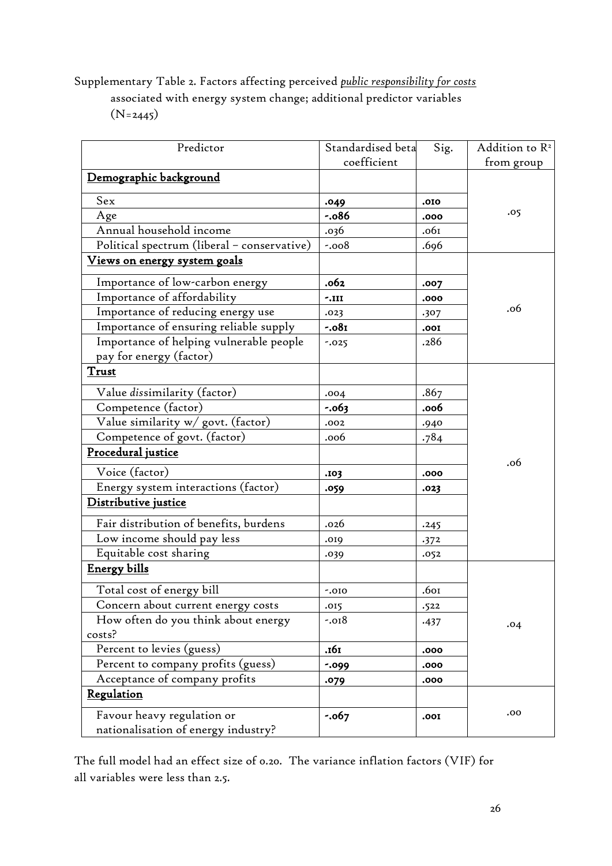Supplementary Table 2. Factors affecting perceived *public responsibility for costs* associated with energy system change; additional predictor variables  $(N=2445)$ 

| Predictor                                   | Standardised beta | Sig.   | Addition to R <sup>2</sup> |
|---------------------------------------------|-------------------|--------|----------------------------|
|                                             | coefficient       |        | from group                 |
| Demographic background                      |                   |        |                            |
| Sex                                         | .049              | .010   |                            |
| Age                                         | $-0.086$          | .000   | .05                        |
| Annual household income                     | .036              | .061   |                            |
| Political spectrum (liberal - conservative) | $-0.08$           | .696   |                            |
| <u>Views on energy system goals</u>         |                   |        |                            |
| Importance of low-carbon energy             | .062              | .007   |                            |
| Importance of affordability                 | $-.III.$          | .000   |                            |
| Importance of reducing energy use           | .023              | .307   | .06                        |
| Importance of ensuring reliable supply      | $-0.081$          | .001   |                            |
| Importance of helping vulnerable people     | $-0.025$          | .286   |                            |
| pay for energy (factor)                     |                   |        |                            |
| Trust                                       |                   |        |                            |
| Value dissimilarity (factor)                | .004              | .867   |                            |
| Competence (factor)                         | $-0.063$          | .oo6   |                            |
| Value similarity w/govt. (factor)           | .002              | .940   |                            |
| Competence of govt. (factor)                | .oo6              | .784   |                            |
| Procedural justice                          |                   |        |                            |
| Voice (factor)                              | .103              | .000   | .06                        |
| Energy system interactions (factor)         | .059              | .023   |                            |
| Distributive justice                        |                   |        |                            |
| Fair distribution of benefits, burdens      | .026              | .245   |                            |
| Low income should pay less                  | .019              | .372   |                            |
| Equitable cost sharing                      | .039              | .052   |                            |
| <b>Energy bills</b>                         |                   |        |                            |
| Total cost of energy bill                   | $-.010$           | .601   |                            |
| Concern about current energy costs          | .015              | .522   |                            |
| How often do you think about energy         | $-.018$           | $-437$ | .04                        |
| costs?                                      |                   |        |                            |
| Percent to levies (guess)                   | 161.              | .000   |                            |
| Percent to company profits (guess)          | $-0.099$          | .000   |                            |
| Acceptance of company profits               | .079              | .000   |                            |
| <b>Regulation</b>                           |                   |        |                            |
| Favour heavy regulation or                  | $-0.067$          | .001   | .00                        |
| nationalisation of energy industry?         |                   |        |                            |

The full model had an effect size of 0.20. The variance inflation factors (VIF) for all variables were less than 2.5.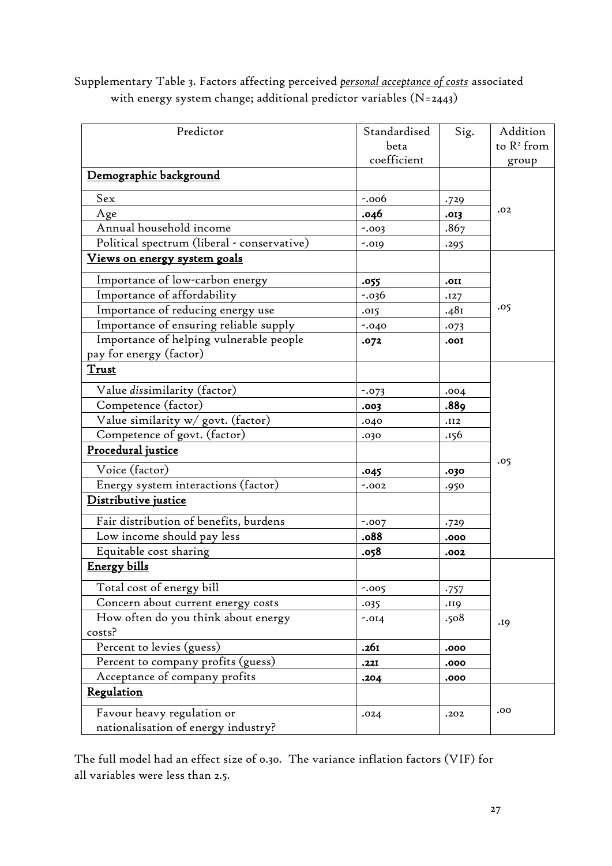| Supplementary Table 3. Factors affecting perceived personal acceptance of costs associated |  |
|--------------------------------------------------------------------------------------------|--|
| with energy system change; additional predictor variables $(N=2443)$                       |  |

| Predictor                                             | Standardised | Sig. | Addition      |
|-------------------------------------------------------|--------------|------|---------------|
|                                                       | beta         |      | to $R^2$ from |
|                                                       | coefficient  |      | group         |
| Demographic background                                |              |      |               |
| Sex                                                   | $-.006$      | .729 |               |
| Age                                                   | .046         | .013 | .02           |
| Annual household income                               | $-0.003$     | .867 |               |
| Political spectrum (liberal - conservative)           | $-.019$      | .295 |               |
| <u>Views on energy system goals</u>                   |              |      |               |
| Importance of low-carbon energy                       | .055         | .oii |               |
| Importance of affordability                           | $-0.036$     | .127 |               |
| Importance of reducing energy use                     | .015         | .481 | .05           |
| Importance of ensuring reliable supply                | $-0.040$     | .073 |               |
| Importance of helping vulnerable people               | .072         | .ooi |               |
| pay for energy (factor)                               |              |      |               |
| Trust                                                 |              |      |               |
| Value dissimilarity (factor)                          | $-0.073$     | .004 |               |
| Competence (factor)                                   | .003         | .889 |               |
| $\overline{\text{Value}}$ similarity w/govt. (factor) | .040         | .II2 |               |
| Competence of govt. (factor)                          | .030         | .156 |               |
| Procedural justice                                    |              |      |               |
| Voice (factor)                                        | .045         | .030 | .05           |
| Energy system interactions (factor)                   | $-0.002$     | .950 |               |
| Distributive justice                                  |              |      |               |
| Fair distribution of benefits, burdens                | $-0.007$     | .729 |               |
| Low income should pay less                            | .o88         | .000 |               |
| Equitable cost sharing                                | .058         | .002 |               |
| <b>Energy bills</b>                                   |              |      |               |
| Total cost of energy bill                             | $-0.005$     | .757 |               |
| Concern about current energy costs                    | .035         | .119 |               |
| How often do you think about energy                   | $-.014$      | .508 | .19           |
| costs?                                                |              |      |               |
| Percent to levies (guess)                             | .261         | .000 |               |
| Percent to company profits (guess)                    | .221         | .000 |               |
| Acceptance of company profits                         | .204         | .000 |               |
| Regulation                                            |              |      |               |
| Favour heavy regulation or                            | .024         | .202 | .00           |
| nationalisation of energy industry?                   |              |      |               |

The full model had an effect size of 0.30. The variance inflation factors (VIF) for all variables were less than 2.5.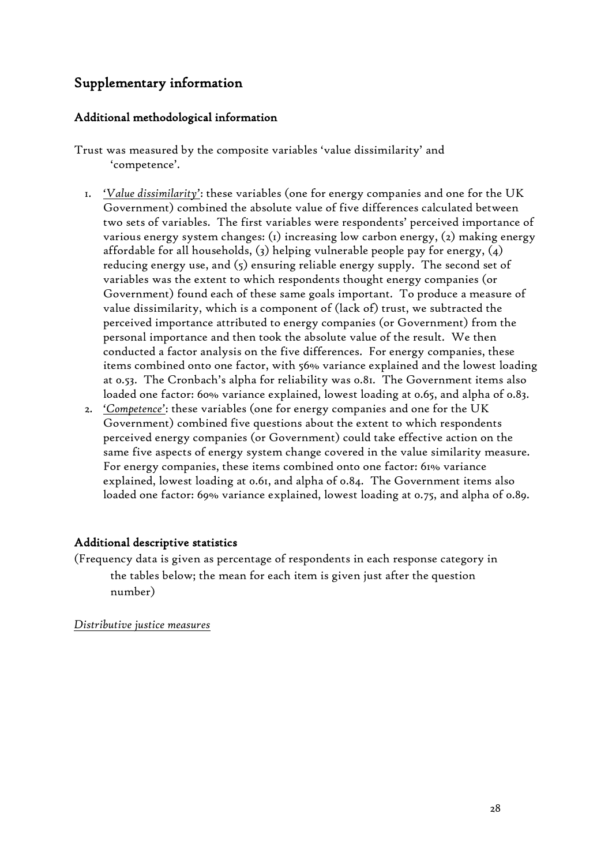# Supplementary information

#### Additional methodological information

- Trust was measured by the composite variables 'value dissimilarity' and 'competence'.
	- 1. *'Value dissimilarity'*: these variables (one for energy companies and one for the UK Government) combined the absolute value of five differences calculated between two sets of variables. The first variables were respondents' perceived importance of various energy system changes: (1) increasing low carbon energy, (2) making energy affordable for all households,  $(3)$  helping vulnerable people pay for energy,  $(4)$ reducing energy use, and (5) ensuring reliable energy supply. The second set of variables was the extent to which respondents thought energy companies (or Government) found each of these same goals important. To produce a measure of value dissimilarity, which is a component of (lack of) trust, we subtracted the perceived importance attributed to energy companies (or Government) from the personal importance and then took the absolute value of the result. We then conducted a factor analysis on the five differences. For energy companies, these items combined onto one factor, with 56% variance explained and the lowest loading at 0.53. The Cronbach's alpha for reliability was 0.81. The Government items also loaded one factor: 60% variance explained, lowest loading at 0.65, and alpha of 0.83.
	- 2. *'Competence'*: these variables (one for energy companies and one for the UK Government) combined five questions about the extent to which respondents perceived energy companies (or Government) could take effective action on the same five aspects of energy system change covered in the value similarity measure. For energy companies, these items combined onto one factor: 61% variance explained, lowest loading at 0.61, and alpha of 0.84. The Government items also loaded one factor: 69% variance explained, lowest loading at 0.75, and alpha of 0.89.

#### Additional descriptive statistics

(Frequency data is given as percentage of respondents in each response category in the tables below; the mean for each item is given just after the question number)

*Distributive justice measures*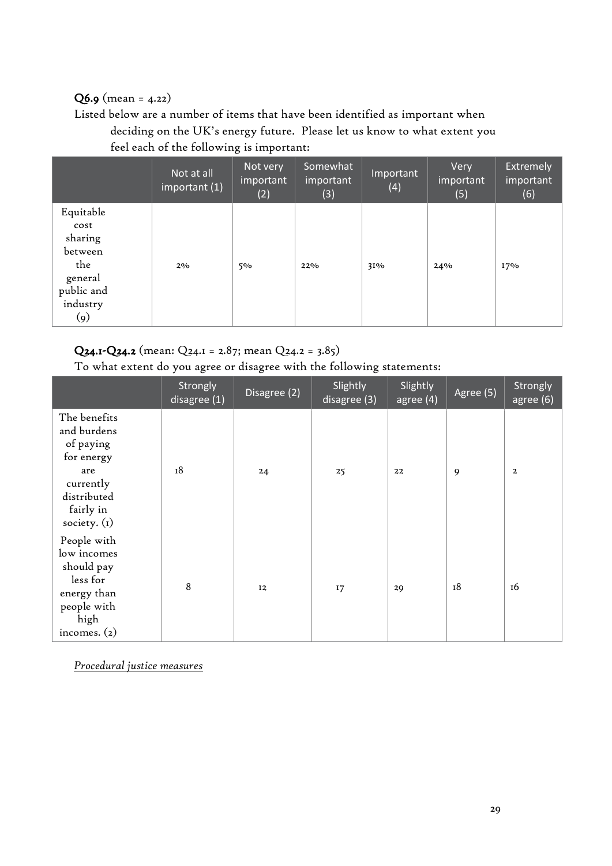## Q6.9 (mean = 4.22)

Listed below are a number of items that have been identified as important when deciding on the UK's energy future. Please let us know to what extent you feel each of the following is important:

|                                                                                                          | Not at all<br>important (1) | Not very<br>important<br>(2) | Somewhat<br>important<br>(3) | Important<br>(4) | Very<br>important<br>(5) | Extremely<br>important<br>(6) |
|----------------------------------------------------------------------------------------------------------|-----------------------------|------------------------------|------------------------------|------------------|--------------------------|-------------------------------|
| Equitable<br>cost<br>sharing<br>between<br>the<br>general<br>public and<br>industry<br>$\left( 9\right)$ | 2%                          | 5%                           | 22%                          | 31%              | 24%                      | 17%                           |

#### Q24.1-Q24.2 (mean: Q24.1 = 2.87; mean Q24.2 = 3.85)

To what extent do you agree or disagree with the following statements:

|                                                                                                                          | Strongly<br>disagree (1) | Disagree (2) | Slightly<br>disagree (3) | Slightly<br>agree $(4)$ | Agree (5) | Strongly<br>agree (6) |
|--------------------------------------------------------------------------------------------------------------------------|--------------------------|--------------|--------------------------|-------------------------|-----------|-----------------------|
| The benefits<br>and burdens<br>of paying<br>for energy<br>are<br>currently<br>distributed<br>fairly in<br>society. $(i)$ | 18                       | 24           | 25                       | $22$                    | 9         | $\overline{a}$        |
| People with<br>low incomes<br>should pay<br>less for<br>energy than<br>people with<br>high<br>incomes. $(2)$             | 8                        | 12           | 17                       | 29                      | 18        | 16                    |

*Procedural justice measures*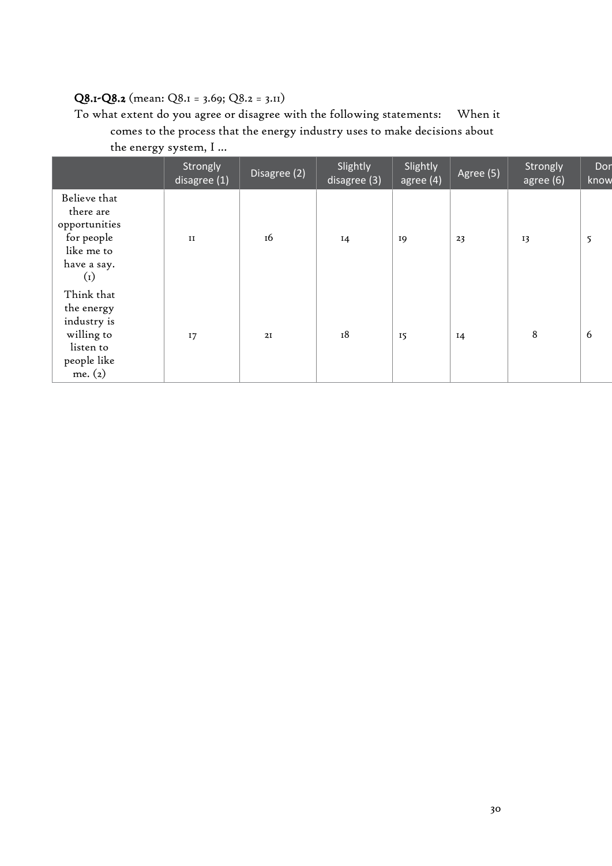## Q8.1-Q8.2 (mean: Q8.1 = 3.69; Q8.2 = 3.11)

To what extent do you agree or disagree with the following statements: When it comes to the process that the energy industry uses to make decisions about the energy system, I ...

|                                                                                                             | Strongly<br>disagree (1) | Disagree (2) | Slightly<br>disagree (3) | Slightly<br>agree $(4)$ | Agree (5) | Strongly<br>agree $(6)$ | Dor<br>know |
|-------------------------------------------------------------------------------------------------------------|--------------------------|--------------|--------------------------|-------------------------|-----------|-------------------------|-------------|
| Believe that<br>there are<br>opportunities<br>for people<br>like me to<br>have a say.<br>$\left( 1 \right)$ | II                       | 16           | I4                       | 19                      | 23        | 13                      | 5           |
| Think that<br>the energy<br>industry is<br>willing to<br>listen to<br>people like<br>me. (2)                | 17                       | 2I           | 18                       | 15                      | I4        | 8                       | 6           |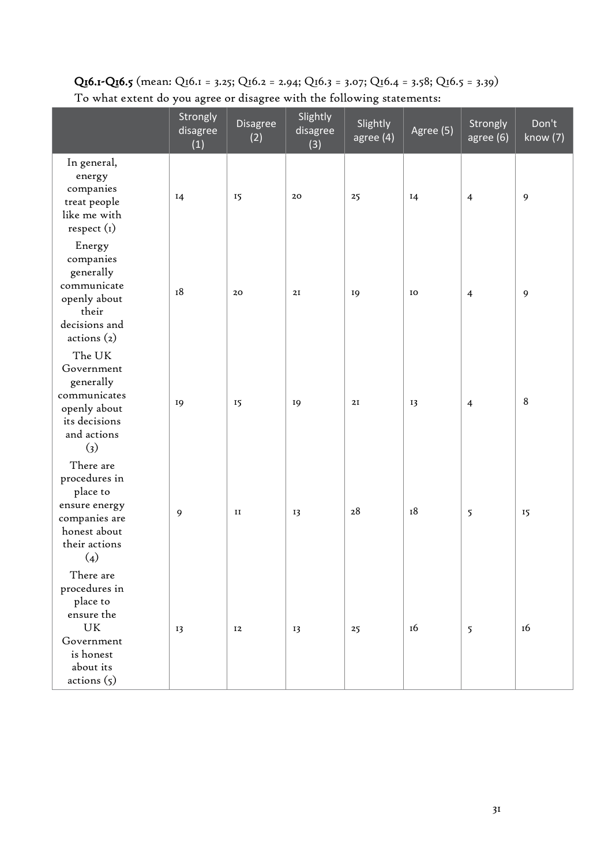|                                                                                                                   | Strongly<br>disagree<br>(1) | Disagree<br>(2) | Slightly<br>disagree<br>(3) | Slightly<br>agree (4) | Agree (5) | Strongly<br>agree (6) | Don't<br>know (7) |
|-------------------------------------------------------------------------------------------------------------------|-----------------------------|-----------------|-----------------------------|-----------------------|-----------|-----------------------|-------------------|
| In general,<br>energy<br>companies<br>treat people<br>like me with<br>respect (i)                                 | 14                          | 15              | 20                          | 25                    | I4        | $\overline{4}$        | 9                 |
| Energy<br>companies<br>generally<br>communicate<br>openly about<br>their<br>decisions and<br>actions (2)          | 18                          | 20              | 2I                          | 19                    | IO        | $\overline{4}$        | 9                 |
| The UK<br>Government<br>generally<br>communicates<br>openly about<br>its decisions<br>and actions<br>(3)          | 19                          | 15              | 19                          | 2I                    | 13        | 4                     | 8                 |
| There are<br>procedures in<br>place to<br>ensure energy<br>companies are<br>honest about<br>their actions<br>(4)  | 9                           | II              | 13                          | 28                    | 18        | 5                     | 15                |
| There are<br>procedures in<br>place to<br>ensure the<br>UK<br>Government<br>is honest<br>about its<br>actions (5) | 13                          | 12              | 13                          | 25                    | 16        | 5                     | 16                |

# Q16.1-Q16.5 (mean: Q16.1 = 3.25; Q16.2 = 2.94; Q16.3 = 3.07; Q16.4 = 3.58; Q16.5 = 3.39) To what extent do you agree or disagree with the following statements: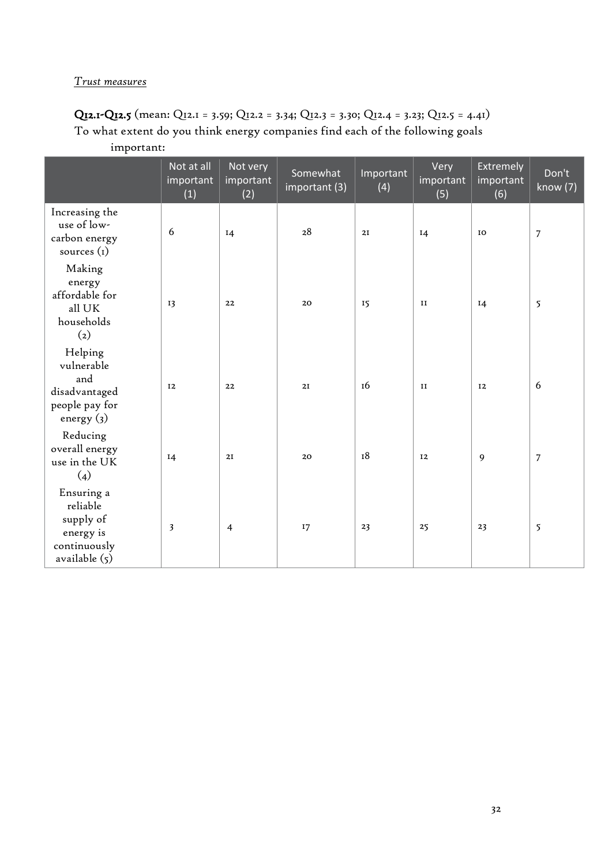#### *Trust measures*

Q12.1-Q12.5 (mean: Q12.1 = 3.59; Q12.2 = 3.34; Q12.3 = 3.30; Q12.4 = 3.23; Q12.5 = 4.41) To what extent do you think energy companies find each of the following goals important:

|                                                                                   | Not at all<br>important<br>(1) | Not very<br>important<br>(2) | Somewhat<br>important (3) | Important<br>(4) | Very<br>important<br>(5) | Extremely<br>important<br>(6) | Don't<br>know (7) |
|-----------------------------------------------------------------------------------|--------------------------------|------------------------------|---------------------------|------------------|--------------------------|-------------------------------|-------------------|
| Increasing the<br>use of low-<br>carbon energy<br>sources $(i)$                   | 6                              | I4                           | 28                        | 2I               | I4                       | IO                            | $\overline{7}$    |
| Making<br>energy<br>affordable for<br>all UK<br>households<br>$\left( 2\right)$   | 13                             | 22                           | 20                        | 15               | II                       | I4                            | 5                 |
| Helping<br>vulnerable<br>and<br>disadvantaged<br>people pay for<br>energy $(3)$   | 12                             | 22                           | 2I                        | <sup>16</sup>    | II                       | I2                            | 6                 |
| Reducing<br>overall energy<br>use in the UK<br>(4)                                | I4                             | 2I                           | 20                        | 18               | 12                       | 9                             | $\overline{7}$    |
| Ensuring a<br>reliable<br>supply of<br>energy is<br>continuously<br>available (5) | $\overline{\mathbf{3}}$        | $\overline{\mathbf{4}}$      | 17                        | 23               | 25                       | 23                            | 5                 |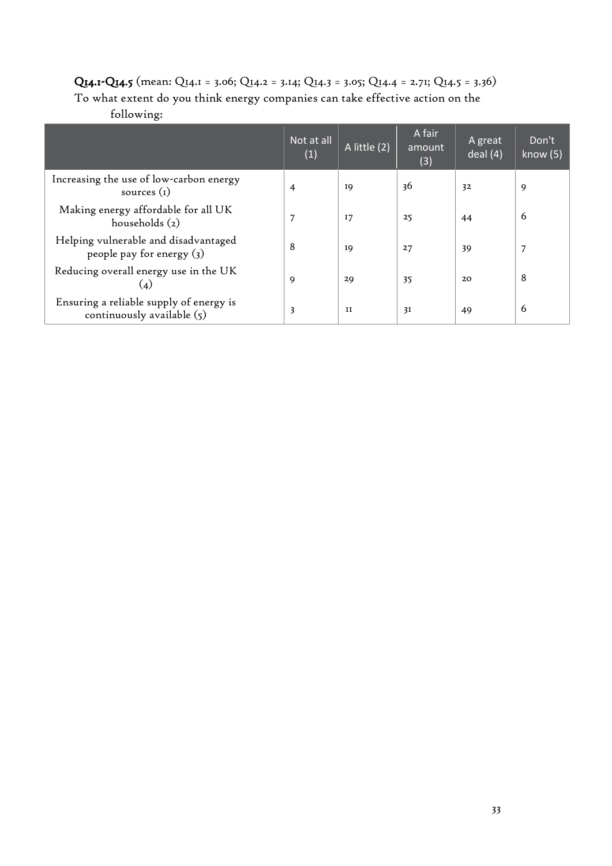# Q14.1-Q14.5 (mean: Q14.1 = 3.06; Q14.2 = 3.14; Q14.3 = 3.05; Q14.4 = 2.71; Q14.5 = 3.36)

To what extent do you think energy companies can take effective action on the

|                                                                         | Not at all<br>(1) | A little (2) | A fair<br>amount<br>(3) | A great<br>deal $(4)$ | Don't<br>know $(5)$ |
|-------------------------------------------------------------------------|-------------------|--------------|-------------------------|-----------------------|---------------------|
| Increasing the use of low-carbon energy<br>sources $(i)$                | 4                 | 19           | 36                      | 32                    | 9                   |
| Making energy affordable for all UK<br>households $(z)$                 |                   | 17           | 25                      | 44                    | 6                   |
| Helping vulnerable and disadvantaged<br>people pay for energy $(3)$     | 8                 | 19           | 27                      | 39                    |                     |
| Reducing overall energy use in the UK<br>(4)                            | 9                 | 29           | 35                      | 20                    | 8                   |
| Ensuring a reliable supply of energy is<br>continuously available $(5)$ | 3                 | II           | 3I                      | 49                    | 6                   |

#### following: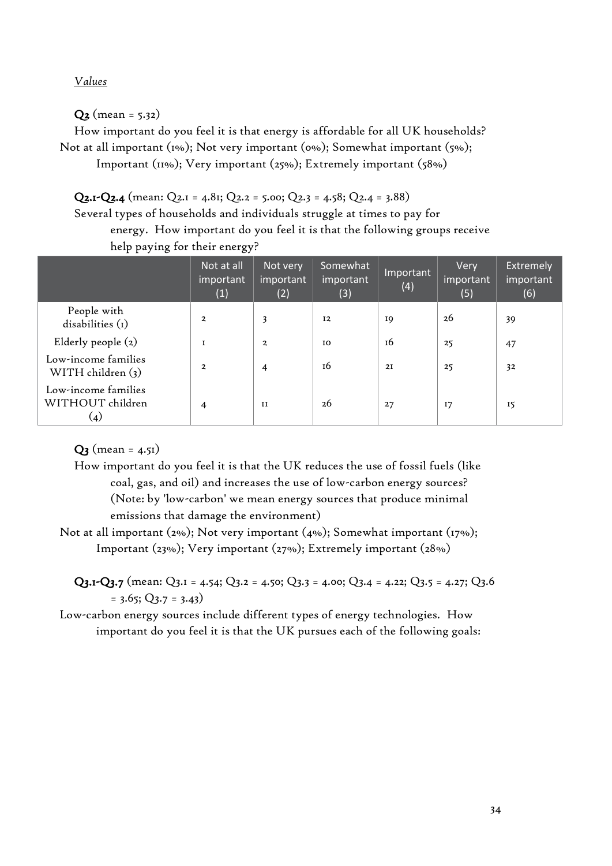#### *Values*

 $Q_2$  (mean = 5.32)

How important do you feel it is that energy is affordable for all UK households? Not at all important (1%); Not very important (0%); Somewhat important (5%);

Important (11%); Very important (25%); Extremely important (58%)

 $Q$ 2.1- $Q$ 2.4 (mean:  $Q$ 2.1 = 4.81;  $Q$ 2.2 = 5.00;  $Q$ 2.3 = 4.58;  $Q$ 2.4 = 3.88)

Several types of households and individuals struggle at times to pay for energy. How important do you feel it is that the following groups receive help paying for their energy?

|                                                | Not at all<br>important<br>(1) | Not very<br>important<br>(2) | Somewhat<br>important<br>(3) | Important<br>(4) | Very<br>important<br>(5) | <b>Extremely</b><br>important<br>(6) |
|------------------------------------------------|--------------------------------|------------------------------|------------------------------|------------------|--------------------------|--------------------------------------|
| People with<br>disabilities (1)                | $\mathbf{2}$                   | 3                            | I <sub>2</sub>               | 19               | 26                       | 39                                   |
| Elderly people $(2)$                           |                                | $\overline{2}$               | <b>TO</b>                    | <sup>16</sup>    | 25                       | 47                                   |
| Low-income families<br>WITH children $(3)$     | $\mathbf{2}$                   | $\overline{4}$               | 16                           | 2I               | 25                       | 32                                   |
| Low-income families<br>WITHOUT children<br>(4) | 4                              | II                           | 26                           | 27               | 17                       | 15                                   |

 $Q_3$  (mean = 4.51)

- How important do you feel it is that the UK reduces the use of fossil fuels (like coal, gas, and oil) and increases the use of low-carbon energy sources? (Note: by 'low-carbon' we mean energy sources that produce minimal emissions that damage the environment)
- Not at all important (2%); Not very important (4%); Somewhat important (17%); Important (23%); Very important (27%); Extremely important (28%)

Q3.1-Q3.7 (mean: Q3.1 = 4.54; Q3.2 = 4.50; Q3.3 = 4.00; Q3.4 = 4.22; Q3.5 = 4.27; Q3.6  $= 3.65$ ; Q3.7 = 3.43)

Low-carbon energy sources include different types of energy technologies. How important do you feel it is that the UK pursues each of the following goals: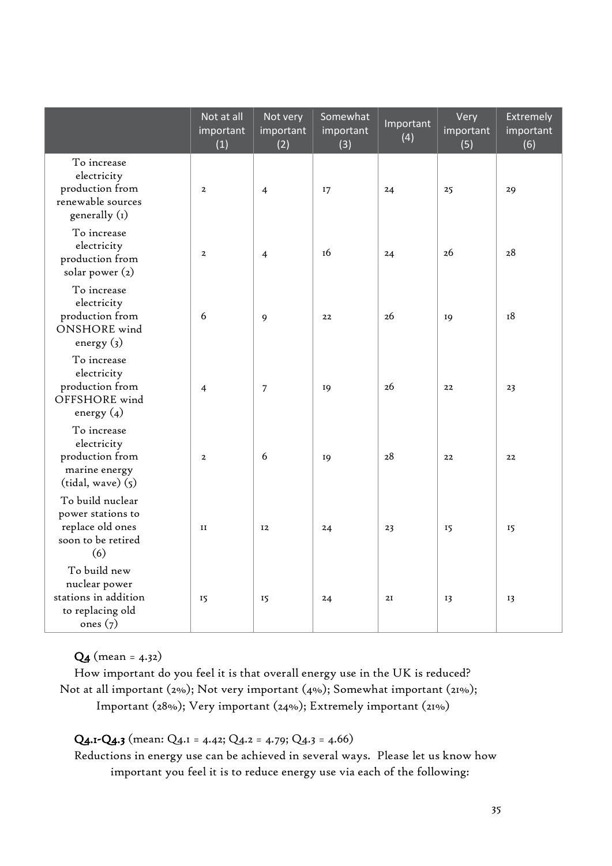|                                                                                         | Not at all<br>important<br>(1) | Not very<br>important<br>(2) | Somewhat<br>important<br>(3) | Important<br>(4) | Very<br>important<br>(5) | Extremely<br>important<br>(6) |
|-----------------------------------------------------------------------------------------|--------------------------------|------------------------------|------------------------------|------------------|--------------------------|-------------------------------|
| To increase<br>electricity<br>production from<br>renewable sources<br>generally $(i)$   | $\overline{a}$                 | $\overline{4}$               | 17                           | 24               | 25                       | 29                            |
| To increase<br>electricity<br>production from<br>solar power $(2)$                      | $\overline{2}$                 | $\overline{4}$               | 16                           | 24               | 26                       | 28                            |
| To increase<br>electricity<br>production from<br><b>ONSHORE</b> wind<br>energy $(3)$    | 6                              | 9                            | 22                           | 26               | 19                       | 18                            |
| To increase<br>electricity<br>production from<br>OFFSHORE wind<br>energy $(4)$          | $\overline{4}$                 | 7                            | 19                           | 26               | 22                       | 23                            |
| To increase<br>electricity<br>production from<br>marine energy<br>$(tidal, wave)$ $(5)$ | $\overline{2}$                 | 6                            | 19                           | 28               | 22                       | 22                            |
| To build nuclear<br>power stations to<br>replace old ones<br>soon to be retired<br>(6)  | II                             | 12                           | 24                           | 23               | 15                       | 15                            |
| To build new<br>nuclear power<br>stations in addition<br>to replacing old<br>ones $(7)$ | 15                             | 15                           | 24                           | 2I               | 13                       | 13                            |

 $Q_4$  (mean = 4.32)

How important do you feel it is that overall energy use in the UK is reduced? Not at all important (2%); Not very important (4%); Somewhat important (21%); Important (28%); Very important (24%); Extremely important (21%)

 $Q_4$ .1- $Q_4$ .3 (mean:  $Q_4$ .1 = 4.42;  $Q_4$ .2 = 4.79;  $Q_4$ .3 = 4.66)

Reductions in energy use can be achieved in several ways. Please let us know how important you feel it is to reduce energy use via each of the following: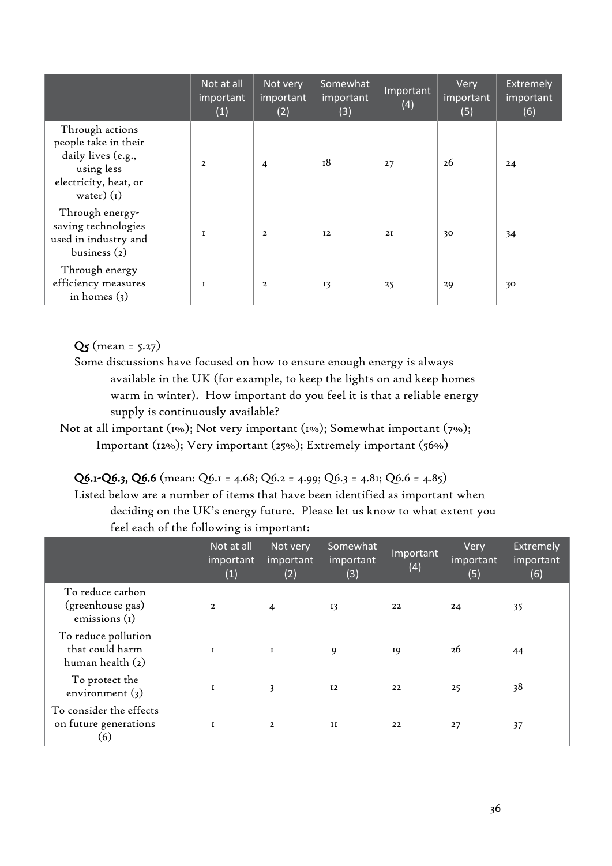|                                                                                                                        | Not at all<br>important<br>(1) | Not very<br>important<br>(2) | Somewhat<br>important<br>(3) | Important<br>(4) | Very<br>important<br>(5) | <b>Extremely</b><br>important<br>(6) |
|------------------------------------------------------------------------------------------------------------------------|--------------------------------|------------------------------|------------------------------|------------------|--------------------------|--------------------------------------|
| Through actions<br>people take in their<br>daily lives (e.g.,<br>using less<br>electricity, heat, or<br>water $(1)(1)$ | $\overline{z}$                 | $\overline{4}$               | <b>18</b>                    | 27               | 26                       | 24                                   |
| Through energy-<br>saving technologies<br>used in industry and<br>business $(2)$                                       |                                | $\overline{2}$               | 12                           | 2I               | 30                       | 34                                   |
| Through energy<br>efficiency measures<br>in homes $(3)$                                                                |                                | $\overline{2}$               | 13                           | 25               | 29                       | 30                                   |

 $Q_5$  (mean = 5.27)

Some discussions have focused on how to ensure enough energy is always available in the UK (for example, to keep the lights on and keep homes warm in winter). How important do you feel it is that a reliable energy supply is continuously available?

Not at all important (1%); Not very important (1%); Somewhat important (7%); Important (12%); Very important (25%); Extremely important (56%)

Q6.1-Q6.3, Q6.6 (mean: Q6.1 = 4.68; Q6.2 = 4.99; Q6.3 = 4.81; Q6.6 = 4.85)

Listed below are a number of items that have been identified as important when deciding on the UK's energy future. Please let us know to what extent you feel each of the following is important:

|                                                              | Not at all<br>important<br>(1) | Not very<br>important<br>(2) | Somewhat<br>important<br>(3) | Important<br>(4) | Very<br>important<br>(5) | Extremely<br>important<br>(6) |
|--------------------------------------------------------------|--------------------------------|------------------------------|------------------------------|------------------|--------------------------|-------------------------------|
| To reduce carbon<br>(greenhouse gas)<br>emissions $(i)$      | $\overline{2}$                 | 4                            | 13                           | 22               | 24                       | 35                            |
| To reduce pollution<br>that could harm<br>human health $(2)$ | $\mathbf I$                    | $\mathbf I$                  | 9                            | 19               | 26                       | 44                            |
| To protect the<br>environment $(3)$                          | $\bf{I}$                       | 3                            | 12                           | 22               | 25                       | 38                            |
| To consider the effects<br>on future generations<br>(6)      | <b>I</b>                       | $\overline{2}$               | II                           | 22               | 27                       | 37                            |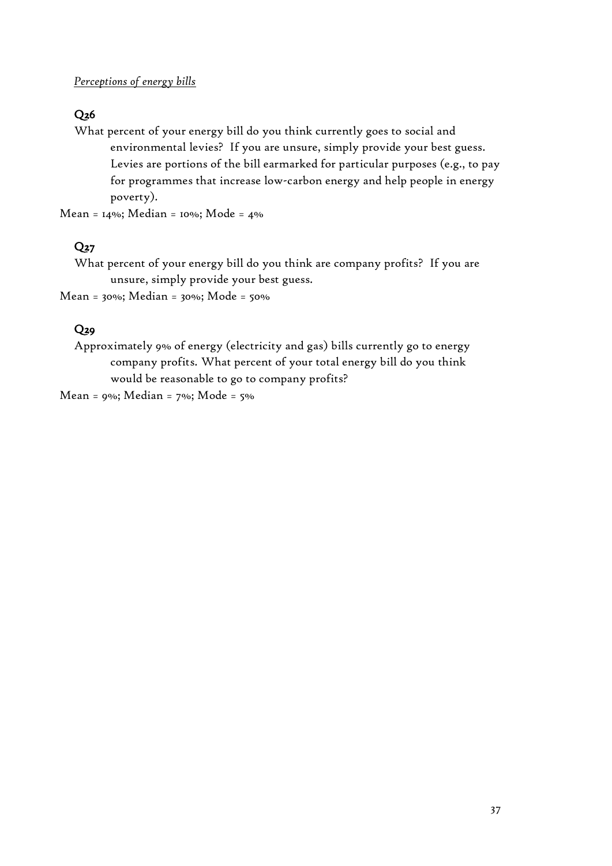#### *Perceptions of energy bills*

#### Q26

What percent of your energy bill do you think currently goes to social and environmental levies? If you are unsure, simply provide your best guess. Levies are portions of the bill earmarked for particular purposes (e.g., to pay for programmes that increase low-carbon energy and help people in energy poverty).

Mean = 14%; Median = 10%; Mode = 4%

#### Q27

What percent of your energy bill do you think are company profits? If you are unsure, simply provide your best guess.

Mean = 30%; Median = 30%; Mode = 50%

#### Q29

Approximately 9% of energy (electricity and gas) bills currently go to energy company profits. What percent of your total energy bill do you think would be reasonable to go to company profits?

Mean = 9%; Median = 7%; Mode = 5%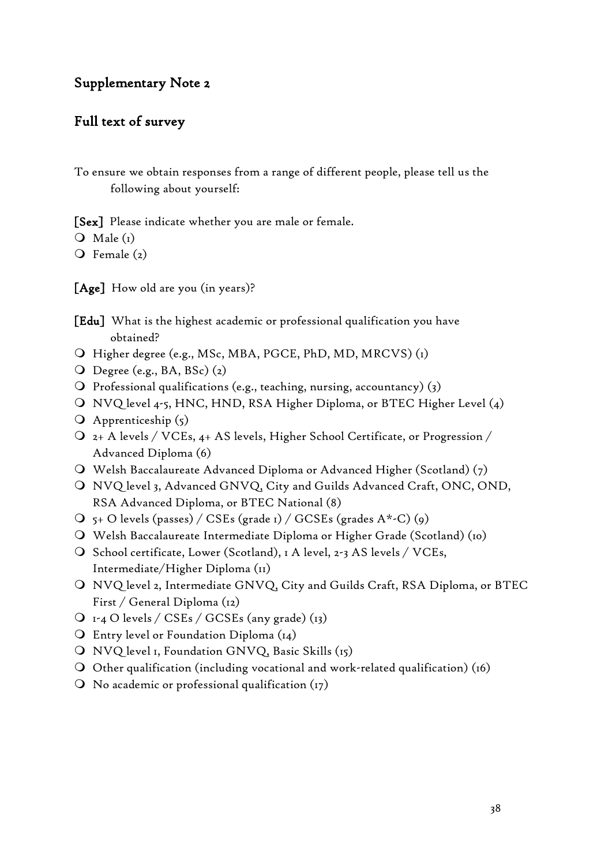## Supplementary Note 2

## Full text of survey

To ensure we obtain responses from a range of different people, please tell us the following about yourself:

[Sex] Please indicate whether you are male or female.

 $\overline{Q}$  Male (1)

 $\overline{Q}$  Female (2)

[Age] How old are you (in years)?

- [Edu] What is the highest academic or professional qualification you have obtained?
- Higher degree (e.g., MSc, MBA, PGCE, PhD, MD, MRCVS) (1)
- $\overline{O}$  Degree (e.g., BA, BSc) (2)
- $\Omega$  Professional qualifications (e.g., teaching, nursing, accountancy) (3)
- NVQ level 4-5, HNC, HND, RSA Higher Diploma, or BTEC Higher Level (4)
- $\overline{Q}$  Apprenticeship  $(5)$
- 2+ A levels / VCEs, 4+ AS levels, Higher School Certificate, or Progression / Advanced Diploma (6)
- Welsh Baccalaureate Advanced Diploma or Advanced Higher (Scotland) (7)
- NVQ level 3, Advanced GNVQ, City and Guilds Advanced Craft, ONC, OND, RSA Advanced Diploma, or BTEC National (8)
- $\bigcirc$  5+ O levels (passes) / CSEs (grade 1) / GCSEs (grades A\*-C) (9)
- Welsh Baccalaureate Intermediate Diploma or Higher Grade (Scotland) (10)
- O School certificate, Lower (Scotland), 1 A level, 2-3 AS levels / VCEs, Intermediate/Higher Diploma (11)
- NVQ level 2, Intermediate GNVQ, City and Guilds Craft, RSA Diploma, or BTEC First / General Diploma (12)
- $\overline{O}$  1-4 O levels / CSEs / GCSEs (any grade) (13)
- Entry level or Foundation Diploma (14)
- NVQ level 1, Foundation GNVQ, Basic Skills (15)
- $\Omega$  Other qualification (including vocational and work-related qualification) (16)
- $\overline{O}$  No academic or professional qualification (17)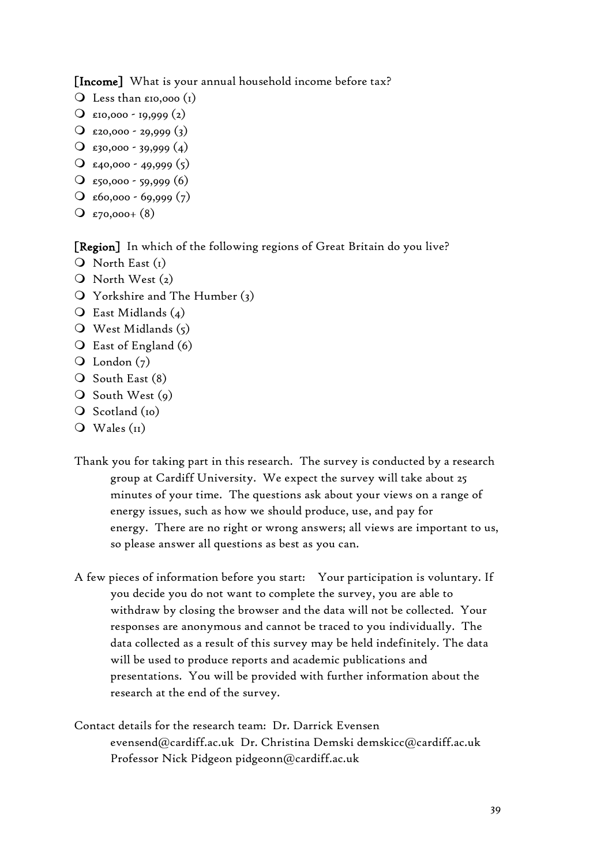[Income] What is your annual household income before tax?

- $\overline{Q}$  Less than  $\epsilon$ 10,000 $\overline{I}$
- $Q$  £10,000 19,999 (2)
- $Q$  £20,000 29,999 (3)
- $Q$  £30,000 39,999 (4)
- $Q$  £40,000 49,999 (5)
- $Q$  £50,000 59,999 (6)
- $Q$  £60,000 69,999 (7)
- $Q$  £70,000+ (8)

#### [Region] In which of the following regions of Great Britain do you live?

- North East (1)
- $\bigcirc$  North West (2)
- Yorkshire and The Humber (3)
- $\bigcirc$  East Midlands (4)
- West Midlands (5)
- East of England (6)
- $\overline{Q}$  London  $(7)$
- $\overline{O}$  South East (8)
- $\bigcirc$  South West (9)
- $\overline{Q}$  Scotland (10)
- $Q$  Wales ( $II$ )
- Thank you for taking part in this research. The survey is conducted by a research group at Cardiff University. We expect the survey will take about 25 minutes of your time. The questions ask about your views on a range of energy issues, such as how we should produce, use, and pay for energy. There are no right or wrong answers; all views are important to us, so please answer all questions as best as you can.
- A few pieces of information before you start: Your participation is voluntary. If you decide you do not want to complete the survey, you are able to withdraw by closing the browser and the data will not be collected. Your responses are anonymous and cannot be traced to you individually. The data collected as a result of this survey may be held indefinitely. The data will be used to produce reports and academic publications and presentations. You will be provided with further information about the research at the end of the survey.
- Contact details for the research team: Dr. Darrick Evensen evensend@cardiff.ac.uk Dr. Christina Demski demskicc@cardiff.ac.uk Professor Nick Pidgeon pidgeonn@cardiff.ac.uk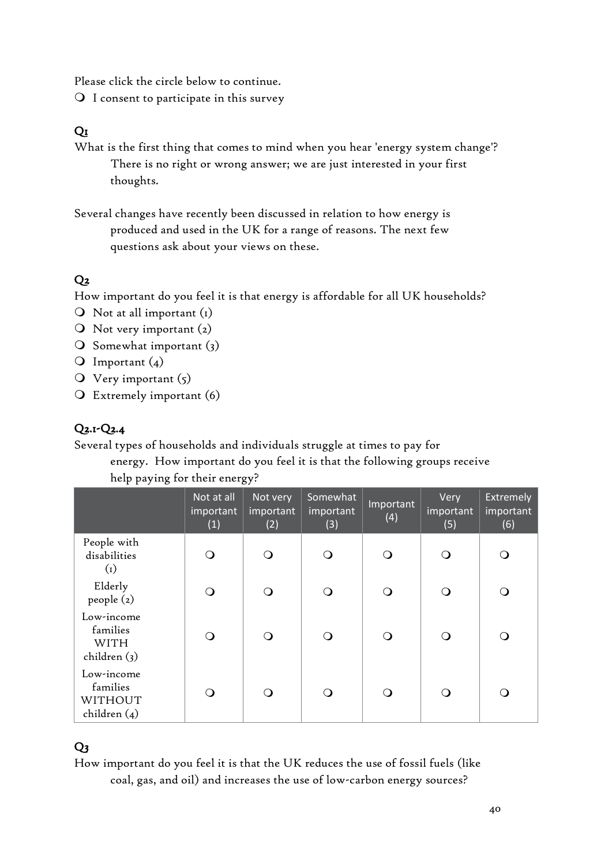Please click the circle below to continue.

I consent to participate in this survey

# Q1

What is the first thing that comes to mind when you hear 'energy system change'? There is no right or wrong answer; we are just interested in your first thoughts.

Several changes have recently been discussed in relation to how energy is produced and used in the UK for a range of reasons. The next few questions ask about your views on these.

# $Q<sub>2</sub>$

How important do you feel it is that energy is affordable for all UK households?

- $\overline{O}$  Not at all important (1)
- $\bigcirc$  Not very important (2)
- $\bigcirc$  Somewhat important  $(3)$
- $\bigcirc$  Important  $(4)$
- $\overline{Q}$  Very important  $(5)$
- Extremely important (6)

# Q2.1-Q2.4

Several types of households and individuals struggle at times to pay for

energy. How important do you feel it is that the following groups receive

|                                                     | Not at all<br>important<br>(1) | Not very<br>important<br>(2) | Somewhat<br>important<br>(3) | Important<br>(4) | Very<br>important<br>(5) | Extremely<br>important<br>(6) |
|-----------------------------------------------------|--------------------------------|------------------------------|------------------------------|------------------|--------------------------|-------------------------------|
| People with<br>disabilities<br>$\rm (I)$            | $\mathsf{O}$                   |                              | $\bigcirc$                   | $\bigcirc$       | $\bigcirc$               |                               |
| Elderly<br>people $(2)$                             | $\bigcirc$                     |                              | $\bigcirc$                   | $\bigcirc$       | $\bigcirc$               |                               |
| Low-income<br>families<br>WITH<br>children (3)      | $\mathsf{O}$                   |                              | $\bigcirc$                   | $\bigcirc$       | $\bigcirc$               |                               |
| Low-income<br>families<br>WITHOUT<br>children $(4)$ | O                              |                              | O                            | ∩                | O                        |                               |

help paying for their energy?

# Q3

How important do you feel it is that the UK reduces the use of fossil fuels (like coal, gas, and oil) and increases the use of low-carbon energy sources?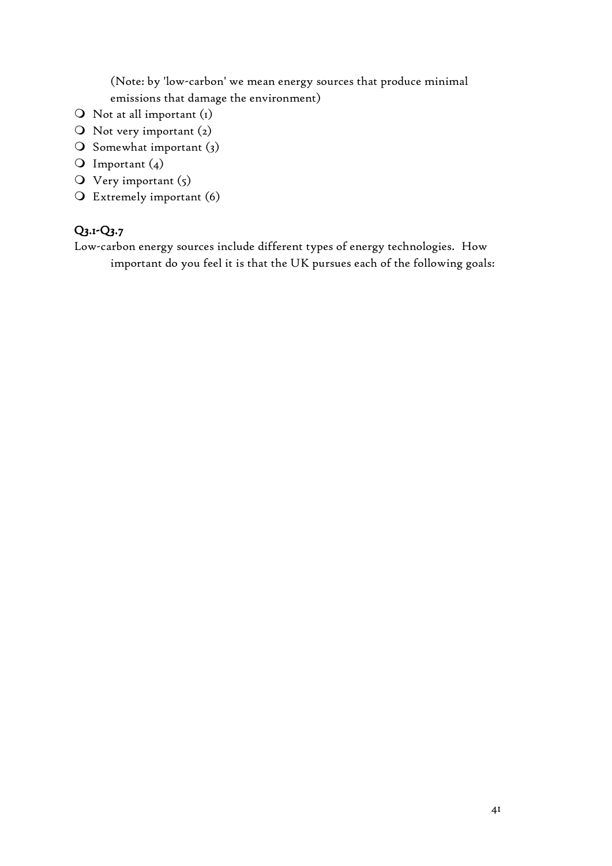(Note: by 'low-carbon' we mean energy sources that produce minimal emissions that damage the environment)

- Not at all important (1)
- $\bigcirc$  Not very important  $(z)$
- O Somewhat important (3)
- $\bigcirc$  Important  $(4)$
- Very important (5)
- Extremely important (6)

## Q3.1-Q3.7

Low-carbon energy sources include different types of energy technologies. How important do you feel it is that the UK pursues each of the following goals: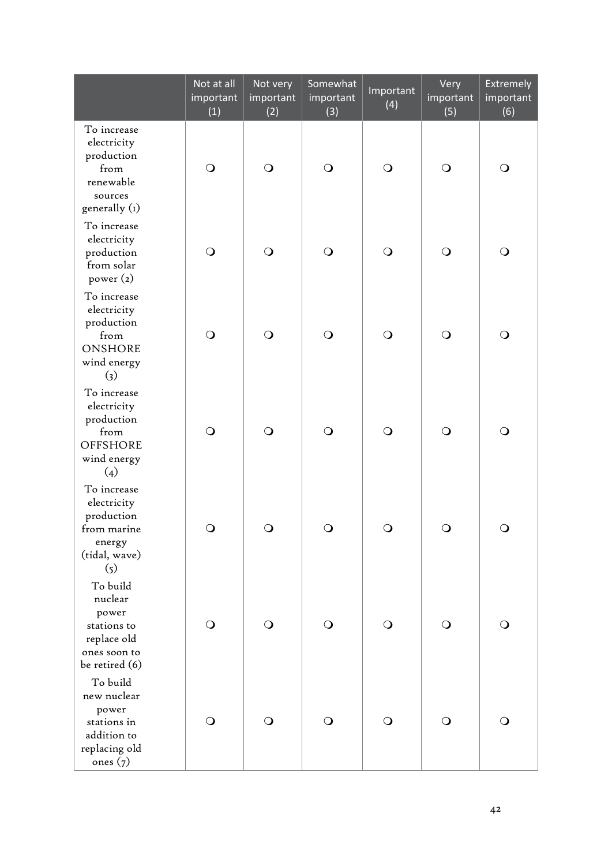|                                                                                                 | Not at all<br>important<br>(1) | Not very<br>important<br>(2) | Somewhat<br>important<br>(3) | Important<br>(4) | Very<br>important<br>(5) | <b>Extremely</b><br>important<br>(6) |
|-------------------------------------------------------------------------------------------------|--------------------------------|------------------------------|------------------------------|------------------|--------------------------|--------------------------------------|
| To increase<br>electricity<br>production<br>from<br>renewable<br>sources<br>generally (1)       | $\bigcirc$                     | $\bigcirc$                   | $\bigcirc$                   | $\bigcirc$       | $\bigcirc$               | $\bigcirc$                           |
| To increase<br>electricity<br>production<br>from solar<br>power $(2)$                           | $\bigcirc$                     | $\bigcirc$                   | $\bigcirc$                   | $\bigcirc$       | $\bigcirc$               | $\bigcirc$                           |
| To increase<br>electricity<br>production<br>from<br>ONSHORE<br>wind energy<br>$\left( 3\right)$ | $\bigcirc$                     | $\bigcirc$                   | $\bigcirc$                   | $\bigcirc$       | $\bigcirc$               | $\bigcirc$                           |
| To increase<br>electricity<br>production<br>from<br><b>OFFSHORE</b><br>wind energy<br>(4)       | $\bigcirc$                     | $\bigcirc$                   | $\bigcirc$                   | $\bigcirc$       | $\bigcirc$               | $\bigcirc$                           |
| To increase<br>electricity<br>production<br>from marine<br>energy<br>(tidal, wave)<br>(5)       | $\bigcirc$                     | $\bigcirc$                   | $\bigcirc$                   | $\bigcirc$       | $\bigcirc$               | $\bigcirc$                           |
| To build<br>nuclear<br>power<br>stations to<br>replace old<br>ones soon to<br>be retired (6)    | $\bigcirc$                     | $\Omega$                     | $\bigcirc$                   | $\bigcirc$       | $\Omega$                 | ∩                                    |
| To build<br>new nuclear<br>power<br>stations in<br>addition to<br>replacing old<br>ones $(7)$   | $\Omega$                       | ∩                            | $\Omega$                     | $\bigcirc$       |                          |                                      |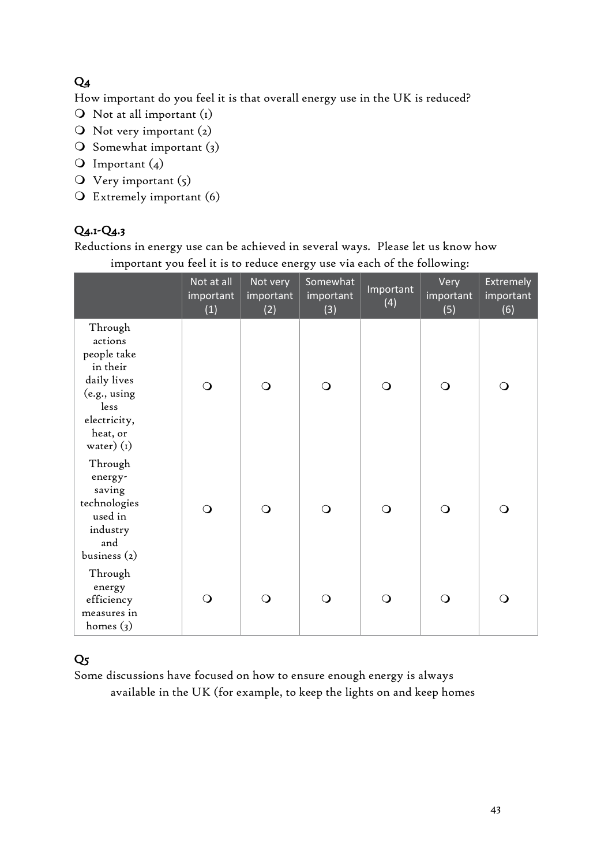# $Q<sub>4</sub>$

How important do you feel it is that overall energy use in the UK is reduced?

- Not at all important (1)
- $\bigcirc$  Not very important  $(2)$
- O Somewhat important (3)
- $\bigcirc$  Important  $(4)$
- $\overline{O}$  Very important  $(5)$
- Extremely important (6)

# Q4.1-Q4.3

Reductions in energy use can be achieved in several ways. Please let us know how important you feel it is to reduce energy use via each of the following:

|                                                                                                                                    | Not at all<br>important<br>(1) | Not very<br>important<br>(2) | Somewhat<br>important<br>(3) | Important<br>(4) | Very<br>important<br>(5) | Extremely<br>important<br>(6) |
|------------------------------------------------------------------------------------------------------------------------------------|--------------------------------|------------------------------|------------------------------|------------------|--------------------------|-------------------------------|
| Through<br>actions<br>people take<br>in their<br>daily lives<br>(e.g., using<br>less<br>electricity,<br>heat, or<br>water $(1)(1)$ | ∩                              | $\Omega$                     | $\bigcirc$                   | $\Omega$         | ∩                        |                               |
| Through<br>energy-<br>saving<br>technologies<br>used in<br>industry<br>and<br>business $(2)$                                       | $\Omega$                       | $\Omega$                     | $\Omega$                     | $\Omega$         | $\Omega$                 |                               |
| Through<br>energy<br>efficiency<br>measures in<br>homes $(3)$                                                                      |                                |                              | ∩                            | ∩                |                          |                               |

# Q5

Some discussions have focused on how to ensure enough energy is always available in the UK (for example, to keep the lights on and keep homes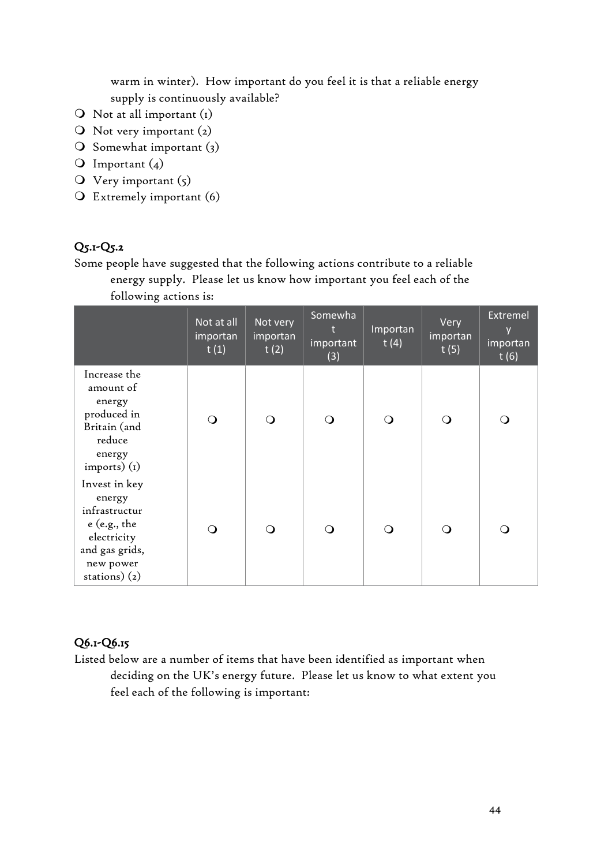warm in winter). How important do you feel it is that a reliable energy supply is continuously available?

- Not at all important (1)
- $\bigcirc$  Not very important  $(2)$
- $\bigcirc$  Somewhat important  $(3)$
- $\bigcirc$  Important  $(4)$
- $\overline{O}$  Very important  $(5)$
- Extremely important (6)

#### Q5.1-Q5.2

Some people have suggested that the following actions contribute to a reliable energy supply. Please let us know how important you feel each of the following actions is:

|                                                                                                                           | Not at all<br>importan<br>t(1) | Not very<br>importan<br>t(2) | Somewha<br>important<br>(3) | Importan<br>t(4) | Very<br>importan<br>t(5) | Extremel<br>importan<br>t(6) |
|---------------------------------------------------------------------------------------------------------------------------|--------------------------------|------------------------------|-----------------------------|------------------|--------------------------|------------------------------|
| Increase the<br>amount of<br>energy<br>produced in<br>Britain (and<br>reduce<br>energy<br>$imports)$ (1)                  | $\Omega$                       | ∩                            |                             | $\Omega$         | $\Omega$                 |                              |
| Invest in key<br>energy<br>infrastructur<br>e (e.g., the<br>electricity<br>and gas grids,<br>new power<br>stations) $(2)$ | ∩                              | ∩                            |                             | ∩                | $\Omega$                 |                              |

# Q6.1-Q6.15

Listed below are a number of items that have been identified as important when deciding on the UK's energy future. Please let us know to what extent you feel each of the following is important: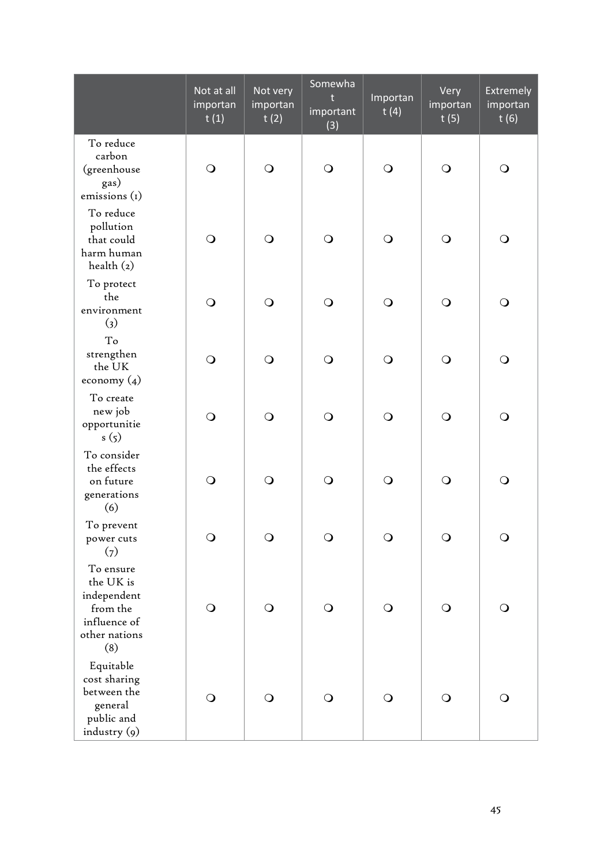|                                                                                           | Not at all<br><i>importan</i><br>t(1) | Not very<br>importan<br>t(2) | Somewha<br>t<br><i>important</i><br>(3) | Importan<br>t(4) | Very<br>importan<br>t(5) | Extremely<br><i>importan</i><br>t(6) |
|-------------------------------------------------------------------------------------------|---------------------------------------|------------------------------|-----------------------------------------|------------------|--------------------------|--------------------------------------|
| To reduce<br>carbon<br>(greenhouse<br>gas)<br>emissions $\mathrm{(}\mathrm{I}\mathrm{)}$  | $\bigcirc$                            | $\mathbf{O}$                 | $\bigcirc$                              | $\bigcirc$       | $\bigcirc$               | $\circ$                              |
| To reduce<br>pollution<br>that could<br>harm human<br>health $(2)$                        | $\bigcirc$                            | $\bigcirc$                   | $\bigcirc$                              | $\bigcirc$       | $\bigcirc$               | $\circ$                              |
| To protect<br>the<br>environment<br>$\left( 3\right)$                                     | $\bigcirc$                            | $\circ$                      | $\bigcirc$                              | $\bigcirc$       | $\Omega$                 | $\mathbf{O}$                         |
| To<br>strengthen<br>the UK<br>economy $(4)$                                               | $\bigcirc$                            | $\bigcirc$                   | $\bigcirc$                              | $\bigcirc$       | $\bigcirc$               | $\circ$                              |
| To create<br>new job<br>opportunitie<br>s(5)                                              | $\bigcirc$                            | $\circ$                      | $\bigcirc$                              | $\bigcirc$       | $\bigcirc$               | $\bigcirc$                           |
| To consider<br>the effects<br>on future<br>generations<br>(6)                             | $\bigcirc$                            | $\bigcirc$                   | $\bigcirc$                              | $\bigcirc$       | $\bigcirc$               | $\bigcirc$                           |
| To prevent<br>power cuts<br>(7)                                                           |                                       |                              |                                         |                  |                          |                                      |
| To ensure<br>the UK is<br>independent<br>from the<br>influence of<br>other nations<br>(8) | $\bigcirc$                            | $\mathbf{O}$                 | $\bigcirc$                              | $\bigcirc$       | O                        | $\bigcirc$                           |
| Equitable<br>cost sharing<br>between the<br>general<br>public and<br>industry (9)         | $\bigcirc$                            | $\circ$                      | $\bigcirc$                              | $\bigcirc$       | $\Omega$                 | O                                    |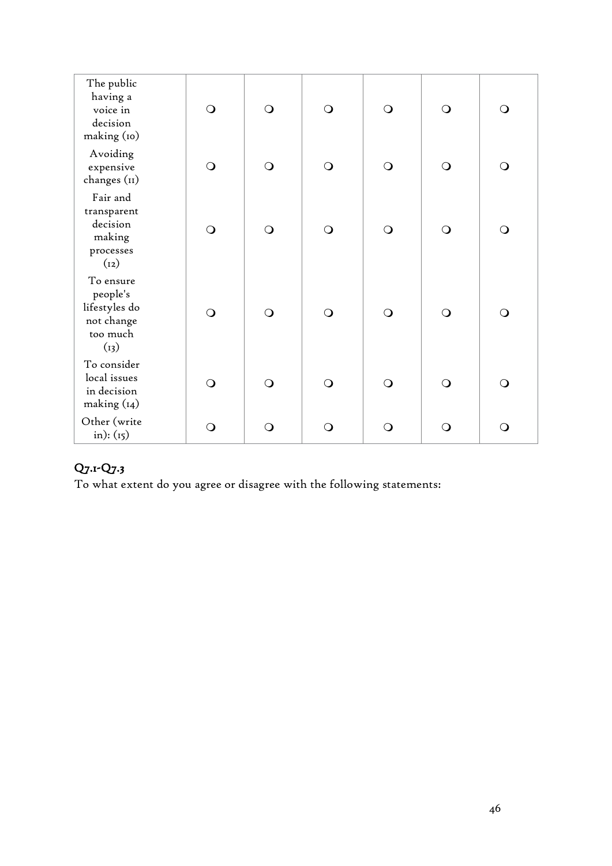| The public<br>having a<br>voice in<br>decision<br>making (10)            | $\bigcirc$ | $\bigcirc$ | $\bigcirc$     | $\Omega$   | $\bigcirc$     | $\circ$    |
|--------------------------------------------------------------------------|------------|------------|----------------|------------|----------------|------------|
| Avoiding<br>expensive<br>changes (II)                                    | $\Omega$   | $\Omega$   | $\overline{O}$ | $\bigcirc$ | $\overline{O}$ | $\bigcirc$ |
| Fair and<br>transparent<br>decision<br>making<br>processes<br>(12)       | $\Omega$   | $\Omega$   | $\bigcirc$     | $\bigcirc$ | $\bigcirc$     | $\Omega$   |
| To ensure<br>people's<br>lifestyles do<br>not change<br>too much<br>(i3) | $\Omega$   | $\Omega$   | $\overline{O}$ | $\Omega$   | $\bigcirc$     | $\Omega$   |
| To consider<br>local issues<br>in decision<br>making (14)                | $\Omega$   | $\Omega$   | $\Omega$       | $\Omega$   | $\Omega$       | $\Omega$   |
| Other (write<br>in): $(i5)$                                              | ∩          | ∩          | ∩              | ∩          | ∩              | $\Omega$   |

# Q7.1-Q7.3

To what extent do you agree or disagree with the following statements: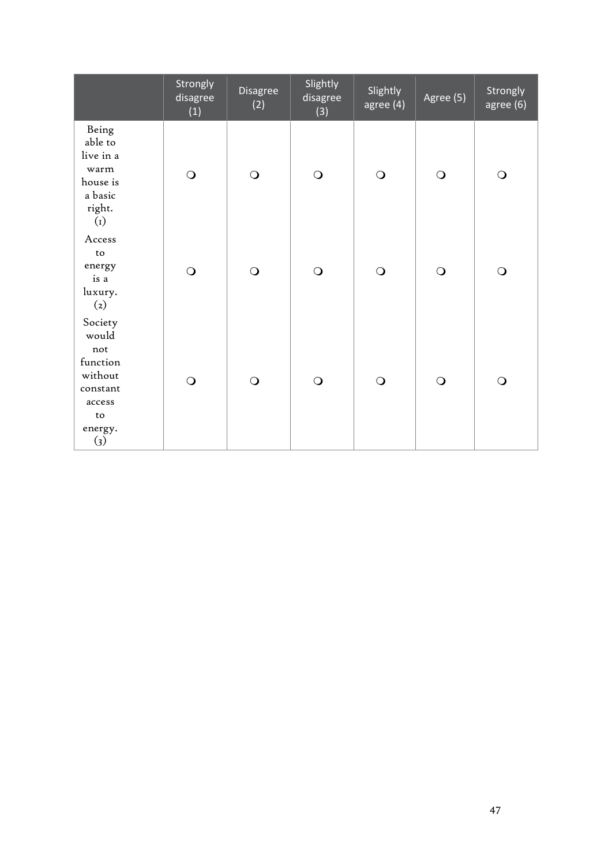|                                                                                              | Strongly<br>disagree<br>(1) | Disagree<br>(2) | Slightly<br>disagree<br>(3) | Slightly<br>agree (4) | Agree (5)  | Strongly<br>agree (6) |
|----------------------------------------------------------------------------------------------|-----------------------------|-----------------|-----------------------------|-----------------------|------------|-----------------------|
| Being<br>able to<br>live in a<br>warm<br>house is<br>a basic<br>right.<br>$\left( 1 \right)$ | $\bigcirc$                  | $\bigcirc$      | $\bigcirc$                  | $\bigcirc$            | $\bigcirc$ | $\bigcirc$            |
| Access<br>to<br>energy<br>is a<br>luxury.<br>$\left( 2\right)$                               | $\bigcirc$                  | $\bigcirc$      | $\bigcirc$                  | $\bigcirc$            | $\bigcirc$ | $\bigcirc$            |
| Society<br>would<br>not<br>function<br>without<br>constant<br>access<br>to<br>energy.<br>(3) | $\bigcirc$                  | $\bigcirc$      | $\bigcirc$                  | $\bigcirc$            | $\bigcirc$ | $\bigcirc$            |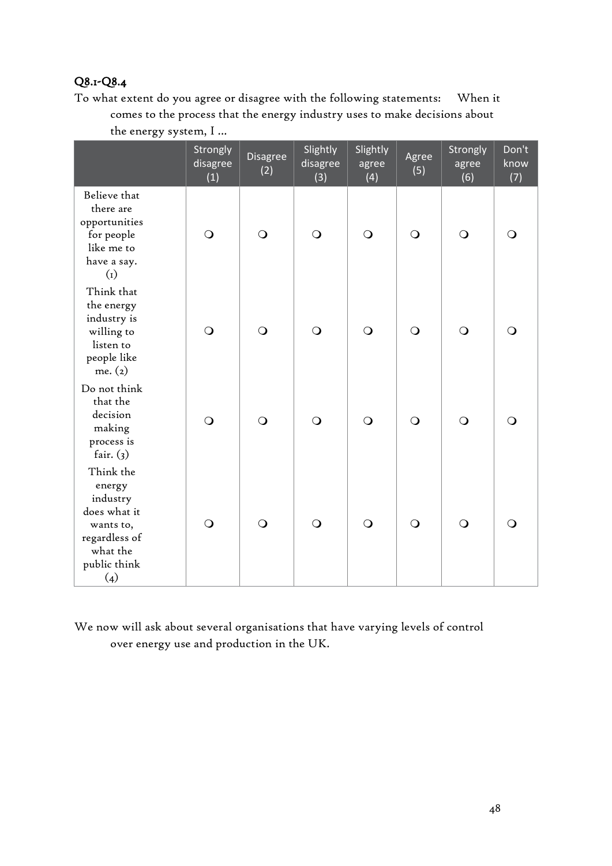## Q8.1-Q8.4

To what extent do you agree or disagree with the following statements: When it comes to the process that the energy industry uses to make decisions about

|                                                                                                                  | Strongly<br>disagree<br>(1) | Disagree<br>(2) | Slightly<br>disagree<br>(3) | Slightly<br>agree<br>(4) | Agree<br>(5) | Strongly<br>agree<br>(6) | Don't<br>know<br>(7) |
|------------------------------------------------------------------------------------------------------------------|-----------------------------|-----------------|-----------------------------|--------------------------|--------------|--------------------------|----------------------|
| Believe that<br>there are<br>opportunities<br>for people<br>like me to<br>have a say.<br>$\left( 1 \right)$      | $\bigcirc$                  | $\bigcirc$      | $\bigcirc$                  | $\bigcirc$               | $\bigcirc$   | $\bigcirc$               | ∩                    |
| Think that<br>the energy<br>industry is<br>willing to<br>listen to<br>people like<br>me. (2)                     | $\Omega$                    | $\bigcirc$      | $\bigcirc$                  | $\bigcirc$               | $\bigcirc$   | $\bigcirc$               |                      |
| Do not think<br>that the<br>decision<br>making<br>process is<br>fair. $(3)$                                      | $\Omega$                    | $\bigcirc$      | $\Omega$                    | $\mathsf{O}$             | $\bigcirc$   | $\bigcirc$               |                      |
| Think the<br>energy<br>industry<br>does what it<br>wants to,<br>regardless of<br>what the<br>public think<br>(4) | $\bigcirc$                  | $\bigcirc$      | $\bigcirc$                  | $\bigcirc$               | $\bigcirc$   | $\bigcirc$               | ∩                    |

the energy system, I ...

We now will ask about several organisations that have varying levels of control over energy use and production in the UK.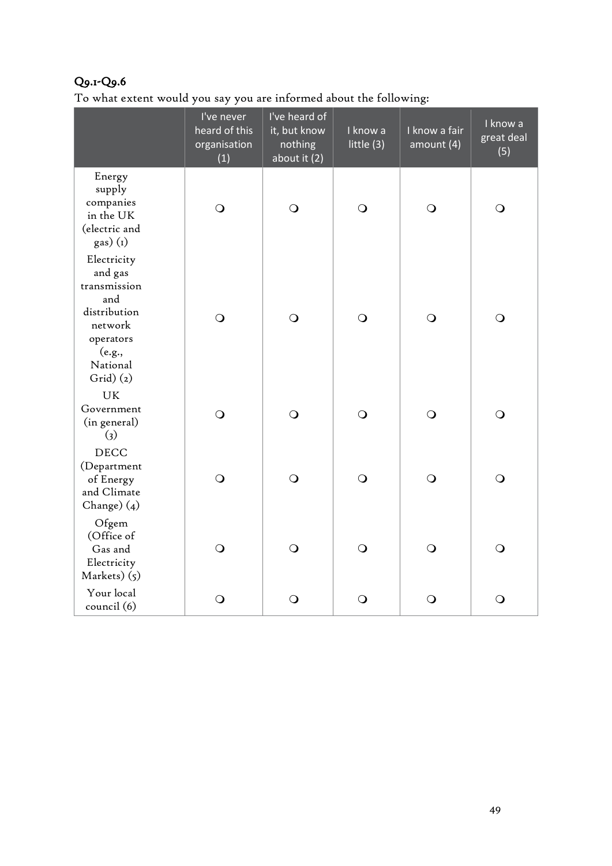# Q9.1-Q9.6

| To what extent would you say you are informed about the following: |  |  |  |  |
|--------------------------------------------------------------------|--|--|--|--|
|--------------------------------------------------------------------|--|--|--|--|

|                                                                                                                              | I've never<br>heard of this<br>organisation<br>(1) | I've heard of<br>it, but know<br>nothing<br>about it $(2)$ | I know a<br>little $(3)$ | I know a fair<br>amount (4) | I know a<br>great deal<br>(5) |
|------------------------------------------------------------------------------------------------------------------------------|----------------------------------------------------|------------------------------------------------------------|--------------------------|-----------------------------|-------------------------------|
| Energy<br>supply<br>companies<br>in the UK<br>(electric and<br>$\text{gas}$ ) (1)                                            | $\bigcirc$                                         | $\bigcirc$                                                 | $\bigcirc$               | $\bigcirc$                  | $\bigcirc$                    |
| Electricity<br>and gas<br>transmission<br>and<br>distribution<br>network<br>operators<br>(e.g.,<br>National<br>$Grid)$ $(2)$ | $\Omega$                                           | $\bigcirc$                                                 | $\bigcirc$               | $\Omega$                    | $\bigcirc$                    |
| UK<br>Government<br>(in general)<br>$\left( 3\right)$                                                                        | $\bigcirc$                                         | $\bigcirc$                                                 | $\bigcirc$               | $\bigcirc$                  | $\bigcirc$                    |
| <b>DECC</b><br>(Department<br>of Energy<br>and Climate<br>Change) $(4)$                                                      | $\bigcirc$                                         | $\bigcirc$                                                 | $\bigcirc$               | $\bigcirc$                  | $\bigcirc$                    |
| Ofgem<br>(Office of<br>Gas and<br>Electricity<br>Markets $(5)$                                                               | $\bigcirc$                                         | $\bigcirc$                                                 | $\bigcirc$               | $\bigcirc$                  | $\bigcirc$                    |
| Your local<br>council (6)                                                                                                    | $\bigcirc$                                         | $\bigcirc$                                                 | $\bigcirc$               | $\bigcirc$                  | $\bigcirc$                    |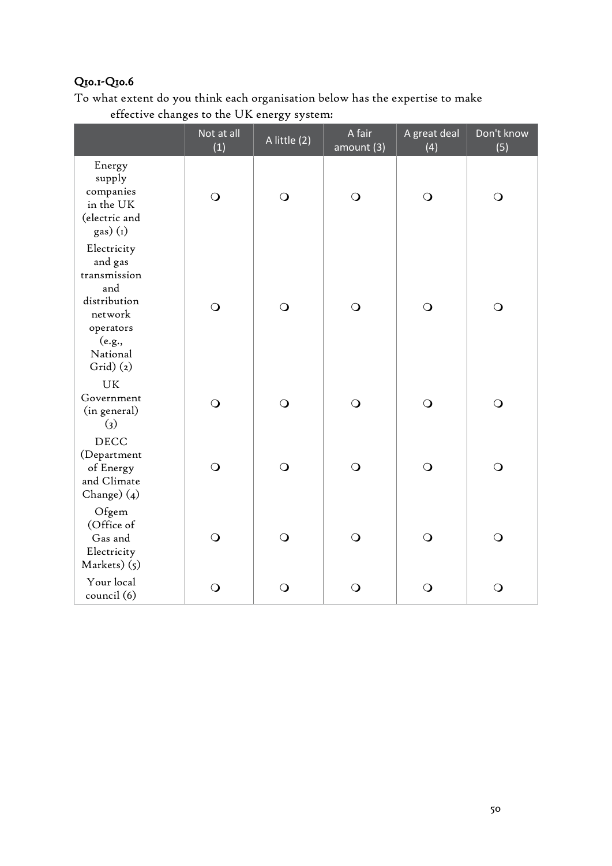# Q10.1-Q10.6

To what extent do you think each organisation below has the expertise to make effective changes to the UK energy system:

|                                                                                                                              | Not at all<br>(1) | A little (2) | A fair<br>amount (3) | A great deal<br>(4) | Don't know<br>(5) |
|------------------------------------------------------------------------------------------------------------------------------|-------------------|--------------|----------------------|---------------------|-------------------|
| Energy<br>supply<br>companies<br>in the UK<br>(electric and<br>$gas)$ (1)                                                    | $\bigcirc$        | $\bigcirc$   | $\bigcirc$           | $\bigcirc$          | $\bigcirc$        |
| Electricity<br>and gas<br>transmission<br>and<br>distribution<br>network<br>operators<br>(e.g.,<br>National<br>$Grid)$ $(2)$ | $\bigcirc$        | $\bigcirc$   | $\bigcirc$           | $\bigcirc$          | $\bigcirc$        |
| <b>UK</b><br>Government<br>(in general)<br>$\left( 3\right)$                                                                 | $\bigcirc$        | $\bigcirc$   | $\bigcirc$           | $\bigcirc$          | $\bigcirc$        |
| <b>DECC</b><br>(Department<br>of Energy<br>and Climate<br>Change) (4)                                                        | $\bigcirc$        | $\bigcirc$   | $\bigcirc$           | $\bigcirc$          | $\bigcirc$        |
| Ofgem<br>(Office of<br>Gas and<br>Electricity<br>Markets) (5)                                                                | $\bigcirc$        | $\bigcirc$   | $\bigcirc$           | $\bigcirc$          | $\bigcirc$        |
| Your local<br>council (6)                                                                                                    | $\bigcirc$        | Ő            | $\mathsf{O}$         | $\mathsf{O}$        | $\bigcirc$        |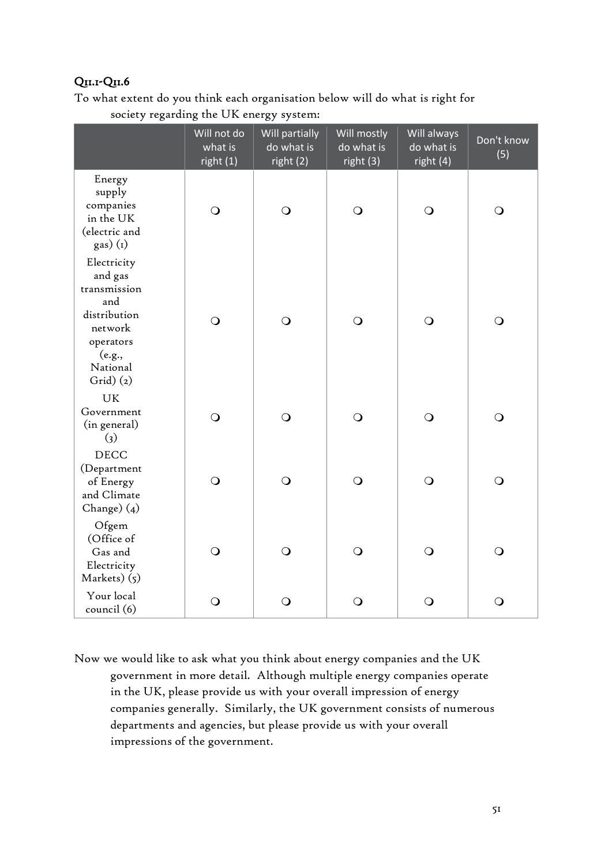#### QII.<sup>1</sup>-QII.6

To what extent do you think each organisation below will do what is right for society regarding the UK energy system:

|                                                                                                                              | Will not do<br>what is<br>right (1) | ັ<br>Will partially<br>do what is<br>right (2) | Will mostly<br>do what is<br>right (3) | Will always<br>do what is<br>right (4) | Don't know<br>(5) |
|------------------------------------------------------------------------------------------------------------------------------|-------------------------------------|------------------------------------------------|----------------------------------------|----------------------------------------|-------------------|
| Energy<br>supply<br>companies<br>in the UK<br>(electric and<br>$gas)$ (1)                                                    | $\bigcirc$                          | $\bigcirc$                                     | $\bigcirc$                             | $\bigcirc$                             | $\bigcirc$        |
| Electricity<br>and gas<br>transmission<br>and<br>distribution<br>network<br>operators<br>(e.g.,<br>National<br>$Grid)$ $(2)$ | $\bigcirc$                          | $\bigcirc$                                     | $\bigcirc$                             | $\bigcirc$                             | $\bigcirc$        |
| <b>UK</b><br>Government<br>(in general)<br>$\left( 3\right)$                                                                 | $\bigcirc$                          | $\bigcirc$                                     | $\bigcirc$                             | $\bigcirc$                             | $\bigcirc$        |
| <b>DECC</b><br>(Department<br>of Energy<br>and Climate<br>Change) $(4)$                                                      | $\bigcirc$                          | $\bigcirc$                                     | $\bigcirc$                             | $\bigcirc$                             | $\bigcirc$        |
| Ofgem<br>(Office of<br>Gas and<br>Electricity<br>Markets $(5)$                                                               | $\bigcirc$                          | $\bigcirc$                                     | $\bigcirc$                             | $\bigcirc$                             | $\bigcirc$        |
| Your local<br>council (6)                                                                                                    | $\bigcirc$                          | $\bigcirc$                                     | $\bigcirc$                             | $\bigcirc$                             | $\bigcirc$        |

Now we would like to ask what you think about energy companies and the UK government in more detail. Although multiple energy companies operate in the UK, please provide us with your overall impression of energy companies generally. Similarly, the UK government consists of numerous departments and agencies, but please provide us with your overall impressions of the government.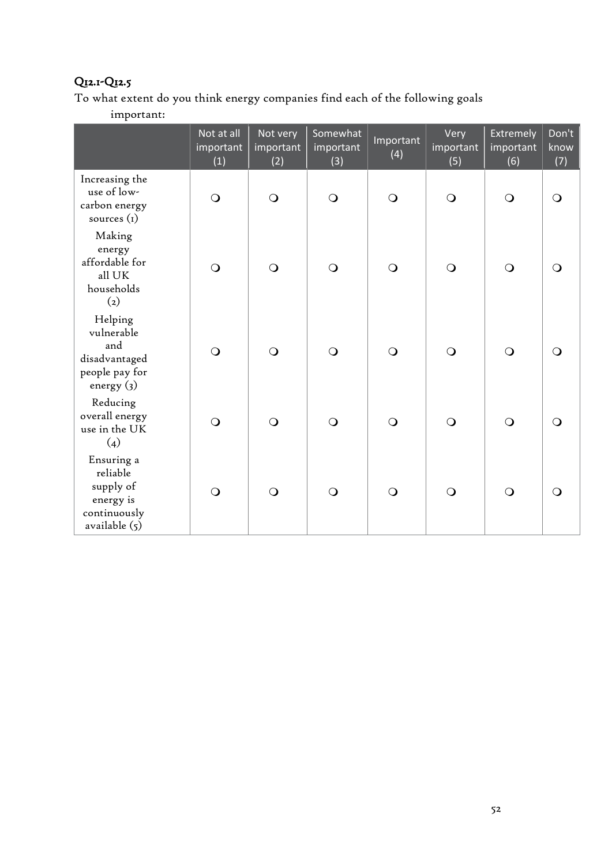# Q12.1-Q12.5

To what extent do you think energy companies find each of the following goals

important:

|                                                                                   | Not at all<br>important<br>(1) | Not very<br>important<br>(2) | Somewhat<br>important<br>(3) | Important<br>(4) | Very<br>important<br>(5) | Extremely<br>important<br>(6) | Don't<br>know<br>(7) |
|-----------------------------------------------------------------------------------|--------------------------------|------------------------------|------------------------------|------------------|--------------------------|-------------------------------|----------------------|
| Increasing the<br>use of low-<br>carbon energy<br>sources $(i)$                   | $\bigcirc$                     | $\bigcirc$                   | $\bigcirc$                   | $\bigcirc$       | $\bigcirc$               | $\bigcirc$                    | $\Omega$             |
| Making<br>energy<br>affordable for<br>all UK<br>households<br>$\left( 2\right)$   | $\bigcirc$                     | $\bigcirc$                   | $\bigcirc$                   | $\bigcirc$       | $\bigcirc$               | $\circ$                       | ∩                    |
| Helping<br>vulnerable<br>and<br>disadvantaged<br>people pay for<br>energy $(3)$   | $\bigcirc$                     | $\bigcirc$                   | $\bigcirc$                   | $\Omega$         | $\Omega$                 | $\bigcirc$                    |                      |
| Reducing<br>overall energy<br>use in the UK<br>$\left(4\right)$                   | $\bigcirc$                     | $\bigcirc$                   | $\bigcirc$                   | $\bigcirc$       | $\bigcirc$               | $\circ$                       | $\Omega$             |
| Ensuring a<br>reliable<br>supply of<br>energy is<br>continuously<br>available (5) | $\bigcirc$                     | $\bigcirc$                   | $\bigcirc$                   | $\Omega$         | $\Omega$                 | $\Omega$                      | $\left( \right)$     |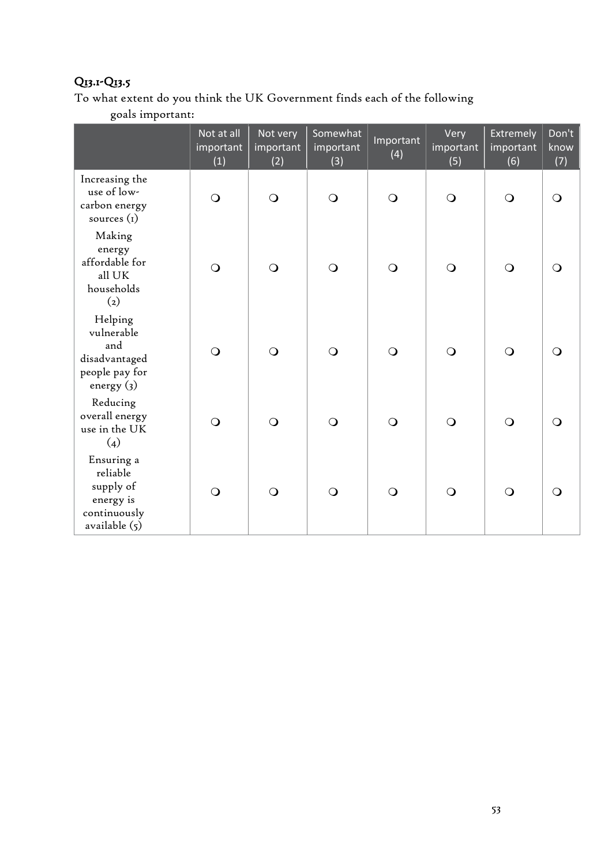# Q13.1-Q13.5

To what extent do you think the UK Government finds each of the following

goals important:

|                                                                                     | Not at all<br>important<br>(1) | Not very<br>important<br>(2) | Somewhat<br>important<br>(3) | Important<br>(4) | Very<br>important<br>(5) | Extremely<br>important<br>(6) | Don't<br>know<br>(7) |
|-------------------------------------------------------------------------------------|--------------------------------|------------------------------|------------------------------|------------------|--------------------------|-------------------------------|----------------------|
| Increasing the<br>use of low-<br>carbon energy<br>sources $(i)$                     | $\bigcirc$                     | $\bigcirc$                   | $\bigcirc$                   | $\bigcirc$       | $\bigcirc$               | $\mathsf{O}$                  | ∩                    |
| Making<br>energy<br>affordable for<br>all UK<br>households<br>$\left( 2\right)$     | $\bigcirc$                     | $\bigcirc$                   | $\overline{O}$               | $\bigcirc$       | $\Omega$                 | $\bigcirc$                    |                      |
| Helping<br>vulnerable<br>and<br>disadvantaged<br>people pay for<br>energy $(3)$     | $\bigcirc$                     | $\bigcirc$                   | $\bigcirc$                   | $\bigcirc$       | $\Omega$                 | $\bigcirc$                    |                      |
| Reducing<br>overall energy<br>use in the UK<br>$\left(4\right)$                     | $\bigcirc$                     | $\bigcirc$                   | $\bigcirc$                   | $\bigcirc$       | $\bigcirc$               | $\bigcirc$                    |                      |
| Ensuring a<br>reliable<br>supply of<br>energy is<br>continuously<br>available $(5)$ | $\bigcirc$                     | $\circ$                      | $\bigcirc$                   | $\Omega$         | $\Omega$                 | $\bigcirc$                    |                      |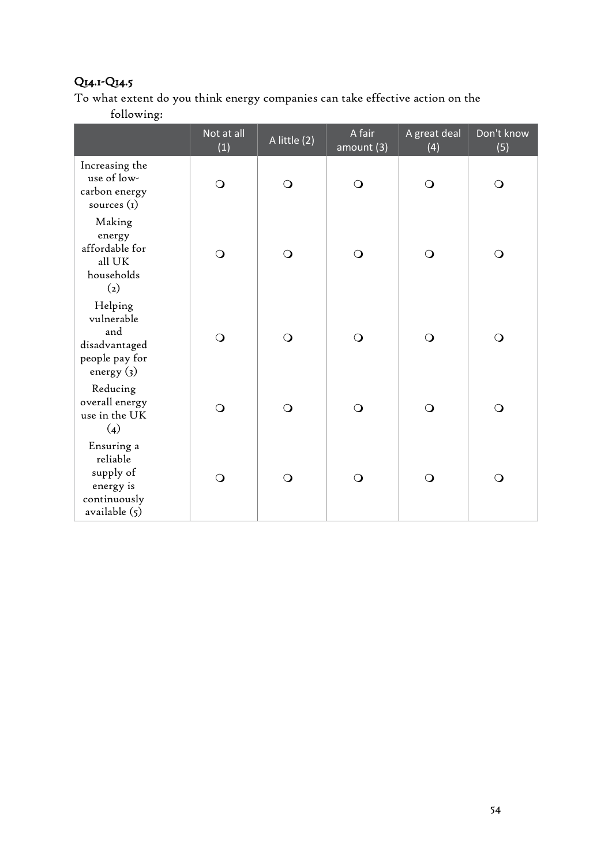# Q14.1-Q14.5

To what extent do you think energy companies can take effective action on the

following:

|                                                                                     | Not at all<br>(1) | A little (2) | A fair<br>amount (3) | A great deal<br>(4) | Don't know<br>(5) |
|-------------------------------------------------------------------------------------|-------------------|--------------|----------------------|---------------------|-------------------|
| Increasing the<br>use of low-<br>carbon energy<br>sources $(i)$                     | $\bigcirc$        | $\bigcirc$   | ∩                    | $\Omega$            | $\Omega$          |
| Making<br>energy<br>affordable for<br>all UK<br>households<br>$\left( 2\right)$     | $\bigcirc$        | $\bigcirc$   | $\Omega$             | $\Omega$            | $\bigcirc$        |
| Helping<br>vulnerable<br>and<br>disadvantaged<br>people pay for<br>energy $(3)$     | $\bigcirc$        | $\bigcirc$   | $\bigcirc$           | $\bigcirc$          | $\bigcirc$        |
| Reducing<br>overall energy<br>use in the UK<br>(4)                                  | $\overline{O}$    | $\bigcirc$   | ∩                    | $\Omega$            | $\bigcirc$        |
| Ensuring a<br>reliable<br>supply of<br>energy is<br>continuously<br>available $(5)$ | $\bigcirc$        | $\Omega$     | ∩                    | $\Omega$            | $\bigcirc$        |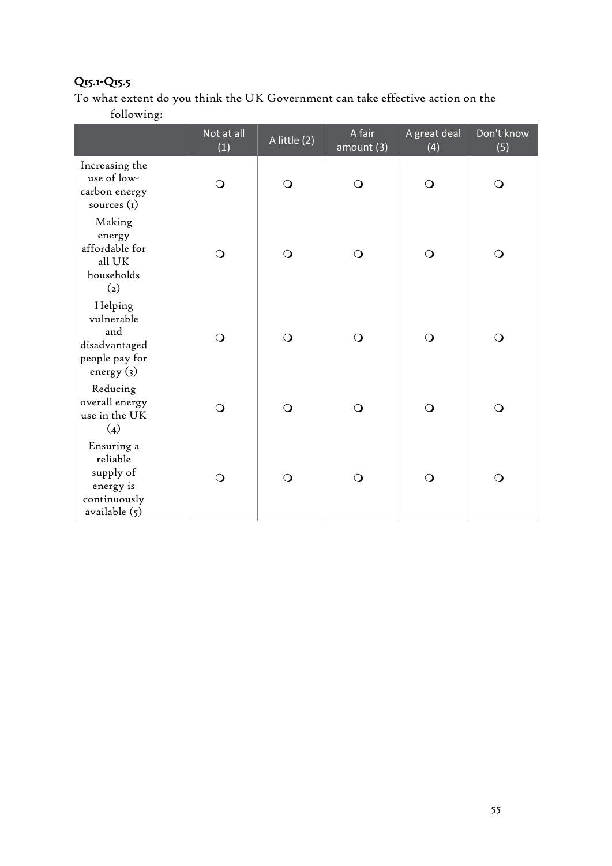# Q15.1-Q15.5

To what extent do you think the UK Government can take effective action on the

following:

|                                                                                     | Not at all<br>(1) | A little (2) | A fair<br>amount (3) | A great deal<br>(4) | Don't know<br>(5) |
|-------------------------------------------------------------------------------------|-------------------|--------------|----------------------|---------------------|-------------------|
| Increasing the<br>use of low-<br>carbon energy<br>sources $(i)$                     | $\bigcirc$        | $\bigcirc$   | ∩                    | $\Omega$            | $\Omega$          |
| Making<br>energy<br>affordable for<br>all UK<br>households<br>$\left( 2\right)$     | $\bigcirc$        | $\bigcirc$   | $\Omega$             | $\Omega$            | $\bigcirc$        |
| Helping<br>vulnerable<br>and<br>disadvantaged<br>people pay for<br>energy $(3)$     | $\bigcirc$        | $\bigcirc$   | $\bigcirc$           | $\bigcirc$          | $\bigcirc$        |
| Reducing<br>overall energy<br>use in the UK<br>(4)                                  | $\overline{O}$    | $\bigcirc$   | ∩                    | $\Omega$            | $\bigcirc$        |
| Ensuring a<br>reliable<br>supply of<br>energy is<br>continuously<br>available $(5)$ | $\bigcirc$        | $\Omega$     | ∩                    | $\Omega$            | $\bigcirc$        |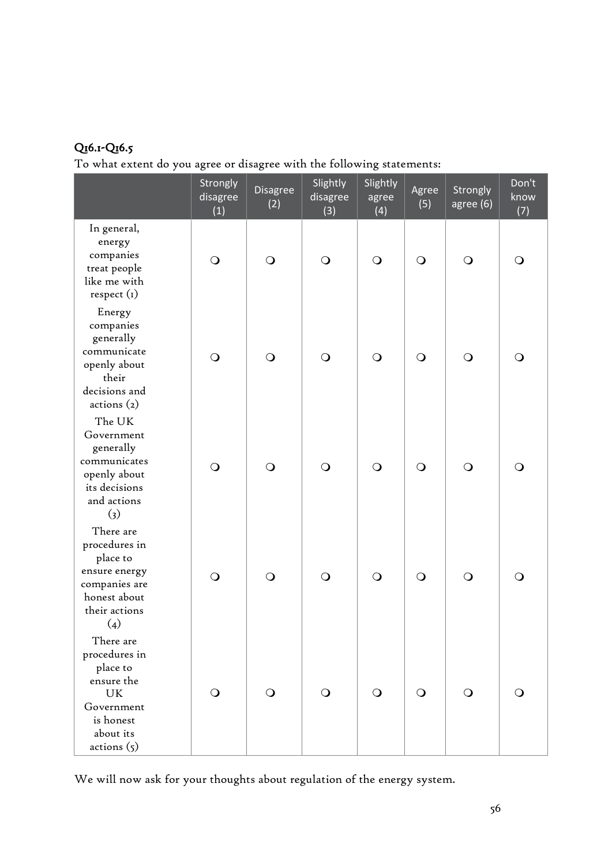# Q16.1-Q16.5

To what extent do you agree or disagree with the following statements:

|                                                                                                                        | Strongly<br>disagree<br>(1) | <b>Disagree</b><br>(2) | Slightly<br>disagree<br>(3) | Slightly<br>agree<br>(4) | Agree<br>(5) | Strongly<br>agree (6) | Don't<br>know<br>(7) |
|------------------------------------------------------------------------------------------------------------------------|-----------------------------|------------------------|-----------------------------|--------------------------|--------------|-----------------------|----------------------|
| In general,<br>energy<br>companies<br>treat people<br>like me with<br>respect (i)                                      | $\bigcirc$                  | $\bigcirc$             | $\bigcirc$                  | $\bigcirc$               | $\bigcirc$   | $\mathsf{O}$          | $\Omega$             |
| Energy<br>companies<br>generally<br>communicate<br>openly about<br>their<br>decisions and<br>actions (2)               | $\bigcirc$                  | $\bigcirc$             | $\bigcirc$                  | $\circ$                  | $\bigcirc$   | $\bigcirc$            |                      |
| The UK<br>Government<br>generally<br>communicates<br>openly about<br>its decisions<br>and actions<br>$\left( 3\right)$ | $\bigcirc$                  | $\bigcirc$             | $\bigcirc$                  | $\bigcirc$               | $\bigcirc$   | $\bigcirc$            | $\Omega$             |
| There are<br>procedures in<br>place to<br>ensure energy<br>companies are<br>honest about<br>their actions<br>(4)       | $\bigcirc$                  | $\bigcirc$             | $\bigcirc$                  | $\mathbf{O}$             | $\bigcirc$   | $\bigcirc$            |                      |
| There are<br>procedures in<br>place to<br>ensure the<br>UK<br>Government<br>is honest<br>about its<br>actions (5)      | $\Omega$                    | $\mathsf{O}$           | $\Omega$                    | $\Omega$                 | $\Omega$     | $\Omega$              |                      |

We will now ask for your thoughts about regulation of the energy system.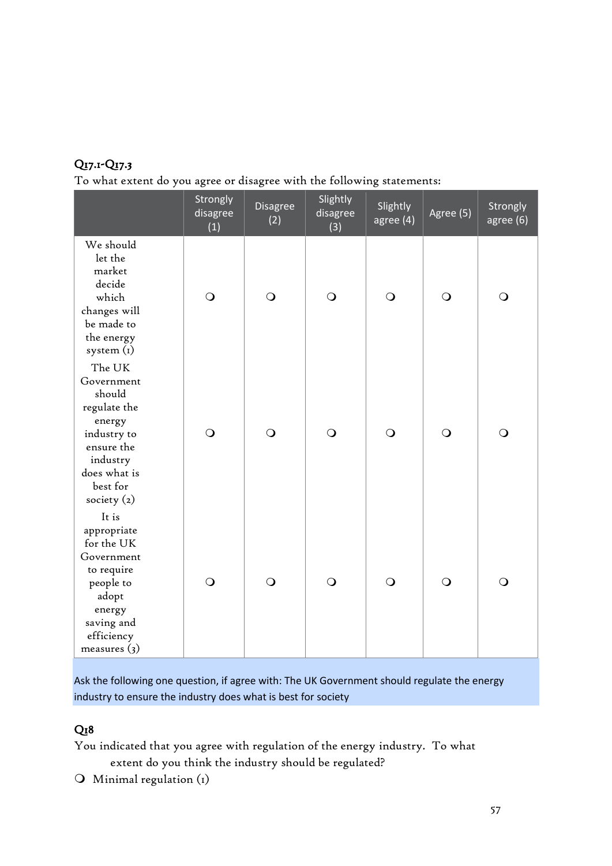# Q17.1-Q17.3

To what extent do you agree or disagree with the following statements:

|                                                                                                                                                | Strongly<br>disagree<br>(1) | <b>Disagree</b><br>(2) | Slightly<br>disagree<br>(3) | Slightly<br>agree (4) | Agree (5)  | Strongly<br>agree (6) |
|------------------------------------------------------------------------------------------------------------------------------------------------|-----------------------------|------------------------|-----------------------------|-----------------------|------------|-----------------------|
| We should<br>let the<br>market<br>decide<br>which<br>changes will<br>be made to<br>the energy<br>system (I)                                    | $\bigcirc$                  | $\bigcirc$             | $\bigcirc$                  | $\bigcirc$            | $\bigcirc$ | $\bigcirc$            |
| The UK<br>Government<br>should<br>regulate the<br>energy<br>industry to<br>ensure the<br>industry<br>does what is<br>best for<br>society $(2)$ | $\bigcirc$                  | $\bigcirc$             | $\bigcirc$                  | $\bigcirc$            | $\bigcirc$ | $\bigcirc$            |
| It is<br>appropriate<br>for the UK<br>Government<br>to require<br>people to<br>adopt<br>energy<br>saving and<br>efficiency<br>measures $(3)$   | $\bigcirc$                  | $\bigcirc$             | $\bigcirc$                  | $\bigcirc$            | $\bigcirc$ | $\bigcirc$            |

Ask the following one question, if agree with: The UK Government should regulate the energy industry to ensure the industry does what is best for society

#### Q18

You indicated that you agree with regulation of the energy industry. To what extent do you think the industry should be regulated?

Minimal regulation (1)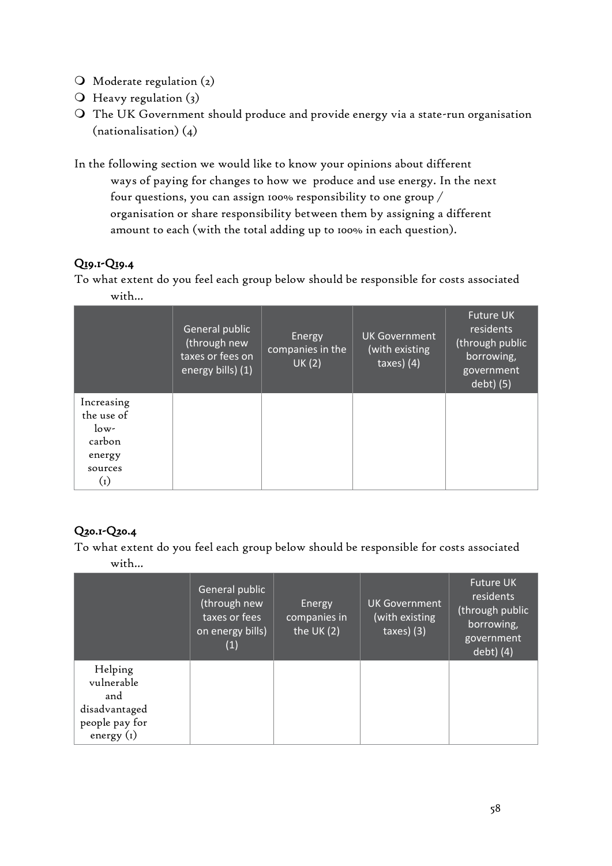- $\bigcirc$  Moderate regulation (2)
- $\bigcirc$  Heavy regulation  $(3)$
- The UK Government should produce and provide energy via a state-run organisation (nationalisation) (4)

In the following section we would like to know your opinions about different ways of paying for changes to how we produce and use energy. In the next four questions, you can assign 100% responsibility to one group  $/$ organisation or share responsibility between them by assigning a different amount to each (with the total adding up to 100% in each question).

## Q19.1-Q19.4

To what extent do you feel each group below should be responsible for costs associated with...

|                                                                                         | General public<br>(through new<br>taxes or fees on<br>energy bills) (1) | Energy<br>companies in the<br>UK(2) | <b>UK Government</b><br>(with existing<br>$taxes)$ (4) | <b>Future UK</b><br>residents<br>(through public<br>borrowing,<br>government<br>$debt)$ (5) |
|-----------------------------------------------------------------------------------------|-------------------------------------------------------------------------|-------------------------------------|--------------------------------------------------------|---------------------------------------------------------------------------------------------|
| Increasing<br>the use of<br>$low-$<br>carbon<br>energy<br>sources<br>$\left( 1 \right)$ |                                                                         |                                     |                                                        |                                                                                             |

# Q20.1-Q20.4

To what extent do you feel each group below should be responsible for costs associated

| with |
|------|
|------|

|                                                                                 | General public<br>(through new<br>taxes or fees<br>on energy bills)<br>(1) | Energy<br>companies in<br>the UK $(2)$ | <b>UK Government</b><br>(with existing<br>$taxes)$ (3) | <b>Future UK</b><br>residents<br>(through public<br>borrowing,<br>government<br>$debt)$ (4) |
|---------------------------------------------------------------------------------|----------------------------------------------------------------------------|----------------------------------------|--------------------------------------------------------|---------------------------------------------------------------------------------------------|
| Helping<br>vulnerable<br>and<br>disadvantaged<br>people pay for<br>energy $(i)$ |                                                                            |                                        |                                                        |                                                                                             |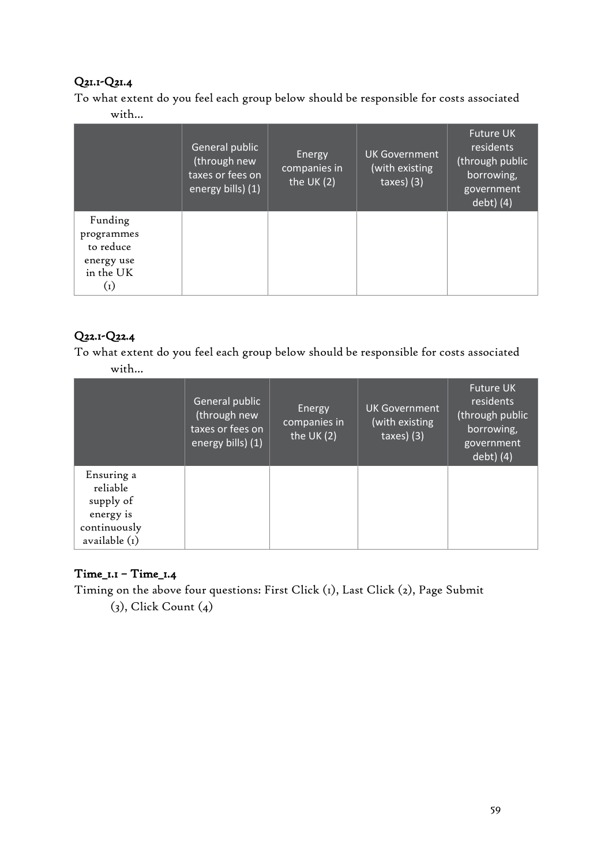# Q21.1-Q21.4

To what extent do you feel each group below should be responsible for costs associated with...

|                                                                               | General public<br>(through new<br>taxes or fees on<br>energy bills) (1) | Energy<br>companies in<br>the UK $(2)$ | <b>UK Government</b><br>(with existing<br>$taxes)$ (3) | <b>Future UK</b><br>residents<br>(through public<br>borrowing,<br>government<br>$debt)$ (4) |
|-------------------------------------------------------------------------------|-------------------------------------------------------------------------|----------------------------------------|--------------------------------------------------------|---------------------------------------------------------------------------------------------|
| Funding<br>programmes<br>to reduce<br>energy use<br>in the UK<br>$_{\rm (1)}$ |                                                                         |                                        |                                                        |                                                                                             |

# Q22.1-Q22.4

To what extent do you feel each group below should be responsible for costs associated with...

|                                                                                   | General public<br>(through new<br>taxes or fees on<br>energy bills) (1) | Energy<br>companies in<br>the UK $(2)$ | <b>UK Government</b><br>(with existing<br>$taxes)$ (3) | <b>Future UK</b><br>residents<br>(through public<br>borrowing,<br>government<br>$debt)$ (4) |
|-----------------------------------------------------------------------------------|-------------------------------------------------------------------------|----------------------------------------|--------------------------------------------------------|---------------------------------------------------------------------------------------------|
| Ensuring a<br>reliable<br>supply of<br>energy is<br>continuously<br>available (i) |                                                                         |                                        |                                                        |                                                                                             |

## Time\_1.1 – Time\_1.4

Timing on the above four questions: First Click (1), Last Click (2), Page Submit (3), Click Count (4)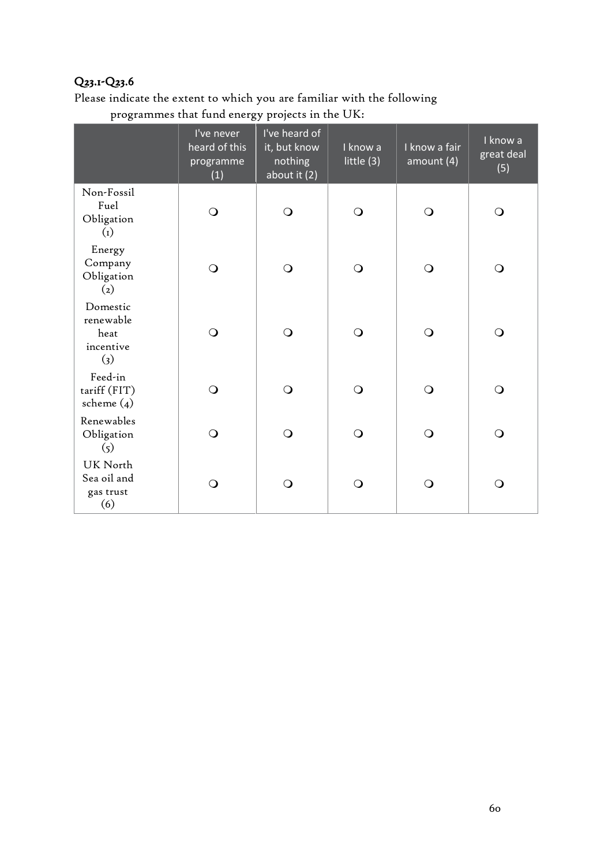# Q23.1-Q23.6

Please indicate the extent to which you are familiar with the following programmes that fund energy projects in the UK:

|                                                      | I've never<br>heard of this<br>programme<br>(1) | I've heard of<br>it, but know<br>nothing<br>about it (2) | I know a<br>little (3) | I know a fair<br>amount $(4)$ | I know a<br>great deal<br>(5) |
|------------------------------------------------------|-------------------------------------------------|----------------------------------------------------------|------------------------|-------------------------------|-------------------------------|
| Non-Fossil<br>Fuel<br>Obligation<br>$\rm (I)$        | $\Omega$                                        | $\Omega$                                                 | Q                      | $\bigcirc$                    | Q                             |
| Energy<br>Company<br>Obligation<br>$\left( 2\right)$ | $\bigcirc$                                      | $\bigcirc$                                               | $\bigcirc$             | $\bigcirc$                    | $\bigcirc$                    |
| Domestic<br>renewable<br>heat<br>incentive<br>(3)    | $\bigcirc$                                      | $\bigcirc$                                               | $\overline{O}$         | $\bigcirc$                    | $\bigcirc$                    |
| Feed-in<br>tariff (FIT)<br>scheme $(4)$              | $\Omega$                                        | $\Omega$                                                 | $\Omega$               | $\bigcirc$                    | $\Omega$                      |
| Renewables<br>Obligation<br>(5)                      | $\mathsf{O}$                                    | $\mathsf{O}$                                             | $\bigcirc$             | $\bigcirc$                    | $\bigcirc$                    |
| UK North<br>Sea oil and<br>gas trust<br>(6)          | ∩                                               | ∩                                                        | ∩                      | $\bigcirc$                    | ∩                             |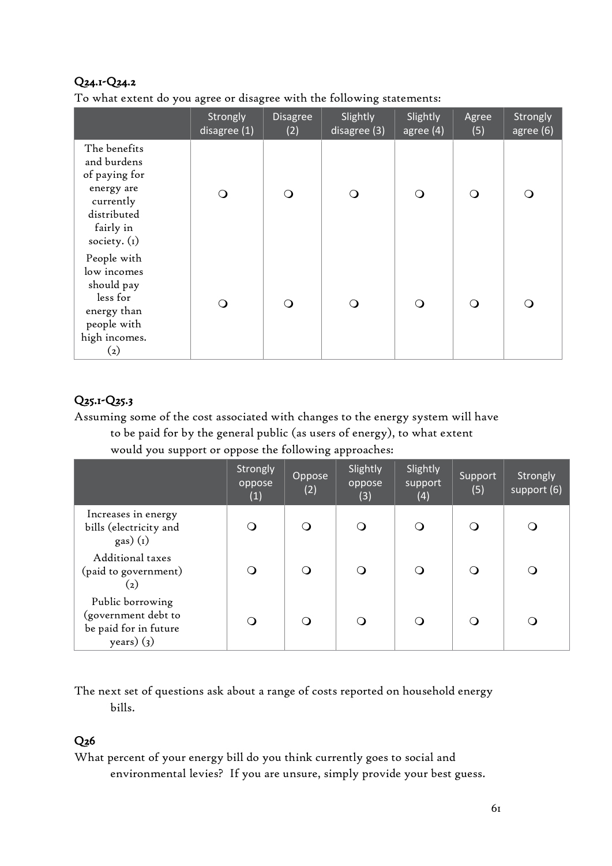#### Q24.1-Q24.2

To what extent do you agree or disagree with the following statements:

|                                                                                                                     | Strongly<br>disagree (1) | <b>Disagree</b><br>(2) | Slightly<br>disagree (3) | Slightly<br>agree $(4)$ | Agree<br>(5) | Strongly<br>agree $(6)$ |
|---------------------------------------------------------------------------------------------------------------------|--------------------------|------------------------|--------------------------|-------------------------|--------------|-------------------------|
| The benefits<br>and burdens<br>of paying for<br>energy are<br>currently<br>distributed<br>fairly in<br>society. (1) |                          | ∩                      |                          |                         |              | ∩                       |
| People with<br>low incomes<br>should pay<br>less for<br>energy than<br>people with<br>high incomes.<br>$\rm _{(2)}$ |                          |                        |                          |                         |              |                         |

# Q25.1-Q25.3

Assuming some of the cost associated with changes to the energy system will have to be paid for by the general public (as users of energy), to what extent would you support or oppose the following approaches:

|                                                                                  | <b>Strongly</b><br>oppose<br>(1) | Oppose<br>(2) | Slightly<br>oppose<br>(3) | Slightly<br>support<br>(4) | Support<br>(5) | Strongly<br>support (6) |
|----------------------------------------------------------------------------------|----------------------------------|---------------|---------------------------|----------------------------|----------------|-------------------------|
| Increases in energy<br>bills (electricity and<br>$\text{gas}$ ) (1)              | ∩                                |               |                           | Q                          | $\Omega$       |                         |
| Additional taxes<br>(paid to government)<br>$\rm _{(2)}$                         | ∩                                | ◠             |                           | ∩                          | ∩              |                         |
| Public borrowing<br>(government debt to<br>be paid for in future<br>years) $(3)$ | ∩                                |               |                           | ( )                        | ∩              |                         |

The next set of questions ask about a range of costs reported on household energy bills.

# Q26

What percent of your energy bill do you think currently goes to social and environmental levies? If you are unsure, simply provide your best guess.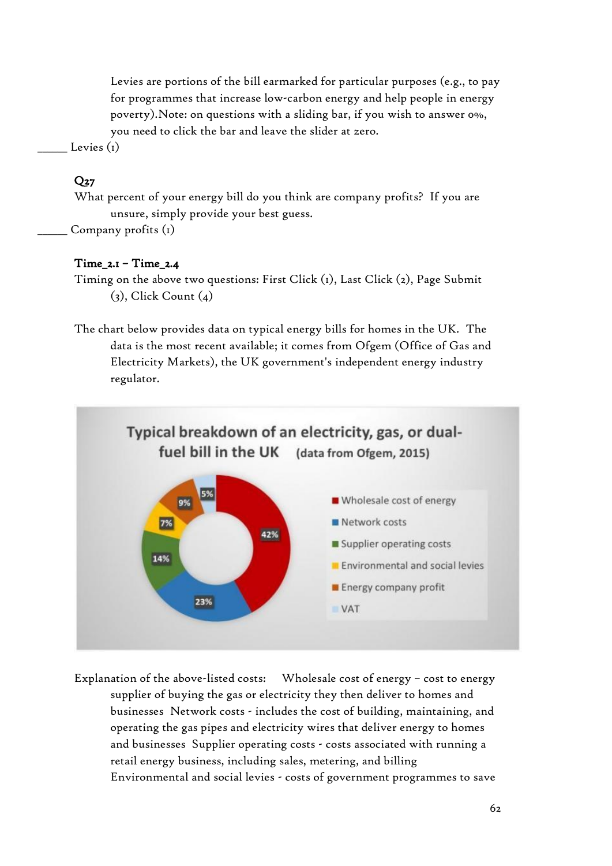Levies are portions of the bill earmarked for particular purposes (e.g., to pay for programmes that increase low-carbon energy and help people in energy poverty).Note: on questions with a sliding bar, if you wish to answer 0%, you need to click the bar and leave the slider at zero.

Levies  $(i)$ 

#### Q27

What percent of your energy bill do you think are company profits? If you are unsure, simply provide your best guess.

Company profits  $(i)$ 

#### Time\_2.1 – Time\_2.4

Timing on the above two questions: First Click (1), Last Click (2), Page Submit (3), Click Count (4)

The chart below provides data on typical energy bills for homes in the UK. The data is the most recent available; it comes from Ofgem (Office of Gas and Electricity Markets), the UK government's independent energy industry regulator.



Explanation of the above-listed costs: Wholesale cost of energy – cost to energy supplier of buying the gas or electricity they then deliver to homes and businesses Network costs - includes the cost of building, maintaining, and operating the gas pipes and electricity wires that deliver energy to homes and businesses Supplier operating costs - costs associated with running a retail energy business, including sales, metering, and billing Environmental and social levies - costs of government programmes to save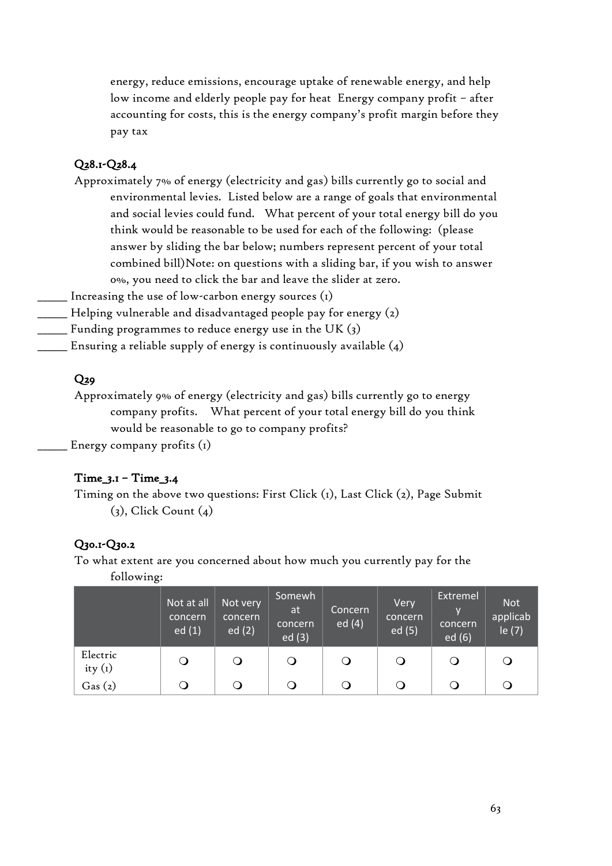energy, reduce emissions, encourage uptake of renewable energy, and help low income and elderly people pay for heat Energy company profit – after accounting for costs, this is the energy company's profit margin before they pay tax

#### Q28.1-Q28.4

- Approximately 7% of energy (electricity and gas) bills currently go to social and environmental levies. Listed below are a range of goals that environmental and social levies could fund. What percent of your total energy bill do you think would be reasonable to be used for each of the following: (please answer by sliding the bar below; numbers represent percent of your total combined bill)Note: on questions with a sliding bar, if you wish to answer 0%, you need to click the bar and leave the slider at zero.
- Increasing the use of low-carbon energy sources  $(i)$
- Helping vulnerable and disadvantaged people pay for energy  $(2)$
- $\_$  Funding programmes to reduce energy use in the UK (3)
- Ensuring a reliable supply of energy is continuously available  $(4)$

#### Q29

Approximately 9% of energy (electricity and gas) bills currently go to energy company profits. What percent of your total energy bill do you think would be reasonable to go to company profits?

Energy company profits  $(i)$ 

#### Time\_3.1 – Time\_3.4

Timing on the above two questions: First Click (1), Last Click (2), Page Submit (3), Click Count (4)

#### Q30.1-Q30.2

To what extent are you concerned about how much you currently pay for the following:

|                       | Not at all<br>concern<br>ed(1) | Not very<br>concern<br>ed(2) | Somewh<br>at<br>concern<br>ed(3) | Concern<br>ed(4) | Very<br>concern<br>ed(5) | Extremel<br>V<br>concern<br>ed (6) | <b>Not</b><br>applicab<br>le (7) |
|-----------------------|--------------------------------|------------------------------|----------------------------------|------------------|--------------------------|------------------------------------|----------------------------------|
| Electric<br>ity $(i)$ |                                | $\cup$                       | $\Omega$                         | Ő                | Q                        | $\cup$                             | Q                                |
| Gas(2)                |                                | $\Omega$                     | O                                | 0                | Q                        |                                    | Ő                                |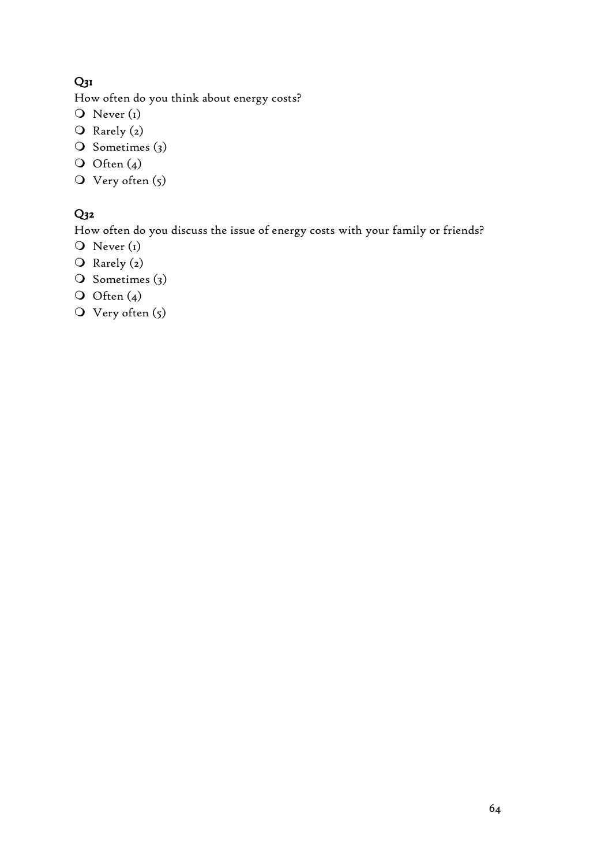# Q31

How often do you think about energy costs?

- O Never (1)
- $\overline{Q}$  Rarely (2)
- $\overline{O}$  Sometimes (3)
- $\overline{O}$  Often  $(4)$
- Very often (5)

# $Q<sub>32</sub>$

How often do you discuss the issue of energy costs with your family or friends?

- Never (1)
- Rarely (2)
- O Sometimes (3)
- $\bigcirc$  Often  $(4)$
- $\overline{O}$  Very often  $(5)$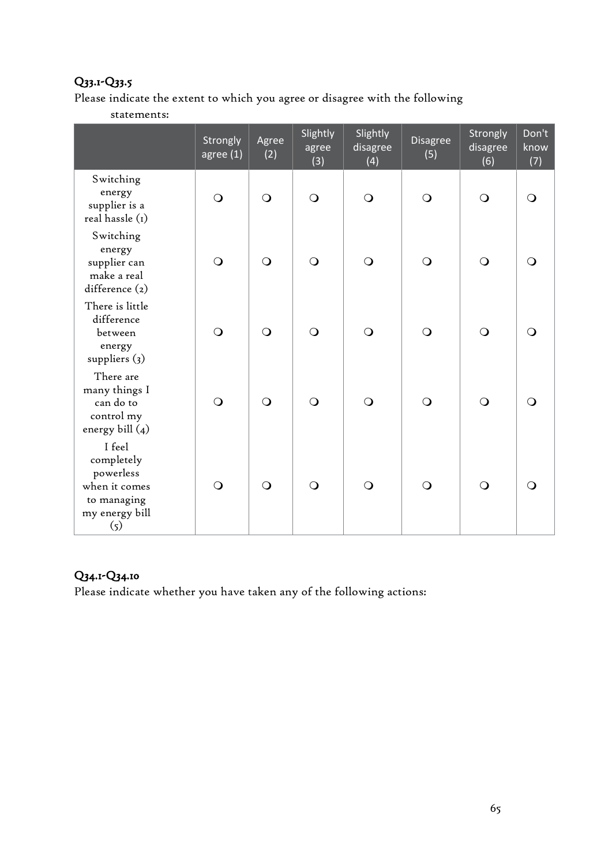# Q33.1-Q33.5

Please indicate the extent to which you agree or disagree with the following

statements:

|                                                                                            | Strongly<br>agree (1) | Agree<br>(2) | Slightly<br>agree<br>(3) | Slightly<br>disagree<br>(4) | Disagree<br>(5) | Strongly<br>disagree<br>(6) | Don't<br>know<br>(7) |
|--------------------------------------------------------------------------------------------|-----------------------|--------------|--------------------------|-----------------------------|-----------------|-----------------------------|----------------------|
| Switching<br>energy<br>supplier is a<br>real hassle (1)                                    | $\bigcirc$            | $\bigcirc$   | $\circ$                  | $\bigcirc$                  | $\bigcirc$      | $\bigcirc$                  | $\bigcirc$           |
| Switching<br>energy<br>supplier can<br>make a real<br>difference (2)                       | $\bigcirc$            | $\bigcirc$   | $\overline{O}$           | $\bigcirc$                  | $\bigcirc$      | $\bigcirc$                  | $\bigcirc$           |
| There is little<br>difference<br>between<br>energy<br>suppliers $(3)$                      | $\bigcirc$            | $\bigcirc$   | $\overline{O}$           | $\Omega$                    | $\Omega$        | $\Omega$                    | $\Omega$             |
| There are<br>many things I<br>can do to<br>control my<br>energy bill $(4)$                 | $\bigcirc$            | $\bigcirc$   | $\overline{O}$           | $\bigcirc$                  | $\overline{O}$  | $\bigcirc$                  | $\bigcirc$           |
| I feel<br>completely<br>powerless<br>when it comes<br>to managing<br>my energy bill<br>(5) | $\overline{O}$        | $\bigcirc$   | $\bigcirc$               | $\Omega$                    | $\overline{O}$  | ∩                           | $\bigcirc$           |

# Q34.1-Q34.10

Please indicate whether you have taken any of the following actions: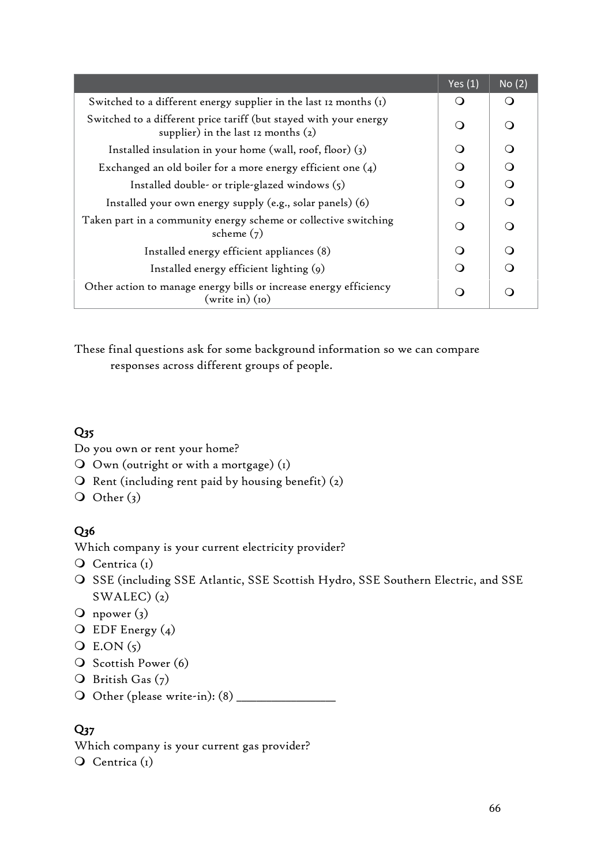|                                                                                                              | Yes $(1)$ | No(2) |
|--------------------------------------------------------------------------------------------------------------|-----------|-------|
| Switched to a different energy supplier in the last 12 months $(i)$                                          |           |       |
| Switched to a different price tariff (but stayed with your energy<br>supplier) in the last $12$ months $(2)$ |           |       |
| Installed insulation in your home (wall, roof, floor) $(3)$                                                  |           |       |
| Exchanged an old boiler for a more energy efficient one $(4)$                                                |           |       |
| Installed double- or triple-glazed windows (5)                                                               |           |       |
| Installed your own energy supply (e.g., solar panels) (6)                                                    |           |       |
| Taken part in a community energy scheme or collective switching<br>scheme $(7)$                              |           |       |
| Installed energy efficient appliances (8)                                                                    |           |       |
| Installed energy efficient lighting (9)                                                                      |           |       |
| Other action to manage energy bills or increase energy efficiency<br>(write in) (io)                         |           |       |

These final questions ask for some background information so we can compare responses across different groups of people.

# Q35

Do you own or rent your home?

- Own (outright or with a mortgage) (1)
- $\bigcirc$  Rent (including rent paid by housing benefit) (2)
- $\overline{O}$  Other (3)

# Q36

Which company is your current electricity provider?

- $Q$  Centrica (1)
- O SSE (including SSE Atlantic, SSE Scottish Hydro, SSE Southern Electric, and SSE  $SWALEC$ ) $(2)$
- $\overline{Q}$  npower (3)
- $\overline{O}$  EDF Energy  $(4)$
- $Q$  E.ON  $(5)$
- O Scottish Power (6)
- British Gas (7)
- Other (please write-in): (8) \_\_\_\_\_\_\_\_\_\_\_\_\_\_\_\_\_\_\_\_

# Q37

Which company is your current gas provider?

 $Q$  Centrica (1)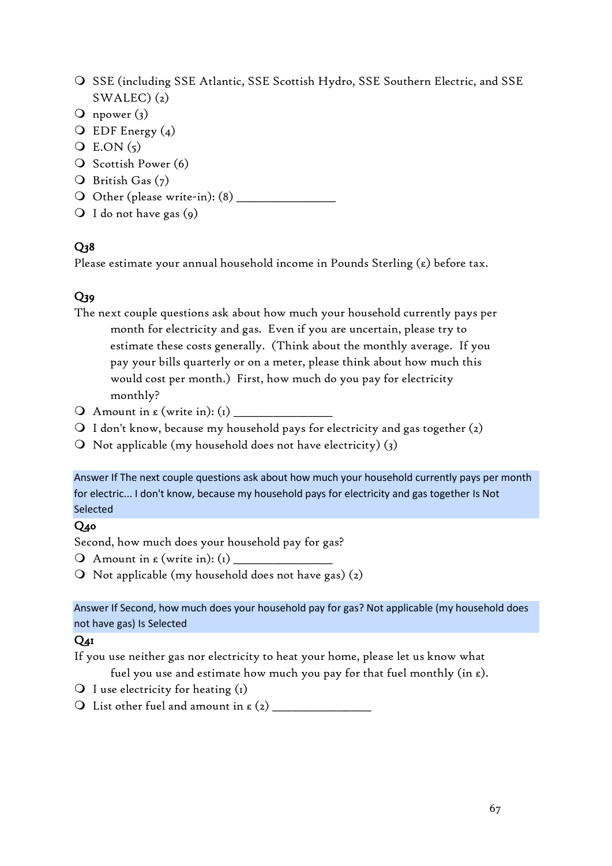- SSE (including SSE Atlantic, SSE Scottish Hydro, SSE Southern Electric, and SSE  $SWALEC$ ) $(2)$
- $\overline{O}$  npower (3)
- $Q$  EDF Energy  $(4)$
- $Q$  E.ON  $(5)$
- Q Scottish Power (6)
- $\overline{O}$  British Gas (7)
- Other (please write-in): (8) \_\_\_\_\_\_\_\_\_\_\_\_\_\_\_\_\_\_\_\_
- $\bigcirc$  I do not have gas  $(g)$

## $Q<sub>38</sub>$

Please estimate your annual household income in Pounds Sterling  $(\epsilon)$  before tax.

# $Q<sub>39</sub>$

- The next couple questions ask about how much your household currently pays per month for electricity and gas. Even if you are uncertain, please try to estimate these costs generally. (Think about the monthly average. If you pay your bills quarterly or on a meter, please think about how much this would cost per month.) First, how much do you pay for electricity monthly?
- $\bigcirc$  Amount in  $\varepsilon$  (write in): (1)
- $\bigcirc$  I don't know, because my household pays for electricity and gas together (2)
- $\Omega$  Not applicable (my household does not have electricity) (3)

Answer If The next couple questions ask about how much your household currently pays per month for electric... I don't know, because my household pays for electricity and gas together Is Not Selected

#### $O<sub>40</sub>$

Second, how much does your household pay for gas?

- $\bigcirc$  Amount in  $\varepsilon$  (write in): (1)
- $\Omega$  Not applicable (my household does not have gas) (2)

Answer If Second, how much does your household pay for gas? Not applicable (my household does not have gas) Is Selected

#### $Q_{41}$

If you use neither gas nor electricity to heat your home, please let us know what

fuel you use and estimate how much you pay for that fuel monthly (in  $\varepsilon$ ).

- $\bigcirc$  I use electricity for heating (1)
- $\bigcirc$  List other fuel and amount in  $\varepsilon$  (2)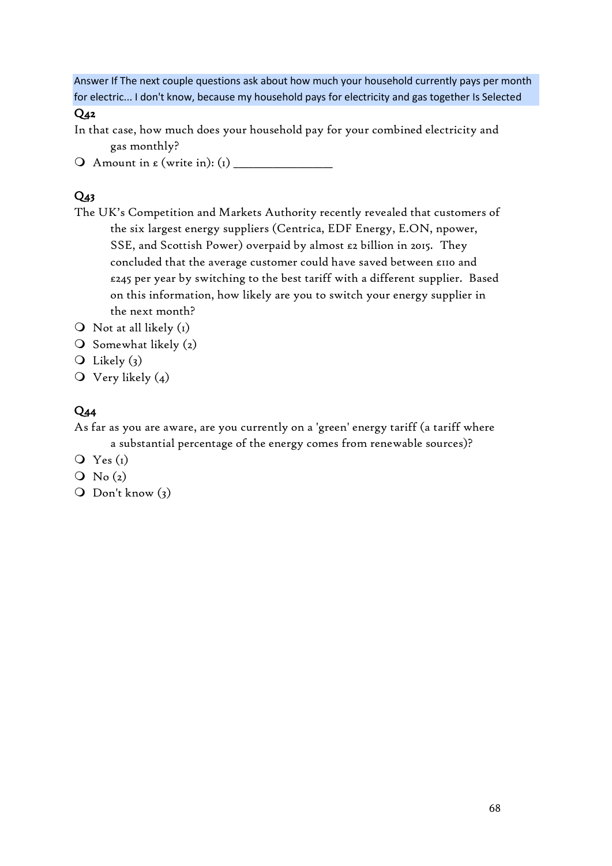Answer If The next couple questions ask about how much your household currently pays per month for electric... I don't know, because my household pays for electricity and gas together Is Selected

Q42

In that case, how much does your household pay for your combined electricity and gas monthly?

 $\bigcirc$  Amount in  $\varepsilon$  (write in): (1)

# Q43

- The UK's Competition and Markets Authority recently revealed that customers of the six largest energy suppliers (Centrica, EDF Energy, E.ON, npower, SSE, and Scottish Power) overpaid by almost  $\epsilon$ 2 billion in 2015. They concluded that the average customer could have saved between £110 and £245 per year by switching to the best tariff with a different supplier. Based on this information, how likely are you to switch your energy supplier in the next month?
- $\bigcirc$  Not at all likely (1)
- $\bigcirc$  Somewhat likely (2)
- $\bigcirc$  Likely (3)
- $\overline{O}$  Very likely (4)

# Q44

As far as you are aware, are you currently on a 'green' energy tariff (a tariff where a substantial percentage of the energy comes from renewable sources)?

- $Q$  Yes (1)
- $Q \text{No} (2)$
- $\overline{Q}$  Don't know  $(3)$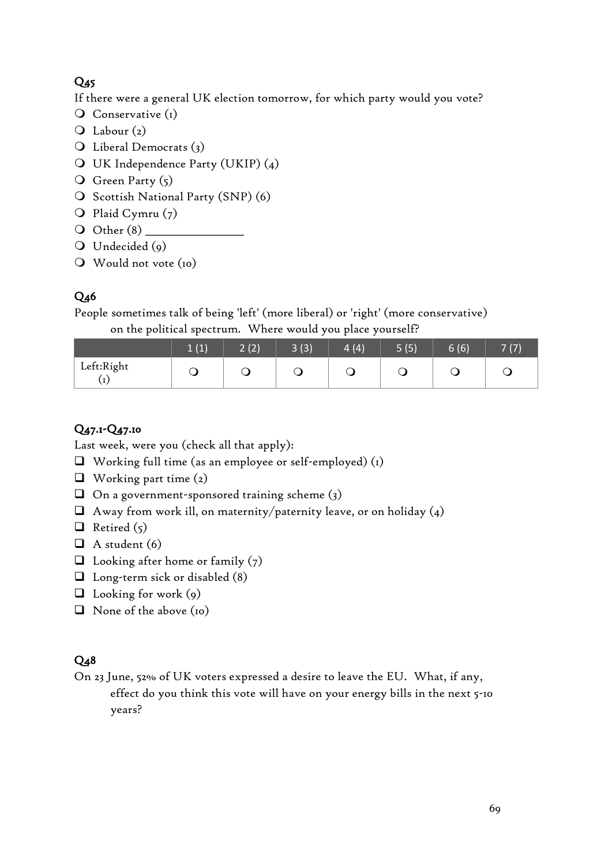# Q45

If there were a general UK election tomorrow, for which party would you vote?

- O Conservative (1)
- $\overline{Q}$  Labour (2)
- Liberal Democrats (3)
- UK Independence Party (UKIP) (4)
- $\overline{Q}$  Green Party  $(5)$
- O Scottish National Party (SNP) (6)
- Plaid Cymru (7)
- $\bigcirc$  Other (8)
- $Q$  Undecided  $(q)$
- Would not vote (10)

# Q46

People sometimes talk of being 'left' (more liberal) or 'right' (more conservative)

#### on the political spectrum. Where would you place yourself?

|                   | 1(1) | 2(2) | 3(3) | 4(4) | 5(5) | 6(6) | 7(7) |
|-------------------|------|------|------|------|------|------|------|
| Left:Right<br>. . |      |      |      |      |      |      |      |

# Q47.1-Q47.10

Last week, were you (check all that apply):

- $\Box$  Working full time (as an employee or self-employed) (1)
- $\Box$  Working part time (2)
- $\Box$  On a government-sponsored training scheme (3)
- $\Box$  Away from work ill, on maternity/paternity leave, or on holiday (4)
- $\Box$  Retired  $(5)$
- $\Box$  A student (6)
- $\Box$  Looking after home or family (7)
- $\Box$  Long-term sick or disabled (8)
- $\Box$  Looking for work (9)
- $\Box$  None of the above (10)

# Q48

On 23 June, 52% of UK voters expressed a desire to leave the EU. What, if any, effect do you think this vote will have on your energy bills in the next 5-10 years?